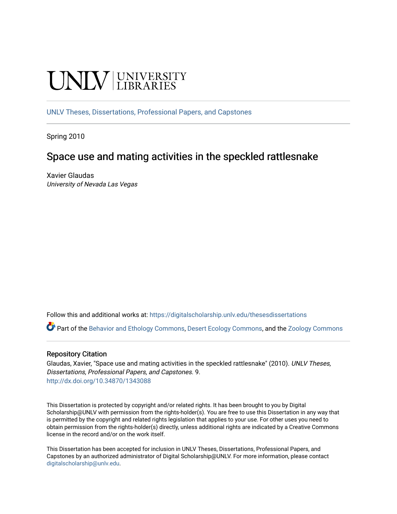# **UNIVERSITY**

[UNLV Theses, Dissertations, Professional Papers, and Capstones](https://digitalscholarship.unlv.edu/thesesdissertations)

Spring 2010

# Space use and mating activities in the speckled rattlesnake

Xavier Glaudas University of Nevada Las Vegas

Follow this and additional works at: [https://digitalscholarship.unlv.edu/thesesdissertations](https://digitalscholarship.unlv.edu/thesesdissertations?utm_source=digitalscholarship.unlv.edu%2Fthesesdissertations%2F9&utm_medium=PDF&utm_campaign=PDFCoverPages)

Part of the [Behavior and Ethology Commons,](http://network.bepress.com/hgg/discipline/15?utm_source=digitalscholarship.unlv.edu%2Fthesesdissertations%2F9&utm_medium=PDF&utm_campaign=PDFCoverPages) [Desert Ecology Commons](http://network.bepress.com/hgg/discipline/1261?utm_source=digitalscholarship.unlv.edu%2Fthesesdissertations%2F9&utm_medium=PDF&utm_campaign=PDFCoverPages), and the [Zoology Commons](http://network.bepress.com/hgg/discipline/81?utm_source=digitalscholarship.unlv.edu%2Fthesesdissertations%2F9&utm_medium=PDF&utm_campaign=PDFCoverPages) 

### Repository Citation

Glaudas, Xavier, "Space use and mating activities in the speckled rattlesnake" (2010). UNLV Theses, Dissertations, Professional Papers, and Capstones. 9. <http://dx.doi.org/10.34870/1343088>

This Dissertation is protected by copyright and/or related rights. It has been brought to you by Digital Scholarship@UNLV with permission from the rights-holder(s). You are free to use this Dissertation in any way that is permitted by the copyright and related rights legislation that applies to your use. For other uses you need to obtain permission from the rights-holder(s) directly, unless additional rights are indicated by a Creative Commons license in the record and/or on the work itself.

This Dissertation has been accepted for inclusion in UNLV Theses, Dissertations, Professional Papers, and Capstones by an authorized administrator of Digital Scholarship@UNLV. For more information, please contact [digitalscholarship@unlv.edu](mailto:digitalscholarship@unlv.edu).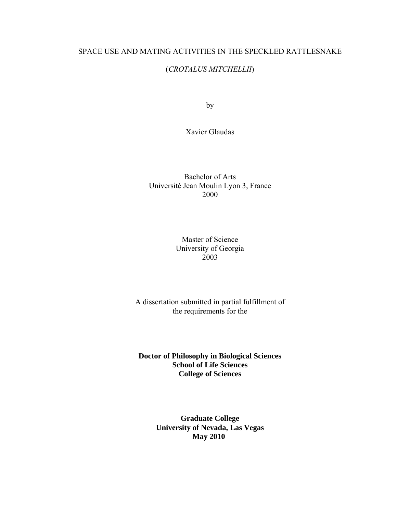### SPACE USE AND MATING ACTIVITIES IN THE SPECKLED RATTLESNAKE

## (*CROTALUS MITCHELLII*)

by

Xavier Glaudas

Bachelor of Arts Université Jean Moulin Lyon 3, France 2000

> Master of Science University of Georgia 2003

A dissertation submitted in partial fulfillment of the requirements for the

**Doctor of Philosophy in Biological Sciences School of Life Sciences College of Sciences** 

> **Graduate College University of Nevada, Las Vegas May 2010**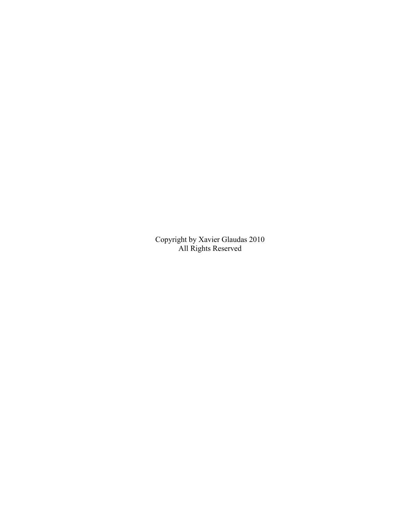Copyright by Xavier Glaudas 2010 All Rights Reserved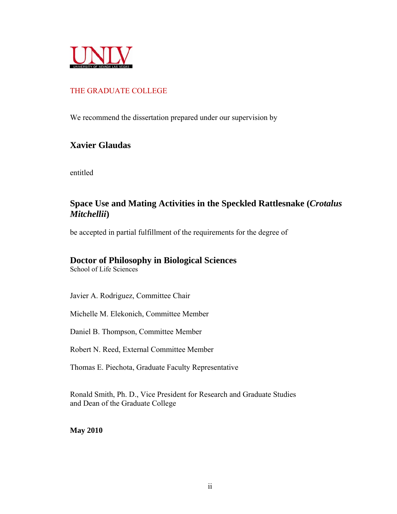

# THE GRADUATE COLLEGE

We recommend the dissertation prepared under our supervision by

# **Xavier Glaudas**

entitled

# **Space Use and Mating Activities in the Speckled Rattlesnake (***Crotalus Mitchellii***)**

be accepted in partial fulfillment of the requirements for the degree of

# **Doctor of Philosophy in Biological Sciences**

School of Life Sciences

Javier A. Rodriguez, Committee Chair

Michelle M. Elekonich, Committee Member

Daniel B. Thompson, Committee Member

Robert N. Reed, External Committee Member

Thomas E. Piechota, Graduate Faculty Representative

Ronald Smith, Ph. D., Vice President for Research and Graduate Studies and Dean of the Graduate College

**May 2010**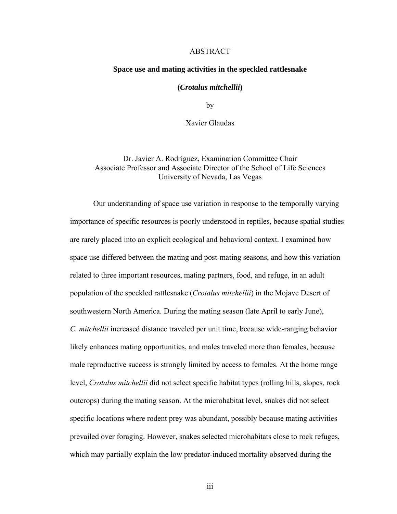### ABSTRACT

### **Space use and mating activities in the speckled rattlesnake**

### **(***Crotalus mitchellii***)**

by

Xavier Glaudas

Dr. Javier A. Rodríguez, Examination Committee Chair Associate Professor and Associate Director of the School of Life Sciences University of Nevada, Las Vegas

Our understanding of space use variation in response to the temporally varying importance of specific resources is poorly understood in reptiles, because spatial studies are rarely placed into an explicit ecological and behavioral context. I examined how space use differed between the mating and post-mating seasons, and how this variation related to three important resources, mating partners, food, and refuge, in an adult population of the speckled rattlesnake (*Crotalus mitchellii*) in the Mojave Desert of southwestern North America. During the mating season (late April to early June), *C. mitchellii* increased distance traveled per unit time, because wide-ranging behavior likely enhances mating opportunities, and males traveled more than females, because male reproductive success is strongly limited by access to females. At the home range level, *Crotalus mitchellii* did not select specific habitat types (rolling hills, slopes, rock outcrops) during the mating season. At the microhabitat level, snakes did not select specific locations where rodent prey was abundant, possibly because mating activities prevailed over foraging. However, snakes selected microhabitats close to rock refuges, which may partially explain the low predator-induced mortality observed during the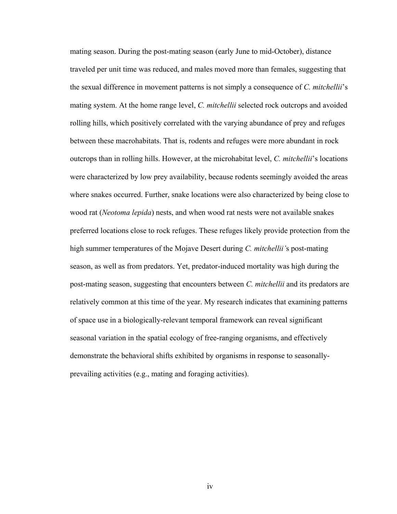mating season. During the post-mating season (early June to mid-October), distance traveled per unit time was reduced, and males moved more than females, suggesting that the sexual difference in movement patterns is not simply a consequence of *C. mitchellii*'s mating system. At the home range level, *C. mitchellii* selected rock outcrops and avoided rolling hills, which positively correlated with the varying abundance of prey and refuges between these macrohabitats. That is, rodents and refuges were more abundant in rock outcrops than in rolling hills. However, at the microhabitat level, *C. mitchellii*'s locations were characterized by low prey availability, because rodents seemingly avoided the areas where snakes occurred. Further, snake locations were also characterized by being close to wood rat (*Neotoma lepida*) nests, and when wood rat nests were not available snakes preferred locations close to rock refuges. These refuges likely provide protection from the high summer temperatures of the Mojave Desert during *C. mitchellii'*s post-mating season, as well as from predators. Yet, predator-induced mortality was high during the post-mating season, suggesting that encounters between *C. mitchellii* and its predators are relatively common at this time of the year. My research indicates that examining patterns of space use in a biologically-relevant temporal framework can reveal significant seasonal variation in the spatial ecology of free-ranging organisms, and effectively demonstrate the behavioral shifts exhibited by organisms in response to seasonallyprevailing activities (e.g., mating and foraging activities).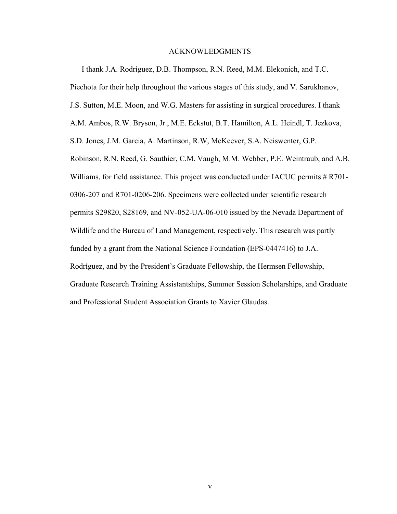### ACKNOWLEDGMENTS

I thank J.A. Rodríguez, D.B. Thompson, R.N. Reed, M.M. Elekonich, and T.C. Piechota for their help throughout the various stages of this study, and V. Sarukhanov, J.S. Sutton, M.E. Moon, and W.G. Masters for assisting in surgical procedures. I thank A.M. Ambos, R.W. Bryson, Jr., M.E. Eckstut, B.T. Hamilton, A.L. Heindl, T. Jezkova, S.D. Jones, J.M. Garcia, A. Martinson, R.W, McKeever, S.A. Neiswenter, G.P. Robinson, R.N. Reed, G. Sauthier, C.M. Vaugh, M.M. Webber, P.E. Weintraub, and A.B. Williams, for field assistance. This project was conducted under IACUC permits  $#R701-$ 0306-207 and R701-0206-206. Specimens were collected under scientific research permits S29820, S28169, and NV-052-UA-06-010 issued by the Nevada Department of Wildlife and the Bureau of Land Management, respectively. This research was partly funded by a grant from the National Science Foundation (EPS-0447416) to J.A. Rodríguez, and by the President's Graduate Fellowship, the Hermsen Fellowship, Graduate Research Training Assistantships, Summer Session Scholarships, and Graduate and Professional Student Association Grants to Xavier Glaudas.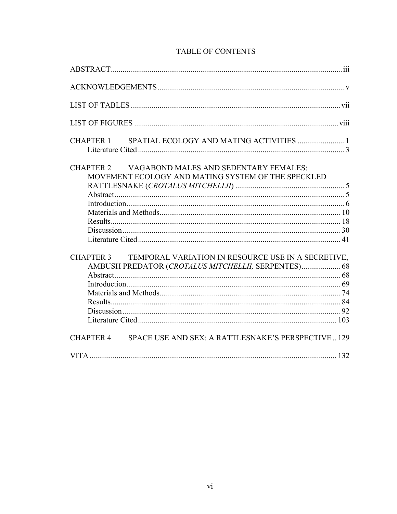| <b>TABLE OF CONTENTS</b> |  |
|--------------------------|--|
|--------------------------|--|

| CHAPTER 1        |                                                                                                           |  |
|------------------|-----------------------------------------------------------------------------------------------------------|--|
|                  | CHAPTER 2 VAGABOND MALES AND SEDENTARY FEMALES:<br>MOVEMENT ECOLOGY AND MATING SYSTEM OF THE SPECKLED     |  |
|                  |                                                                                                           |  |
| <b>CHAPTER 3</b> | TEMPORAL VARIATION IN RESOURCE USE IN A SECRETIVE,<br>AMBUSH PREDATOR (CROTALUS MITCHELLII, SERPENTES) 68 |  |
| <b>CHAPTER 4</b> | SPACE USE AND SEX: A RATTLESNAKE'S PERSPECTIVE129                                                         |  |
|                  |                                                                                                           |  |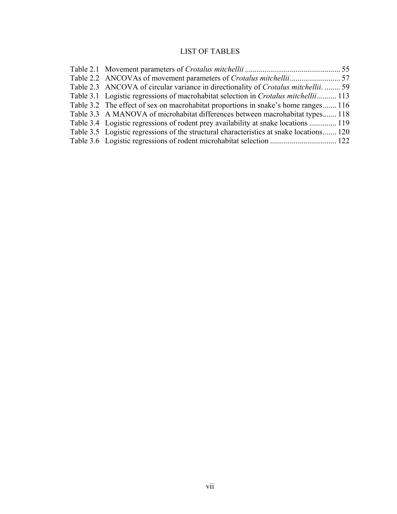# LIST OF TABLES

| Table 2.3 ANCOVA of circular variance in directionality of Crotalus mitchellii.  59     |  |
|-----------------------------------------------------------------------------------------|--|
| Table 3.1 Logistic regressions of macrohabitat selection in Crotalus mitchellii 113     |  |
| Table 3.2 The effect of sex on macrohabitat proportions in snake's home ranges 116      |  |
| Table 3.3 A MANOVA of microhabitat differences between macrohabitat types 118           |  |
| Table 3.4 Logistic regressions of rodent prey availability at snake locations  119      |  |
| Table 3.5 Logistic regressions of the structural characteristics at snake locations 120 |  |
|                                                                                         |  |
|                                                                                         |  |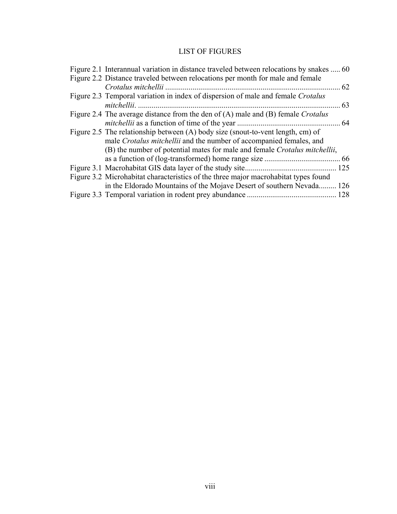# LIST OF FIGURES

| Figure 2.1 Interannual variation in distance traveled between relocations by snakes  60 |       |
|-----------------------------------------------------------------------------------------|-------|
| Figure 2.2 Distance traveled between relocations per month for male and female          |       |
| Crotalus mitchellii                                                                     | 62    |
| Figure 2.3 Temporal variation in index of dispersion of male and female Crotalus        |       |
| mitchellii.                                                                             | 63    |
| Figure 2.4 The average distance from the den of (A) male and (B) female Crotalus        |       |
| <i>mitchellii</i> as a function of time of the year                                     | 64    |
| Figure 2.5 The relationship between (A) body size (snout-to-vent length, cm) of         |       |
| male Crotalus mitchellii and the number of accompanied females, and                     |       |
| (B) the number of potential mates for male and female Crotalus mitchellii,              |       |
|                                                                                         | .66   |
|                                                                                         | . 125 |
| Figure 3.2 Microhabitat characteristics of the three major macrohabitat types found     |       |
| in the Eldorado Mountains of the Mojave Desert of southern Nevada 126                   |       |
| Figure 3.3 Temporal variation in rodent prey abundance                                  |       |
|                                                                                         |       |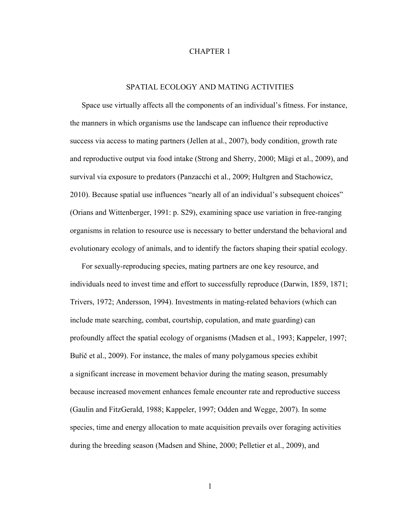### CHAPTER 1

### SPATIAL ECOLOGY AND MATING ACTIVITIES

Space use virtually affects all the components of an individual's fitness. For instance, the manners in which organisms use the landscape can influence their reproductive success via access to mating partners (Jellen at al., 2007), body condition, growth rate and reproductive output via food intake (Strong and Sherry, 2000; Mägi et al., 2009), and survival via exposure to predators (Panzacchi et al., 2009; Hultgren and Stachowicz, 2010). Because spatial use influences "nearly all of an individual's subsequent choices" (Orians and Wittenberger, 1991: p. S29), examining space use variation in free-ranging organisms in relation to resource use is necessary to better understand the behavioral and evolutionary ecology of animals, and to identify the factors shaping their spatial ecology.

For sexually-reproducing species, mating partners are one key resource, and individuals need to invest time and effort to successfully reproduce (Darwin, 1859, 1871; Trivers, 1972; Andersson, 1994). Investments in mating-related behaviors (which can include mate searching, combat, courtship, copulation, and mate guarding) can profoundly affect the spatial ecology of organisms (Madsen et al., 1993; Kappeler, 1997; Buřič et al., 2009). For instance, the males of many polygamous species exhibit a significant increase in movement behavior during the mating season, presumably because increased movement enhances female encounter rate and reproductive success (Gaulin and FitzGerald, 1988; Kappeler, 1997; Odden and Wegge, 2007). In some species, time and energy allocation to mate acquisition prevails over foraging activities during the breeding season (Madsen and Shine, 2000; Pelletier et al., 2009), and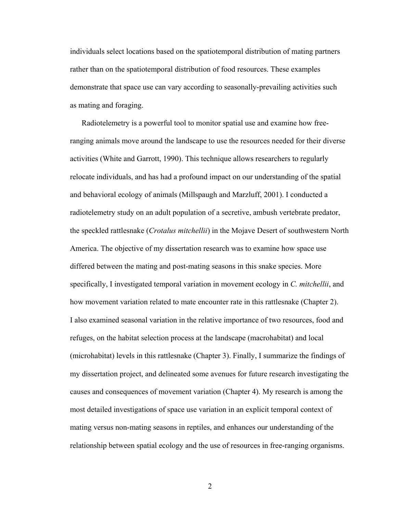individuals select locations based on the spatiotemporal distribution of mating partners rather than on the spatiotemporal distribution of food resources. These examples demonstrate that space use can vary according to seasonally-prevailing activities such as mating and foraging.

Radiotelemetry is a powerful tool to monitor spatial use and examine how freeranging animals move around the landscape to use the resources needed for their diverse activities (White and Garrott, 1990). This technique allows researchers to regularly relocate individuals, and has had a profound impact on our understanding of the spatial and behavioral ecology of animals (Millspaugh and Marzluff, 2001). I conducted a radiotelemetry study on an adult population of a secretive, ambush vertebrate predator, the speckled rattlesnake (*Crotalus mitchellii*) in the Mojave Desert of southwestern North America. The objective of my dissertation research was to examine how space use differed between the mating and post-mating seasons in this snake species. More specifically, I investigated temporal variation in movement ecology in *C. mitchellii*, and how movement variation related to mate encounter rate in this rattlesnake (Chapter 2). I also examined seasonal variation in the relative importance of two resources, food and refuges, on the habitat selection process at the landscape (macrohabitat) and local (microhabitat) levels in this rattlesnake (Chapter 3). Finally, I summarize the findings of my dissertation project, and delineated some avenues for future research investigating the causes and consequences of movement variation (Chapter 4). My research is among the most detailed investigations of space use variation in an explicit temporal context of mating versus non-mating seasons in reptiles, and enhances our understanding of the relationship between spatial ecology and the use of resources in free-ranging organisms.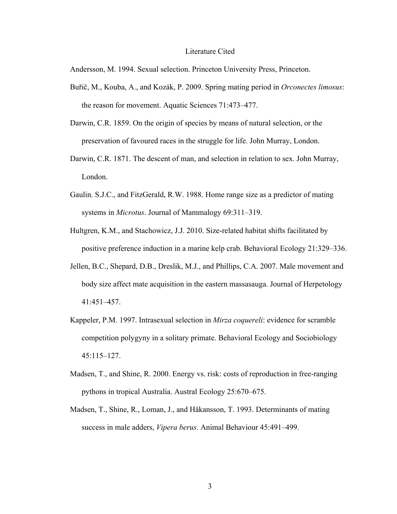### Literature Cited

Andersson, M. 1994. Sexual selection. Princeton University Press, Princeton.

- Buřič, M., Kouba, A., and Kozák, P. 2009. Spring mating period in *Orconectes limosus*: the reason for movement. Aquatic Sciences 71:473–477.
- Darwin, C.R. 1859. On the origin of species by means of natural selection, or the preservation of favoured races in the struggle for life. John Murray, London.
- Darwin, C.R. 1871. The descent of man, and selection in relation to sex. John Murray, London.
- Gaulin. S.J.C., and FitzGerald, R.W. 1988. Home range size as a predictor of mating systems in *Microtus*. Journal of Mammalogy 69:311–319.
- Hultgren, K.M., and Stachowicz, J.J. 2010. Size-related habitat shifts facilitated by positive preference induction in a marine kelp crab. Behavioral Ecology 21:329–336.
- Jellen, B.C., Shepard, D.B., Dreslik, M.J., and Phillips, C.A. 2007. Male movement and body size affect mate acquisition in the eastern massasauga. Journal of Herpetology 41:451–457.
- Kappeler, P.M. 1997. Intrasexual selection in *Mirza coquereli*: evidence for scramble competition polygyny in a solitary primate. Behavioral Ecology and Sociobiology 45:115–127.
- Madsen, T., and Shine, R. 2000. Energy vs. risk: costs of reproduction in free-ranging pythons in tropical Australia. Austral Ecology 25:670–675.
- Madsen, T., Shine, R., Loman, J., and Håkansson, T. 1993. Determinants of mating success in male adders, *Vipera berus*. Animal Behaviour 45:491–499.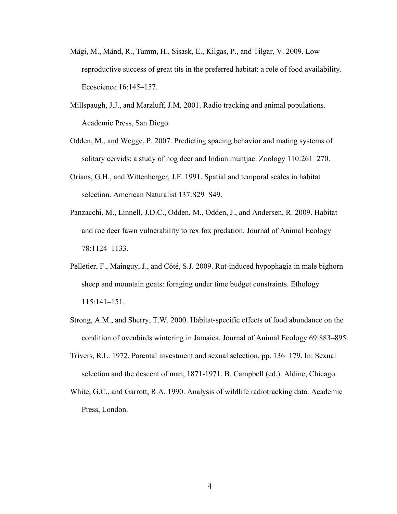- Mägi, M., Mänd, R., Tamm, H., Sisask, E., Kilgas, P., and Tilgar, V. 2009. Low reproductive success of great tits in the preferred habitat: a role of food availability. Ecoscience 16:145–157.
- Millspaugh, J.J., and Marzluff, J.M. 2001. Radio tracking and animal populations. Academic Press, San Diego.
- Odden, M., and Wegge, P. 2007. Predicting spacing behavior and mating systems of solitary cervids: a study of hog deer and Indian muntjac. Zoology 110:261–270.
- Orians, G.H., and Wittenberger, J.F. 1991. Spatial and temporal scales in habitat selection. American Naturalist 137:S29–S49.
- Panzacchi, M., Linnell, J.D.C., Odden, M., Odden, J., and Andersen, R. 2009. Habitat and roe deer fawn vulnerability to rex fox predation. Journal of Animal Ecology 78:1124–1133.
- Pelletier, F., Mainguy, J., and Côté, S.J. 2009. Rut-induced hypophagia in male bighorn sheep and mountain goats: foraging under time budget constraints. Ethology 115:141–151.
- Strong, A.M., and Sherry, T.W. 2000. Habitat-specific effects of food abundance on the condition of ovenbirds wintering in Jamaica. Journal of Animal Ecology 69:883–895.
- Trivers, R.L. 1972. Parental investment and sexual selection, pp. 136–179. In: Sexual selection and the descent of man, 1871-1971. B. Campbell (ed.). Aldine, Chicago.
- White, G.C., and Garrott, R.A. 1990. Analysis of wildlife radiotracking data. Academic Press, London.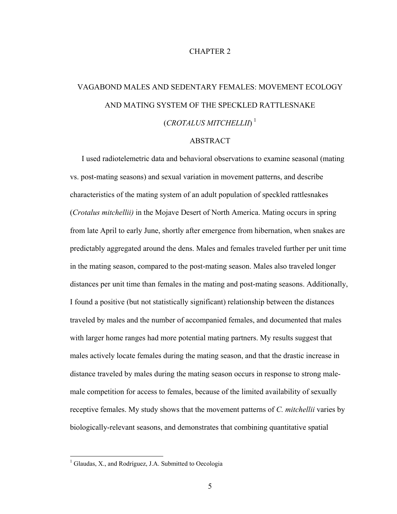### CHAPTER 2

# VAGABOND MALES AND SEDENTARY FEMALES: MOVEMENT ECOLOGY AND MATING SYSTEM OF THE SPECKLED RATTLESNAKE (*CROTALUS MITCHELLII*) [1](#page-14-0)

### ABSTRACT

I used radiotelemetric data and behavioral observations to examine seasonal (mating vs. post-mating seasons) and sexual variation in movement patterns, and describe characteristics of the mating system of an adult population of speckled rattlesnakes (*Crotalus mitchellii)* in the Mojave Desert of North America. Mating occurs in spring from late April to early June, shortly after emergence from hibernation, when snakes are predictably aggregated around the dens. Males and females traveled further per unit time in the mating season, compared to the post-mating season. Males also traveled longer distances per unit time than females in the mating and post-mating seasons. Additionally, I found a positive (but not statistically significant) relationship between the distances traveled by males and the number of accompanied females, and documented that males with larger home ranges had more potential mating partners. My results suggest that males actively locate females during the mating season, and that the drastic increase in distance traveled by males during the mating season occurs in response to strong malemale competition for access to females, because of the limited availability of sexually receptive females. My study shows that the movement patterns of *C. mitchellii* varies by biologically-relevant seasons, and demonstrates that combining quantitative spatial

 $\overline{a}$ 

<span id="page-14-0"></span><sup>&</sup>lt;sup>1</sup> Glaudas, X., and Rodríguez, J.A. Submitted to Oecologia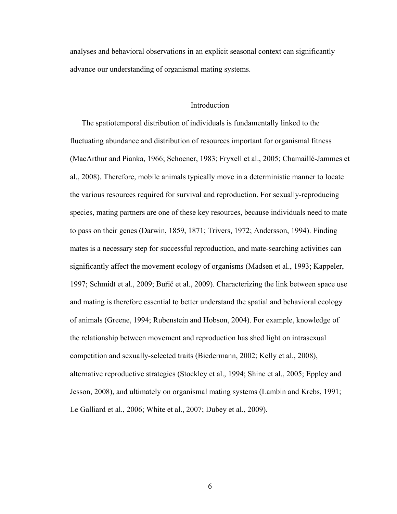analyses and behavioral observations in an explicit seasonal context can significantly advance our understanding of organismal mating systems.

### **Introduction**

The spatiotemporal distribution of individuals is fundamentally linked to the fluctuating abundance and distribution of resources important for organismal fitness (MacArthur and Pianka, 1966; Schoener, 1983; Fryxell et al., 2005; Chamaillé-Jammes et al., 2008). Therefore, mobile animals typically move in a deterministic manner to locate the various resources required for survival and reproduction. For sexually-reproducing species, mating partners are one of these key resources, because individuals need to mate to pass on their genes (Darwin, 1859, 1871; Trivers, 1972; Andersson, 1994). Finding mates is a necessary step for successful reproduction, and mate-searching activities can significantly affect the movement ecology of organisms (Madsen et al., 1993; Kappeler, 1997; Schmidt et al., 2009; Buřič et al., 2009). Characterizing the link between space use and mating is therefore essential to better understand the spatial and behavioral ecology of animals (Greene, 1994; Rubenstein and Hobson, 2004). For example, knowledge of the relationship between movement and reproduction has shed light on intrasexual competition and sexually-selected traits (Biedermann, 2002; Kelly et al., 2008), alternative reproductive strategies (Stockley et al., 1994; Shine et al., 2005; Eppley and Jesson, 2008), and ultimately on organismal mating systems (Lambin and Krebs, 1991; Le Galliard et al., 2006; White et al., 2007; Dubey et al., 2009).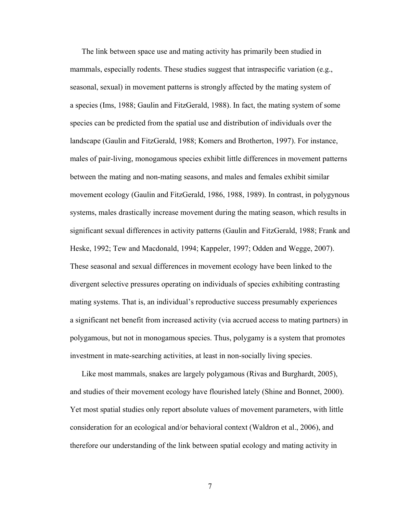The link between space use and mating activity has primarily been studied in mammals, especially rodents. These studies suggest that intraspecific variation (e.g., seasonal, sexual) in movement patterns is strongly affected by the mating system of a species (Ims, 1988; Gaulin and FitzGerald, 1988). In fact, the mating system of some species can be predicted from the spatial use and distribution of individuals over the landscape (Gaulin and FitzGerald, 1988; Komers and Brotherton, 1997). For instance, males of pair-living, monogamous species exhibit little differences in movement patterns between the mating and non-mating seasons, and males and females exhibit similar movement ecology (Gaulin and FitzGerald, 1986, 1988, 1989). In contrast, in polygynous systems, males drastically increase movement during the mating season, which results in significant sexual differences in activity patterns (Gaulin and FitzGerald, 1988; Frank and Heske, 1992; Tew and Macdonald, 1994; Kappeler, 1997; Odden and Wegge, 2007). These seasonal and sexual differences in movement ecology have been linked to the divergent selective pressures operating on individuals of species exhibiting contrasting mating systems. That is, an individual's reproductive success presumably experiences a significant net benefit from increased activity (via accrued access to mating partners) in polygamous, but not in monogamous species. Thus, polygamy is a system that promotes investment in mate-searching activities, at least in non-socially living species.

Like most mammals, snakes are largely polygamous (Rivas and Burghardt, 2005), and studies of their movement ecology have flourished lately (Shine and Bonnet, 2000). Yet most spatial studies only report absolute values of movement parameters, with little consideration for an ecological and/or behavioral context (Waldron et al., 2006), and therefore our understanding of the link between spatial ecology and mating activity in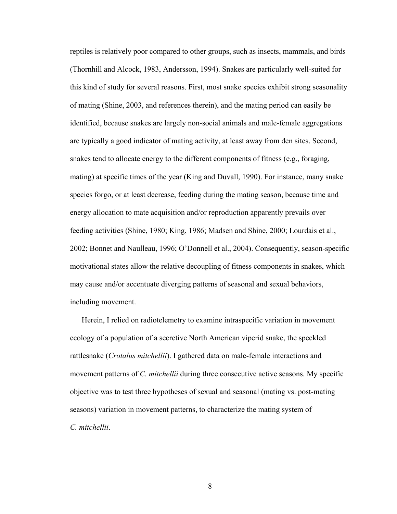reptiles is relatively poor compared to other groups, such as insects, mammals, and birds (Thornhill and Alcock, 1983, Andersson, 1994). Snakes are particularly well-suited for this kind of study for several reasons. First, most snake species exhibit strong seasonality of mating (Shine, 2003, and references therein), and the mating period can easily be identified, because snakes are largely non-social animals and male-female aggregations are typically a good indicator of mating activity, at least away from den sites. Second, snakes tend to allocate energy to the different components of fitness (e.g., foraging, mating) at specific times of the year (King and Duvall, 1990). For instance, many snake species forgo, or at least decrease, feeding during the mating season, because time and energy allocation to mate acquisition and/or reproduction apparently prevails over feeding activities (Shine, 1980; King, 1986; Madsen and Shine, 2000; Lourdais et al., 2002; Bonnet and Naulleau, 1996; O'Donnell et al., 2004). Consequently, season-specific motivational states allow the relative decoupling of fitness components in snakes, which may cause and/or accentuate diverging patterns of seasonal and sexual behaviors, including movement.

Herein, I relied on radiotelemetry to examine intraspecific variation in movement ecology of a population of a secretive North American viperid snake, the speckled rattlesnake (*Crotalus mitchellii*). I gathered data on male-female interactions and movement patterns of *C. mitchellii* during three consecutive active seasons. My specific objective was to test three hypotheses of sexual and seasonal (mating vs. post-mating seasons) variation in movement patterns, to characterize the mating system of *C. mitchellii*.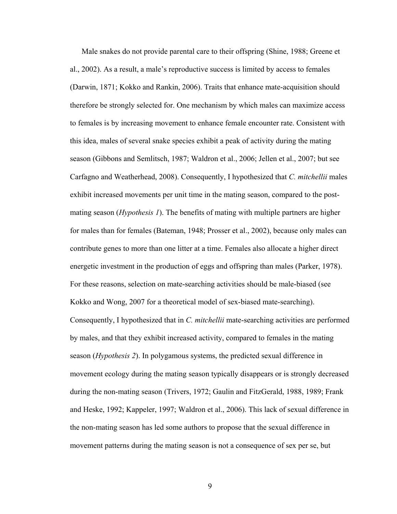Male snakes do not provide parental care to their offspring (Shine, 1988; Greene et al., 2002). As a result, a male's reproductive success is limited by access to females (Darwin, 1871; Kokko and Rankin, 2006). Traits that enhance mate-acquisition should therefore be strongly selected for. One mechanism by which males can maximize access to females is by increasing movement to enhance female encounter rate. Consistent with this idea, males of several snake species exhibit a peak of activity during the mating season (Gibbons and Semlitsch, 1987; Waldron et al., 2006; Jellen et al., 2007; but see Carfagno and Weatherhead, 2008). Consequently, I hypothesized that *C. mitchellii* males exhibit increased movements per unit time in the mating season, compared to the postmating season (*Hypothesis 1*). The benefits of mating with multiple partners are higher for males than for females (Bateman, 1948; Prosser et al., 2002), because only males can contribute genes to more than one litter at a time. Females also allocate a higher direct energetic investment in the production of eggs and offspring than males (Parker, 1978). For these reasons, selection on mate-searching activities should be male-biased (see Kokko and Wong, 2007 for a theoretical model of sex-biased mate-searching). Consequently, I hypothesized that in *C. mitchellii* mate-searching activities are performed by males, and that they exhibit increased activity, compared to females in the mating season (*Hypothesis 2*). In polygamous systems, the predicted sexual difference in movement ecology during the mating season typically disappears or is strongly decreased during the non-mating season (Trivers, 1972; Gaulin and FitzGerald, 1988, 1989; Frank and Heske, 1992; Kappeler, 1997; Waldron et al., 2006). This lack of sexual difference in the non-mating season has led some authors to propose that the sexual difference in movement patterns during the mating season is not a consequence of sex per se, but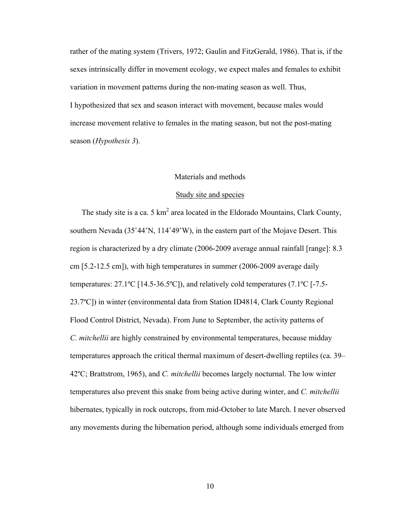rather of the mating system (Trivers, 1972; Gaulin and FitzGerald, 1986). That is, if the sexes intrinsically differ in movement ecology, we expect males and females to exhibit variation in movement patterns during the non-mating season as well. Thus, I hypothesized that sex and season interact with movement, because males would increase movement relative to females in the mating season, but not the post-mating season (*Hypothesis 3*).

### Materials and methods

### Study site and species

The study site is a ca. 5  $km^2$  area located in the Eldorado Mountains, Clark County, southern Nevada (35˚44'N, 114˚49'W), in the eastern part of the Mojave Desert. This region is characterized by a dry climate (2006-2009 average annual rainfall [range]: 8.3 cm [5.2-12.5 cm]), with high temperatures in summer (2006-2009 average daily temperatures: 27.1ºC [14.5-36.5ºC]), and relatively cold temperatures (7.1ºC [-7.5- 23.7ºC]) in winter (environmental data from Station ID4814, Clark County Regional Flood Control District, Nevada). From June to September, the activity patterns of *C. mitchellii* are highly constrained by environmental temperatures, because midday temperatures approach the critical thermal maximum of desert-dwelling reptiles (ca. 39– 42ºC; Brattstrom, 1965), and *C. mitchellii* becomes largely nocturnal. The low winter temperatures also prevent this snake from being active during winter, and *C. mitchellii* hibernates, typically in rock outcrops, from mid-October to late March. I never observed any movements during the hibernation period, although some individuals emerged from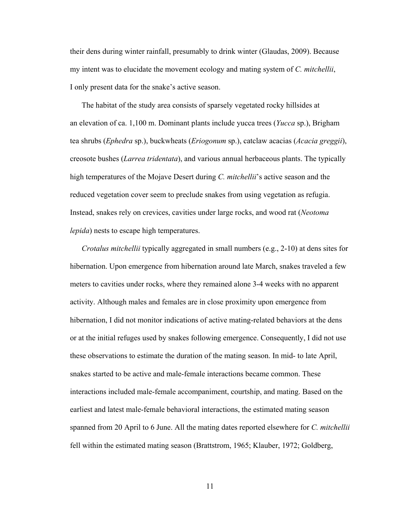their dens during winter rainfall, presumably to drink winter (Glaudas, 2009). Because my intent was to elucidate the movement ecology and mating system of *C. mitchellii*, I only present data for the snake's active season.

The habitat of the study area consists of sparsely vegetated rocky hillsides at an elevation of ca. 1,100 m. Dominant plants include yucca trees (*Yucca* sp.), Brigham tea shrubs (*Ephedra* sp.), buckwheats (*Eriogonum* sp.), catclaw acacias (*Acacia greggii*), creosote bushes (*Larrea tridentata*), and various annual herbaceous plants. The typically high temperatures of the Mojave Desert during *C. mitchellii*'s active season and the reduced vegetation cover seem to preclude snakes from using vegetation as refugia. Instead, snakes rely on crevices, cavities under large rocks, and wood rat (*Neotoma lepida*) nests to escape high temperatures.

*Crotalus mitchellii* typically aggregated in small numbers (e.g., 2-10) at dens sites for hibernation. Upon emergence from hibernation around late March, snakes traveled a few meters to cavities under rocks, where they remained alone 3-4 weeks with no apparent activity. Although males and females are in close proximity upon emergence from hibernation, I did not monitor indications of active mating-related behaviors at the dens or at the initial refuges used by snakes following emergence. Consequently, I did not use these observations to estimate the duration of the mating season. In mid- to late April, snakes started to be active and male-female interactions became common. These interactions included male-female accompaniment, courtship, and mating. Based on the earliest and latest male-female behavioral interactions, the estimated mating season spanned from 20 April to 6 June. All the mating dates reported elsewhere for *C. mitchellii* fell within the estimated mating season (Brattstrom, 1965; Klauber, 1972; Goldberg,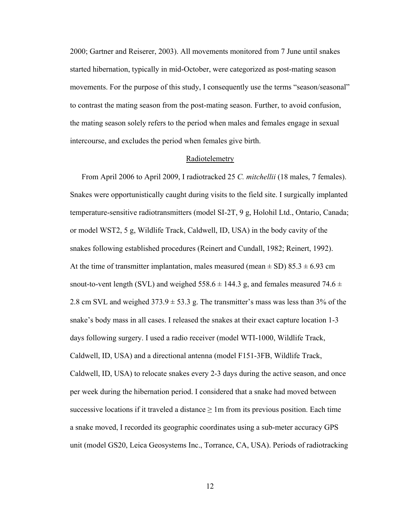2000; Gartner and Reiserer, 2003). All movements monitored from 7 June until snakes started hibernation, typically in mid-October, were categorized as post-mating season movements. For the purpose of this study, I consequently use the terms "season/seasonal" to contrast the mating season from the post-mating season. Further, to avoid confusion, the mating season solely refers to the period when males and females engage in sexual intercourse, and excludes the period when females give birth.

### Radiotelemetry

From April 2006 to April 2009, I radiotracked 25 *C. mitchellii* (18 males, 7 females). Snakes were opportunistically caught during visits to the field site. I surgically implanted temperature-sensitive radiotransmitters (model SI-2T, 9 g, Holohil Ltd., Ontario, Canada; or model WST2, 5 g, Wildlife Track, Caldwell, ID, USA) in the body cavity of the snakes following established procedures (Reinert and Cundall, 1982; Reinert, 1992). At the time of transmitter implantation, males measured (mean  $\pm$  SD) 85.3  $\pm$  6.93 cm snout-to-vent length (SVL) and weighed  $558.6 \pm 144.3$  g, and females measured  $74.6 \pm 144.3$ 2.8 cm SVL and weighed  $373.9 \pm 53.3$  g. The transmitter's mass was less than 3% of the snake's body mass in all cases. I released the snakes at their exact capture location 1-3 days following surgery. I used a radio receiver (model WTI-1000, Wildlife Track, Caldwell, ID, USA) and a directional antenna (model F151-3FB, Wildlife Track, Caldwell, ID, USA) to relocate snakes every 2-3 days during the active season, and once per week during the hibernation period. I considered that a snake had moved between successive locations if it traveled a distance  $\geq 1$ m from its previous position. Each time a snake moved, I recorded its geographic coordinates using a sub-meter accuracy GPS unit (model GS20, Leica Geosystems Inc., Torrance, CA, USA). Periods of radiotracking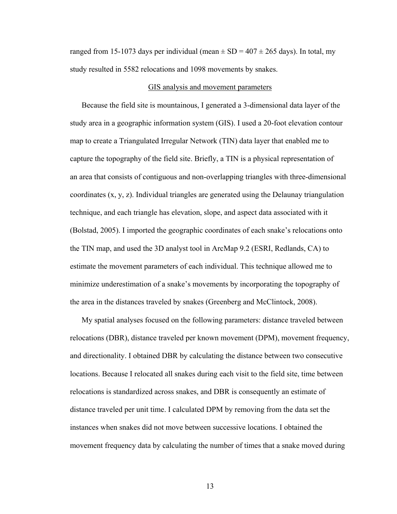ranged from 15-1073 days per individual (mean  $\pm$  SD = 407  $\pm$  265 days). In total, my study resulted in 5582 relocations and 1098 movements by snakes.

### GIS analysis and movement parameters

Because the field site is mountainous, I generated a 3-dimensional data layer of the study area in a geographic information system (GIS). I used a 20-foot elevation contour map to create a Triangulated Irregular Network (TIN) data layer that enabled me to capture the topography of the field site. Briefly, a TIN is a physical representation of an area that consists of contiguous and non-overlapping triangles with three-dimensional coordinates (x, y, z). Individual triangles are generated using the Delaunay triangulation technique, and each triangle has elevation, slope, and aspect data associated with it (Bolstad, 2005). I imported the geographic coordinates of each snake's relocations onto the TIN map, and used the 3D analyst tool in ArcMap 9.2 (ESRI, Redlands, CA) to estimate the movement parameters of each individual. This technique allowed me to minimize underestimation of a snake's movements by incorporating the topography of the area in the distances traveled by snakes (Greenberg and McClintock, 2008).

My spatial analyses focused on the following parameters: distance traveled between relocations (DBR), distance traveled per known movement (DPM), movement frequency, and directionality. I obtained DBR by calculating the distance between two consecutive locations. Because I relocated all snakes during each visit to the field site, time between relocations is standardized across snakes, and DBR is consequently an estimate of distance traveled per unit time. I calculated DPM by removing from the data set the instances when snakes did not move between successive locations. I obtained the movement frequency data by calculating the number of times that a snake moved during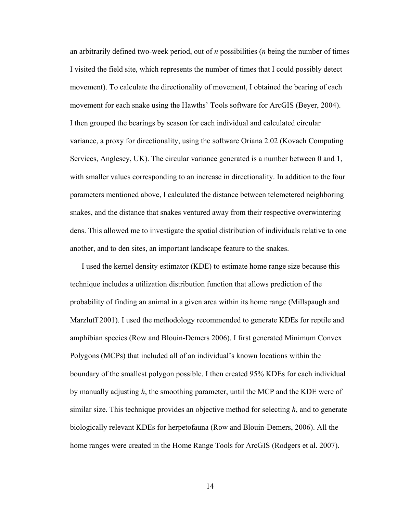an arbitrarily defined two-week period, out of *n* possibilities (*n* being the number of times I visited the field site, which represents the number of times that I could possibly detect movement). To calculate the directionality of movement, I obtained the bearing of each movement for each snake using the Hawths' Tools software for ArcGIS (Beyer, 2004). I then grouped the bearings by season for each individual and calculated circular variance, a proxy for directionality, using the software Oriana 2.02 (Kovach Computing Services, Anglesey, UK). The circular variance generated is a number between 0 and 1, with smaller values corresponding to an increase in directionality. In addition to the four parameters mentioned above, I calculated the distance between telemetered neighboring snakes, and the distance that snakes ventured away from their respective overwintering dens. This allowed me to investigate the spatial distribution of individuals relative to one another, and to den sites, an important landscape feature to the snakes.

I used the kernel density estimator (KDE) to estimate home range size because this technique includes a utilization distribution function that allows prediction of the probability of finding an animal in a given area within its home range (Millspaugh and Marzluff 2001). I used the methodology recommended to generate KDEs for reptile and amphibian species (Row and Blouin-Demers 2006). I first generated Minimum Convex Polygons (MCPs) that included all of an individual's known locations within the boundary of the smallest polygon possible. I then created 95% KDEs for each individual by manually adjusting *h*, the smoothing parameter, until the MCP and the KDE were of similar size. This technique provides an objective method for selecting *h*, and to generate biologically relevant KDEs for herpetofauna (Row and Blouin-Demers, 2006). All the home ranges were created in the Home Range Tools for ArcGIS (Rodgers et al. 2007).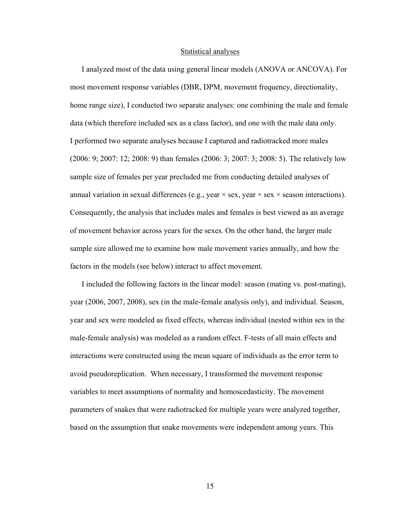#### Statistical analyses

I analyzed most of the data using general linear models (ANOVA or ANCOVA). For most movement response variables (DBR, DPM, movement frequency, directionality, home range size), I conducted two separate analyses: one combining the male and female data (which therefore included sex as a class factor), and one with the male data only. I performed two separate analyses because I captured and radiotracked more males (2006: 9; 2007: 12; 2008: 9) than females (2006: 3; 2007: 3; 2008: 5). The relatively low sample size of females per year precluded me from conducting detailed analyses of annual variation in sexual differences (e.g., year  $\times$  sex, year  $\times$  sex  $\times$  season interactions). Consequently, the analysis that includes males and females is best viewed as an average of movement behavior across years for the sexes. On the other hand, the larger male sample size allowed me to examine how male movement varies annually, and how the factors in the models (see below) interact to affect movement.

I included the following factors in the linear model: season (mating vs. post-mating), year (2006, 2007, 2008), sex (in the male-female analysis only), and individual. Season, year and sex were modeled as fixed effects, whereas individual (nested within sex in the male-female analysis) was modeled as a random effect. F-tests of all main effects and interactions were constructed using the mean square of individuals as the error term to avoid pseudoreplication. When necessary, I transformed the movement response variables to meet assumptions of normality and homoscedasticity. The movement parameters of snakes that were radiotracked for multiple years were analyzed together, based on the assumption that snake movements were independent among years. This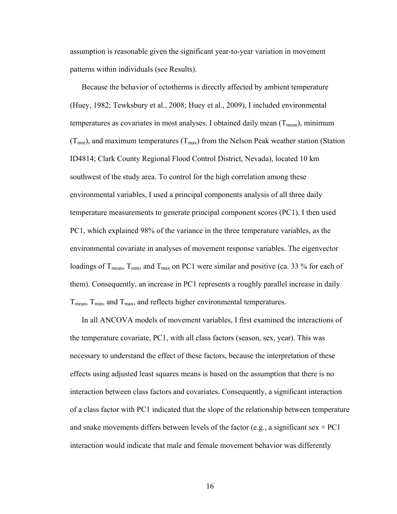assumption is reasonable given the significant year-to-year variation in movement patterns within individuals (see Results).

Because the behavior of ectotherms is directly affected by ambient temperature (Huey, 1982; Tewksbury et al., 2008; Huey et al., 2009), I included environmental temperatures as covariates in most analyses. I obtained daily mean  $(T_{mean})$ , minimum  $(T_{min})$ , and maximum temperatures  $(T_{max})$  from the Nelson Peak weather station (Station ID4814; Clark County Regional Flood Control District, Nevada), located 10 km southwest of the study area. To control for the high correlation among these environmental variables, I used a principal components analysis of all three daily temperature measurements to generate principal component scores (PC1). I then used PC1, which explained 98% of the variance in the three temperature variables, as the environmental covariate in analyses of movement response variables. The eigenvector loadings of  $T_{\text{mean}}$ ,  $T_{\text{min}}$ , and  $T_{\text{max}}$  on PC1 were similar and positive (ca. 33 % for each of them). Consequently, an increase in PC1 represents a roughly parallel increase in daily  $T_{\text{mean}}$ ,  $T_{\text{min}}$ , and  $T_{\text{max}}$ , and reflects higher environmental temperatures.

In all ANCOVA models of movement variables, I first examined the interactions of the temperature covariate, PC1, with all class factors (season, sex, year). This was necessary to understand the effect of these factors, because the interpretation of these effects using adjusted least squares means is based on the assumption that there is no interaction between class factors and covariates. Consequently, a significant interaction of a class factor with PC1 indicated that the slope of the relationship between temperature and snake movements differs between levels of the factor (e.g., a significant sex  $\times$  PC1 interaction would indicate that male and female movement behavior was differently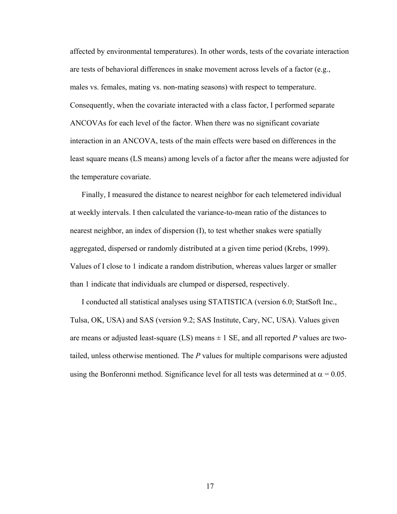affected by environmental temperatures). In other words, tests of the covariate interaction are tests of behavioral differences in snake movement across levels of a factor (e.g., males vs. females, mating vs. non-mating seasons) with respect to temperature. Consequently, when the covariate interacted with a class factor, I performed separate ANCOVAs for each level of the factor. When there was no significant covariate interaction in an ANCOVA, tests of the main effects were based on differences in the least square means (LS means) among levels of a factor after the means were adjusted for the temperature covariate.

Finally, I measured the distance to nearest neighbor for each telemetered individual at weekly intervals. I then calculated the variance-to-mean ratio of the distances to nearest neighbor, an index of dispersion (I), to test whether snakes were spatially aggregated, dispersed or randomly distributed at a given time period (Krebs, 1999). Values of I close to 1 indicate a random distribution, whereas values larger or smaller than 1 indicate that individuals are clumped or dispersed, respectively.

I conducted all statistical analyses using STATISTICA (version 6.0; StatSoft Inc., Tulsa, OK, USA) and SAS (version 9.2; SAS Institute, Cary, NC, USA). Values given are means or adjusted least-square (LS) means  $\pm$  1 SE, and all reported P values are twotailed, unless otherwise mentioned. The *P* values for multiple comparisons were adjusted using the Bonferonni method. Significance level for all tests was determined at  $\alpha = 0.05$ .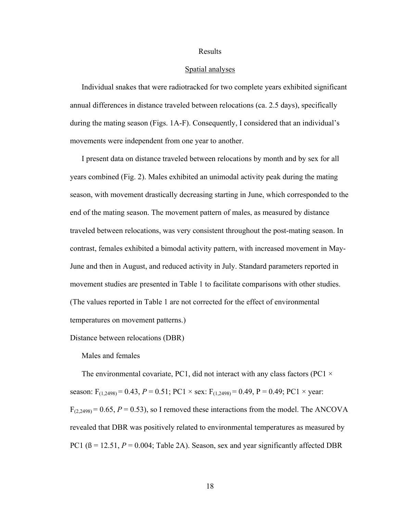### Results

### Spatial analyses

Individual snakes that were radiotracked for two complete years exhibited significant annual differences in distance traveled between relocations (ca. 2.5 days), specifically during the mating season (Figs. 1A-F). Consequently, I considered that an individual's movements were independent from one year to another.

I present data on distance traveled between relocations by month and by sex for all years combined (Fig. 2). Males exhibited an unimodal activity peak during the mating season, with movement drastically decreasing starting in June, which corresponded to the end of the mating season. The movement pattern of males, as measured by distance traveled between relocations, was very consistent throughout the post-mating season. In contrast, females exhibited a bimodal activity pattern, with increased movement in May-June and then in August, and reduced activity in July. Standard parameters reported in movement studies are presented in Table 1 to facilitate comparisons with other studies. (The values reported in Table 1 are not corrected for the effect of environmental temperatures on movement patterns.)

Distance between relocations (DBR)

Males and females

The environmental covariate, PC1, did not interact with any class factors (PC1  $\times$ season:  $F_{(1,2498)} = 0.43$ ,  $P = 0.51$ ; PC1 × sex:  $F_{(1,2498)} = 0.49$ , P = 0.49; PC1 × year:  $F_{(2,2498)} = 0.65$ ,  $P = 0.53$ ), so I removed these interactions from the model. The ANCOVA revealed that DBR was positively related to environmental temperatures as measured by PC1 ( $\beta$  = 12.51,  $P$  = 0.004; Table 2A). Season, sex and year significantly affected DBR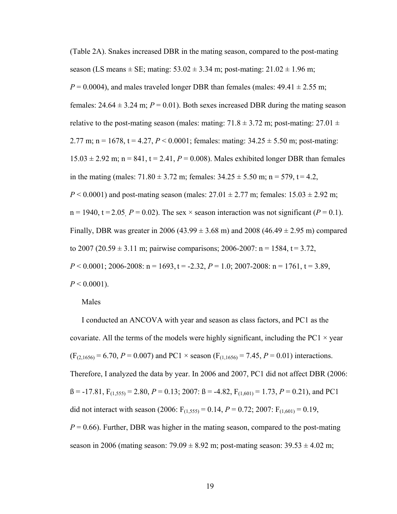(Table 2A). Snakes increased DBR in the mating season, compared to the post-mating season (LS means  $\pm$  SE; mating: 53.02  $\pm$  3.34 m; post-mating: 21.02  $\pm$  1.96 m;  $P = 0.0004$ ), and males traveled longer DBR than females (males:  $49.41 \pm 2.55$  m; females:  $24.64 \pm 3.24$  m;  $P = 0.01$ ). Both sexes increased DBR during the mating season relative to the post-mating season (males: mating:  $71.8 \pm 3.72$  m; post-mating:  $27.01 \pm 1.8$ 2.77 m; n = 1678, t = 4.27,  $P < 0.0001$ ; females: mating:  $34.25 \pm 5.50$  m; post-mating:  $15.03 \pm 2.92$  m; n = 841, t = 2.41,  $P = 0.008$ ). Males exhibited longer DBR than females in the mating (males:  $71.80 \pm 3.72$  m; females:  $34.25 \pm 5.50$  m; n = 579, t = 4.2, *P* < 0.0001) and post-mating season (males:  $27.01 \pm 2.77$  m; females:  $15.03 \pm 2.92$  m;  $n = 1940$ ,  $t = 2.05$ ,  $P = 0.02$ ). The sex  $\times$  season interaction was not significant ( $P = 0.1$ ). Finally, DBR was greater in 2006 (43.99  $\pm$  3.68 m) and 2008 (46.49  $\pm$  2.95 m) compared to 2007 (20.59  $\pm$  3.11 m; pairwise comparisons; 2006-2007: n = 1584, t = 3.72,  $P < 0.0001$ ; 2006-2008: n = 1693, t = -2.32,  $P = 1.0$ ; 2007-2008: n = 1761, t = 3.89,  $P < 0.0001$ ).

### Males

I conducted an ANCOVA with year and season as class factors, and PC1 as the covariate. All the terms of the models were highly significant, including the PC1  $\times$  year  $(F_{(2,1656)} = 6.70, P = 0.007)$  and PC1 × season  $(F_{(1,1656)} = 7.45, P = 0.01)$  interactions. Therefore, I analyzed the data by year. In 2006 and 2007, PC1 did not affect DBR (2006:  $B = -17.81$ ,  $F_{(1.555)} = 2.80$ ,  $P = 0.13$ ; 2007:  $B = -4.82$ ,  $F_{(1.601)} = 1.73$ ,  $P = 0.21$ ), and PC1 did not interact with season (2006:  $F_{(1,555)} = 0.14$ ,  $P = 0.72$ ; 2007:  $F_{(1,601)} = 0.19$ ,  $P = 0.66$ ). Further, DBR was higher in the mating season, compared to the post-mating season in 2006 (mating season:  $79.09 \pm 8.92$  m; post-mating season:  $39.53 \pm 4.02$  m;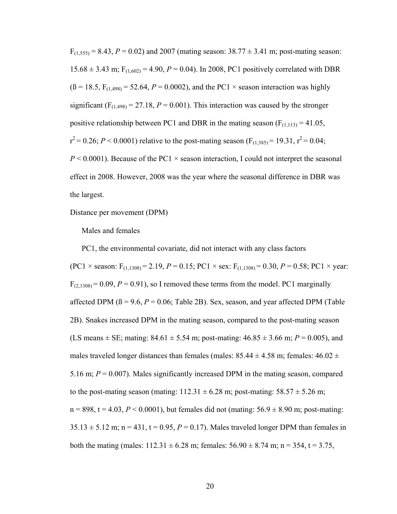$F_{(1,555)} = 8.43, P = 0.02$ ) and 2007 (mating season:  $38.77 \pm 3.41$  m; post-mating season: 15.68  $\pm$  3.43 m;  $F_{(1,602)} = 4.90$ ,  $P = 0.04$ ). In 2008, PC1 positively correlated with DBR  $(β = 18.5, F<sub>(1.498)</sub> = 52.64, P = 0.0002)$ , and the PC1 × season interaction was highly significant  $(F_{(1,498)} = 27.18, P = 0.001)$ . This interaction was caused by the stronger positive relationship between PC1 and DBR in the mating season  $(F_{(1,113)} = 41.05)$ ,  $r^2$  = 0.26; *P* < 0.0001) relative to the post-mating season (F<sub>(1,385)</sub> = 19.31,  $r^2$  = 0.04;  $P \le 0.0001$ ). Because of the PC1  $\times$  season interaction, I could not interpret the seasonal effect in 2008. However, 2008 was the year where the seasonal difference in DBR was the largest.

Distance per movement (DPM)

Males and females

PC1, the environmental covariate, did not interact with any class factors (PC1  $\times$  season: F<sub>(1,1308)</sub> = 2,19, *P* = 0.15; PC1  $\times$  sex: F<sub>(1,1308)</sub> = 0.30, *P* = 0.58; PC1  $\times$  year:  $F<sub>(2.1308)</sub> = 0.09, P = 0.91$ , so I removed these terms from the model. PC1 marginally affected DPM  $(\beta = 9.6, P = 0.06;$  Table 2B). Sex, season, and year affected DPM (Table 2B). Snakes increased DPM in the mating season, compared to the post-mating season (LS means  $\pm$  SE; mating: 84.61  $\pm$  5.54 m; post-mating: 46.85  $\pm$  3.66 m; *P* = 0.005), and males traveled longer distances than females (males:  $85.44 \pm 4.58$  m; females:  $46.02 \pm 1.58$ 5.16 m;  $P = 0.007$ ). Males significantly increased DPM in the mating season, compared to the post-mating season (mating:  $112.31 \pm 6.28$  m; post-mating:  $58.57 \pm 5.26$  m;  $n = 898$ ,  $t = 4.03$ ,  $P \le 0.0001$ ), but females did not (mating:  $56.9 \pm 8.90$  m; post-mating:  $35.13 \pm 5.12$  m; n = 431, t = 0.95, P = 0.17). Males traveled longer DPM than females in both the mating (males:  $112.31 \pm 6.28$  m; females:  $56.90 \pm 8.74$  m; n = 354, t = 3.75,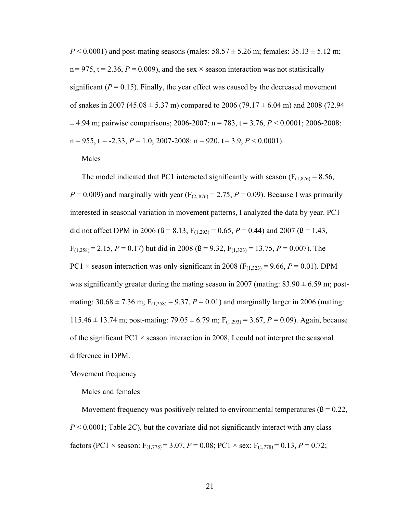$P < 0.0001$ ) and post-mating seasons (males:  $58.57 \pm 5.26$  m; females:  $35.13 \pm 5.12$  m;  $n = 975$ ,  $t = 2.36$ ,  $P = 0.009$ ), and the sex  $\times$  season interaction was not statistically significant  $(P = 0.15)$ . Finally, the year effect was caused by the decreased movement of snakes in 2007 (45.08  $\pm$  5.37 m) compared to 2006 (79.17  $\pm$  6.04 m) and 2008 (72.94  $\pm$  4.94 m; pairwise comparisons; 2006-2007: n = 783, t = 3.76, P < 0.0001; 2006-2008:  $n = 955$ ,  $t = -2.33$ ,  $P = 1.0$ ; 2007-2008:  $n = 920$ ,  $t = 3.9$ ,  $P < 0.0001$ ).

### Males

The model indicated that PC1 interacted significantly with season ( $F_{(1,876)} = 8.56$ ,  $P = 0.009$ ) and marginally with year ( $F_{(2, 876)} = 2.75$ ,  $P = 0.09$ ). Because I was primarily interested in seasonal variation in movement patterns, I analyzed the data by year. PC1 did not affect DPM in 2006 ( $\beta$  = 8.13,  $F_{(1,293)}$  = 0.65,  $P$  = 0.44) and 2007 ( $\beta$  = 1.43,  $F_{(1,258)} = 2.15$ ,  $P = 0.17$ ) but did in 2008 ( $\beta = 9.32$ ,  $F_{(1,323)} = 13.75$ ,  $P = 0.007$ ). The PC1  $\times$  season interaction was only significant in 2008 (F<sub>(1,323)</sub> = 9.66, *P* = 0.01). DPM was significantly greater during the mating season in 2007 (mating:  $83.90 \pm 6.59$  m; postmating:  $30.68 \pm 7.36$  m;  $F_{(1,258)} = 9.37$ ,  $P = 0.01$ ) and marginally larger in 2006 (mating: 115.46  $\pm$  13.74 m; post-mating: 79.05  $\pm$  6.79 m; F<sub>(1,293)</sub> = 3.67, P = 0.09). Again, because of the significant  $PC1 \times$  season interaction in 2008, I could not interpret the seasonal difference in DPM.

### Movement frequency

### Males and females

Movement frequency was positively related to environmental temperatures ( $\beta = 0.22$ , *P* < 0.0001; Table 2C), but the covariate did not significantly interact with any class factors (PC1  $\times$  season:  $F_{(1,778)} = 3.07$ ,  $P = 0.08$ ; PC1  $\times$  sex:  $F_{(1,778)} = 0.13$ ,  $P = 0.72$ ;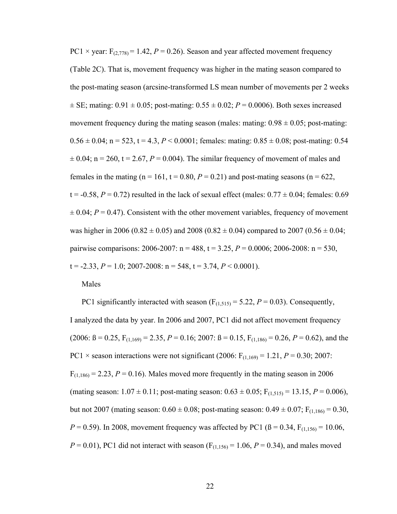PC1  $\times$  year:  $F_{(2,778)} = 1.42$ ,  $P = 0.26$ ). Season and year affected movement frequency (Table 2C). That is, movement frequency was higher in the mating season compared to the post-mating season (arcsine-transformed LS mean number of movements per 2 weeks  $\pm$  SE; mating: 0.91  $\pm$  0.05; post-mating: 0.55  $\pm$  0.02; *P* = 0.0006). Both sexes increased movement frequency during the mating season (males: mating:  $0.98 \pm 0.05$ ; post-mating:  $0.56 \pm 0.04$ ; n = 523, t = 4.3, P < 0.0001; females: mating: 0.85  $\pm$  0.08; post-mating: 0.54  $\pm$  0.04; n = 260, t = 2.67, P = 0.004). The similar frequency of movement of males and females in the mating ( $n = 161$ ,  $t = 0.80$ ,  $P = 0.21$ ) and post-mating seasons ( $n = 622$ ,  $t = -0.58$ ,  $P = 0.72$ ) resulted in the lack of sexual effect (males:  $0.77 \pm 0.04$ ; females: 0.69  $\pm$  0.04;  $P = 0.47$ ). Consistent with the other movement variables, frequency of movement was higher in 2006 (0.82  $\pm$  0.05) and 2008 (0.82  $\pm$  0.04) compared to 2007 (0.56  $\pm$  0.04; pairwise comparisons: 2006-2007: n = 488, t = 3.25, *P* = 0.0006; 2006-2008: n = 530,  $t = -2.33$ ,  $P = 1.0$ ; 2007-2008:  $n = 548$ ,  $t = 3.74$ ,  $P < 0.0001$ ).

Males

PC1 significantly interacted with season  $(F<sub>(1,515)</sub> = 5.22, P = 0.03)$ . Consequently, I analyzed the data by year. In 2006 and 2007, PC1 did not affect movement frequency  $(2006: B = 0.25, F<sub>(1,169)</sub> = 2.35, P = 0.16; 2007: B = 0.15, F<sub>(1,186)</sub> = 0.26, P = 0.62)$ , and the PC1  $\times$  season interactions were not significant (2006: F<sub>(1,169)</sub> = 1,21, *P* = 0.30; 2007:  $F_{(1,186)} = 2.23$ ,  $P = 0.16$ ). Males moved more frequently in the mating season in 2006 (mating season:  $1.07 \pm 0.11$ ; post-mating season:  $0.63 \pm 0.05$ ; F<sub>(1,515)</sub> = 13.15, P = 0.006), but not 2007 (mating season:  $0.60 \pm 0.08$ ; post-mating season:  $0.49 \pm 0.07$ ; F<sub>(1,186)</sub> = 0.30, *P* = 0.59). In 2008, movement frequency was affected by PC1 ( $\beta$  = 0.34, F<sub>(1,156)</sub> = 10.06, *P* = 0.01), PC1 did not interact with season ( $F_{(1,156)} = 1.06$ , *P* = 0.34), and males moved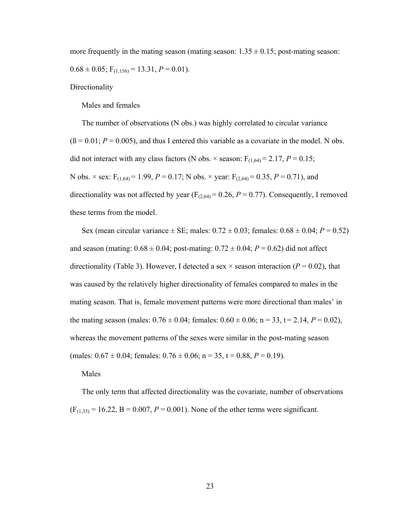more frequently in the mating season (mating season:  $1.35 \pm 0.15$ ; post-mating season:  $0.68 \pm 0.05$ ;  $F_{(1,156)} = 13.31$ ,  $P = 0.01$ ).

**Directionality** 

Males and females

The number of observations (N obs.) was highly correlated to circular variance  $(6 = 0.01; P = 0.005)$ , and thus I entered this variable as a covariate in the model. N obs. did not interact with any class factors (N obs.  $\times$  season:  $F_{(1,64)} = 2.17$ ,  $P = 0.15$ ; N obs.  $\times$  sex:  $F_{(1,64)} = 1.99$ ,  $P = 0.17$ ; N obs.  $\times$  year:  $F_{(2,64)} = 0.35$ ,  $P = 0.71$ ), and directionality was not affected by year  $(F<sub>(2,64)</sub> = 0.26, P = 0.77)$ . Consequently, I removed these terms from the model.

Sex (mean circular variance  $\pm$  SE; males:  $0.72 \pm 0.03$ ; females:  $0.68 \pm 0.04$ ;  $P = 0.52$ ) and season (mating:  $0.68 \pm 0.04$ ; post-mating:  $0.72 \pm 0.04$ ;  $P = 0.62$ ) did not affect directionality (Table 3). However, I detected a sex  $\times$  season interaction ( $P = 0.02$ ), that was caused by the relatively higher directionality of females compared to males in the mating season. That is, female movement patterns were more directional than males' in the mating season (males:  $0.76 \pm 0.04$ ; females:  $0.60 \pm 0.06$ ; n = 33, t = 2.14,  $P = 0.02$ ), whereas the movement patterns of the sexes were similar in the post-mating season (males:  $0.67 \pm 0.04$ ; females:  $0.76 \pm 0.06$ ; n = 35, t = 0.88, P = 0.19).

Males

The only term that affected directionality was the covariate, number of observations  $(F_{(1,35)} = 16.22, B = 0.007, P = 0.001)$ . None of the other terms were significant.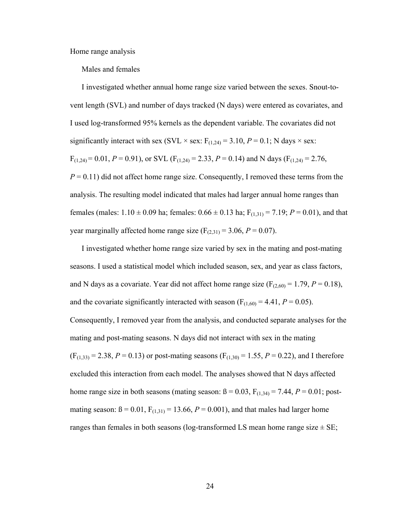Home range analysis

Males and females

I investigated whether annual home range size varied between the sexes. Snout-tovent length (SVL) and number of days tracked (N days) were entered as covariates, and I used log-transformed 95% kernels as the dependent variable. The covariates did not significantly interact with sex (SVL  $\times$  sex: F<sub>(1,24)</sub> = 3.10, *P* = 0.1; N days  $\times$  sex:  $F_{(1,24)} = 0.01, P = 0.91$ , or SVL ( $F_{(1,24)} = 2.33, P = 0.14$ ) and N days ( $F_{(1,24)} = 2.76$ ,  $P = 0.11$ ) did not affect home range size. Consequently, I removed these terms from the analysis. The resulting model indicated that males had larger annual home ranges than females (males:  $1.10 \pm 0.09$  ha; females:  $0.66 \pm 0.13$  ha;  $F_{(1,31)} = 7.19$ ;  $P = 0.01$ ), and that year marginally affected home range size  $(F_{(2,31)} = 3.06, P = 0.07)$ .

I investigated whether home range size varied by sex in the mating and post-mating seasons. I used a statistical model which included season, sex, and year as class factors, and N days as a covariate. Year did not affect home range size  $(F_{(2,60)} = 1.79, P = 0.18)$ , and the covariate significantly interacted with season  $(F_{(1,60)} = 4.41, P = 0.05)$ . Consequently, I removed year from the analysis, and conducted separate analyses for the mating and post-mating seasons. N days did not interact with sex in the mating  $(F<sub>(1,33)</sub> = 2.38, P = 0.13)$  or post-mating seasons  $(F<sub>(1,30)</sub> = 1.55, P = 0.22)$ , and I therefore excluded this interaction from each model. The analyses showed that N days affected home range size in both seasons (mating season:  $\beta = 0.03$ ,  $F_{(1,34)} = 7.44$ ,  $P = 0.01$ ; postmating season:  $B = 0.01$ ,  $F_{(1,31)} = 13.66$ ,  $P = 0.001$ ), and that males had larger home ranges than females in both seasons (log-transformed LS mean home range size  $\pm$  SE;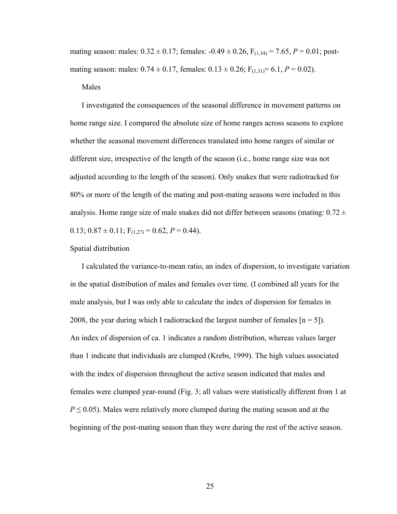mating season: males:  $0.32 \pm 0.17$ ; females:  $-0.49 \pm 0.26$ ,  $F_{(1,34)} = 7.65$ ,  $P = 0.01$ ; postmating season: males:  $0.74 \pm 0.17$ , females:  $0.13 \pm 0.26$ ; F<sub>(1,31)</sub> = 6.1, *P* = 0.02).

Males

I investigated the consequences of the seasonal difference in movement patterns on home range size. I compared the absolute size of home ranges across seasons to explore whether the seasonal movement differences translated into home ranges of similar or different size, irrespective of the length of the season (i.e., home range size was not adjusted according to the length of the season). Only snakes that were radiotracked for 80% or more of the length of the mating and post-mating seasons were included in this analysis. Home range size of male snakes did not differ between seasons (mating:  $0.72 \pm$ 0.13;  $0.87 \pm 0.11$ ;  $F_{(1,27)} = 0.62$ ,  $P = 0.44$ ).

### Spatial distribution

I calculated the variance-to-mean ratio, an index of dispersion, to investigate variation in the spatial distribution of males and females over time. (I combined all years for the male analysis, but I was only able to calculate the index of dispersion for females in 2008, the year during which I radiotracked the largest number of females  $[n = 5]$ . An index of dispersion of ca. 1 indicates a random distribution, whereas values larger than 1 indicate that individuals are clumped (Krebs, 1999). The high values associated with the index of dispersion throughout the active season indicated that males and females were clumped year-round (Fig. 3; all values were statistically different from 1 at  $P \leq 0.05$ ). Males were relatively more clumped during the mating season and at the beginning of the post-mating season than they were during the rest of the active season.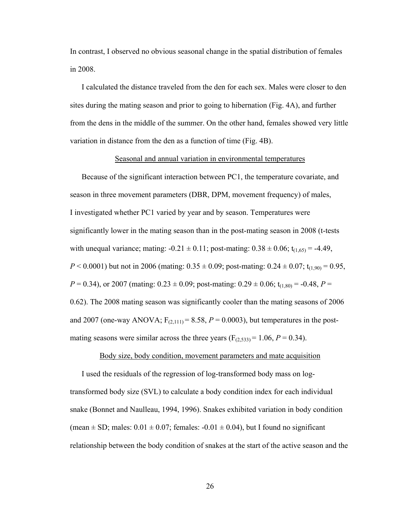In contrast, I observed no obvious seasonal change in the spatial distribution of females in 2008.

I calculated the distance traveled from the den for each sex. Males were closer to den sites during the mating season and prior to going to hibernation (Fig. 4A), and further from the dens in the middle of the summer. On the other hand, females showed very little variation in distance from the den as a function of time (Fig. 4B).

### Seasonal and annual variation in environmental temperatures

Because of the significant interaction between PC1, the temperature covariate, and season in three movement parameters (DBR, DPM, movement frequency) of males, I investigated whether PC1 varied by year and by season. Temperatures were significantly lower in the mating season than in the post-mating season in 2008 (t-tests with unequal variance; mating:  $-0.21 \pm 0.11$ ; post-mating:  $0.38 \pm 0.06$ ;  $t_{(1,65)} = -4.49$ , *P* < 0.0001) but not in 2006 (mating:  $0.35 \pm 0.09$ ; post-mating:  $0.24 \pm 0.07$ ; t<sub>(1,90)</sub> = 0.95, *P* = 0.34), or 2007 (mating:  $0.23 \pm 0.09$ ; post-mating:  $0.29 \pm 0.06$ ;  $t_{(1,80)} = -0.48$ , *P* = 0.62). The 2008 mating season was significantly cooler than the mating seasons of 2006 and 2007 (one-way ANOVA;  $F_{(2,111)} = 8.58$ ,  $P = 0.0003$ ), but temperatures in the postmating seasons were similar across the three years  $(F<sub>(2,533)</sub> = 1.06, P = 0.34)$ .

### Body size, body condition, movement parameters and mate acquisition

I used the residuals of the regression of log-transformed body mass on logtransformed body size (SVL) to calculate a body condition index for each individual snake (Bonnet and Naulleau, 1994, 1996). Snakes exhibited variation in body condition (mean  $\pm$  SD; males: 0.01  $\pm$  0.07; females: -0.01  $\pm$  0.04), but I found no significant relationship between the body condition of snakes at the start of the active season and the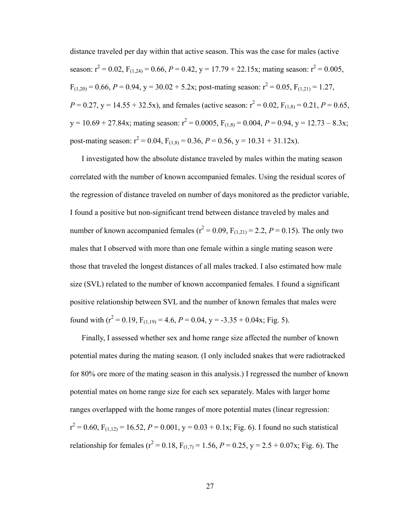distance traveled per day within that active season. This was the case for males (active season:  $r^2 = 0.02$ ,  $F_{(1,24)} = 0.66$ ,  $P = 0.42$ ,  $y = 17.79 + 22.15x$ ; mating season:  $r^2 = 0.005$ ,  $F_{(1,20)} = 0.66$ ,  $P = 0.94$ ,  $y = 30.02 + 5.2x$ ; post-mating season:  $r^2 = 0.05$ ,  $F_{(1,21)} = 1.27$ ,  $P = 0.27$ ,  $y = 14.55 + 32.5x$ , and females (active season:  $r^2 = 0.02$ ,  $F_{(1,8)} = 0.21$ ,  $P = 0.65$ ,  $y = 10.69 + 27.84x$ ; mating season:  $r^2 = 0.0005$ ,  $F_{(1,8)} = 0.004$ ,  $P = 0.94$ ,  $y = 12.73 - 8.3x$ ; post-mating season:  $r^2 = 0.04$ ,  $F_{(1,8)} = 0.36$ ,  $P = 0.56$ ,  $y = 10.31 + 31.12x$ .

I investigated how the absolute distance traveled by males within the mating season correlated with the number of known accompanied females. Using the residual scores of the regression of distance traveled on number of days monitored as the predictor variable, I found a positive but non-significant trend between distance traveled by males and number of known accompanied females ( $r^2 = 0.09$ ,  $F_{(1,21)} = 2.2$ ,  $P = 0.15$ ). The only two males that I observed with more than one female within a single mating season were those that traveled the longest distances of all males tracked. I also estimated how male size (SVL) related to the number of known accompanied females. I found a significant positive relationship between SVL and the number of known females that males were found with ( $r^2 = 0.19$ ,  $F_{(1,19)} = 4.6$ ,  $P = 0.04$ ,  $y = -3.35 + 0.04x$ ; Fig. 5).

Finally, I assessed whether sex and home range size affected the number of known potential mates during the mating season. (I only included snakes that were radiotracked for 80% ore more of the mating season in this analysis.) I regressed the number of known potential mates on home range size for each sex separately. Males with larger home ranges overlapped with the home ranges of more potential mates (linear regression:  $r^2 = 0.60$ ,  $F_{(1,12)} = 16.52$ ,  $P = 0.001$ ,  $y = 0.03 + 0.1x$ ; Fig. 6). I found no such statistical relationship for females ( $r^2 = 0.18$ ,  $F_{(1,7)} = 1.56$ ,  $P = 0.25$ ,  $y = 2.5 + 0.07x$ ; Fig. 6). The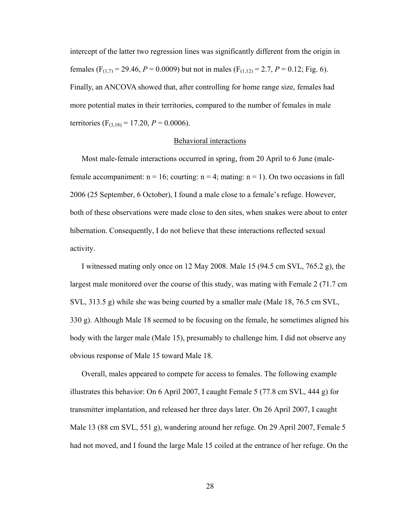intercept of the latter two regression lines was significantly different from the origin in females (F<sub>(1,7)</sub> = 29.46, *P* = 0.0009) but not in males (F<sub>(1,12)</sub> = 2.7, *P* = 0.12; Fig. 6). Finally, an ANCOVA showed that, after controlling for home range size, females had more potential mates in their territories, compared to the number of females in male territories (F<sub>(3,18)</sub> = 17.20, *P* = 0.0006).

# Behavioral interactions

Most male-female interactions occurred in spring, from 20 April to 6 June (malefemale accompaniment:  $n = 16$ ; courting:  $n = 4$ ; mating:  $n = 1$ ). On two occasions in fall 2006 (25 September, 6 October), I found a male close to a female's refuge. However, both of these observations were made close to den sites, when snakes were about to enter hibernation. Consequently, I do not believe that these interactions reflected sexual activity.

I witnessed mating only once on 12 May 2008. Male 15 (94.5 cm SVL, 765.2 g), the largest male monitored over the course of this study, was mating with Female 2 (71.7 cm SVL, 313.5 g) while she was being courted by a smaller male (Male 18, 76.5 cm SVL, 330 g). Although Male 18 seemed to be focusing on the female, he sometimes aligned his body with the larger male (Male 15), presumably to challenge him. I did not observe any obvious response of Male 15 toward Male 18.

Overall, males appeared to compete for access to females. The following example illustrates this behavior: On 6 April 2007, I caught Female 5 (77.8 cm SVL, 444 g) for transmitter implantation, and released her three days later. On 26 April 2007, I caught Male 13 (88 cm SVL, 551 g), wandering around her refuge. On 29 April 2007, Female 5 had not moved, and I found the large Male 15 coiled at the entrance of her refuge. On the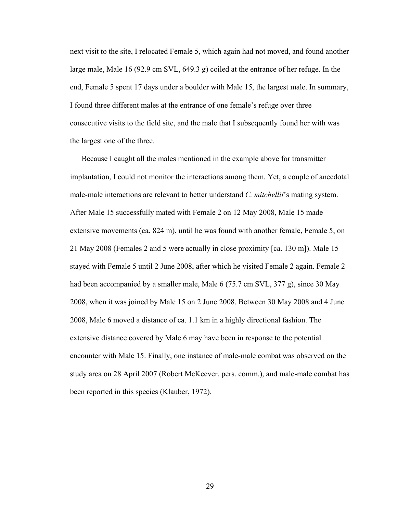next visit to the site, I relocated Female 5, which again had not moved, and found another large male, Male 16 (92.9 cm SVL, 649.3 g) coiled at the entrance of her refuge. In the end, Female 5 spent 17 days under a boulder with Male 15, the largest male. In summary, I found three different males at the entrance of one female's refuge over three consecutive visits to the field site, and the male that I subsequently found her with was the largest one of the three.

Because I caught all the males mentioned in the example above for transmitter implantation, I could not monitor the interactions among them. Yet, a couple of anecdotal male-male interactions are relevant to better understand *C. mitchellii*'s mating system. After Male 15 successfully mated with Female 2 on 12 May 2008, Male 15 made extensive movements (ca. 824 m), until he was found with another female, Female 5, on 21 May 2008 (Females 2 and 5 were actually in close proximity [ca. 130 m]). Male 15 stayed with Female 5 until 2 June 2008, after which he visited Female 2 again. Female 2 had been accompanied by a smaller male, Male 6 (75.7 cm SVL, 377 g), since 30 May 2008, when it was joined by Male 15 on 2 June 2008. Between 30 May 2008 and 4 June 2008, Male 6 moved a distance of ca. 1.1 km in a highly directional fashion. The extensive distance covered by Male 6 may have been in response to the potential encounter with Male 15. Finally, one instance of male-male combat was observed on the study area on 28 April 2007 (Robert McKeever, pers. comm.), and male-male combat has been reported in this species (Klauber, 1972).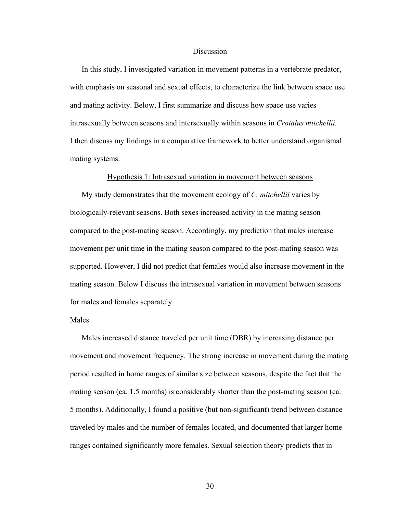#### **Discussion**

In this study, I investigated variation in movement patterns in a vertebrate predator, with emphasis on seasonal and sexual effects, to characterize the link between space use and mating activity. Below, I first summarize and discuss how space use varies intrasexually between seasons and intersexually within seasons in *Crotalus mitchellii.* I then discuss my findings in a comparative framework to better understand organismal mating systems.

#### Hypothesis 1: Intrasexual variation in movement between seasons

My study demonstrates that the movement ecology of *C. mitchellii* varies by biologically-relevant seasons. Both sexes increased activity in the mating season compared to the post-mating season. Accordingly, my prediction that males increase movement per unit time in the mating season compared to the post-mating season was supported. However, I did not predict that females would also increase movement in the mating season. Below I discuss the intrasexual variation in movement between seasons for males and females separately.

# Males

Males increased distance traveled per unit time (DBR) by increasing distance per movement and movement frequency. The strong increase in movement during the mating period resulted in home ranges of similar size between seasons, despite the fact that the mating season (ca. 1.5 months) is considerably shorter than the post-mating season (ca. 5 months). Additionally, I found a positive (but non-significant) trend between distance traveled by males and the number of females located, and documented that larger home ranges contained significantly more females. Sexual selection theory predicts that in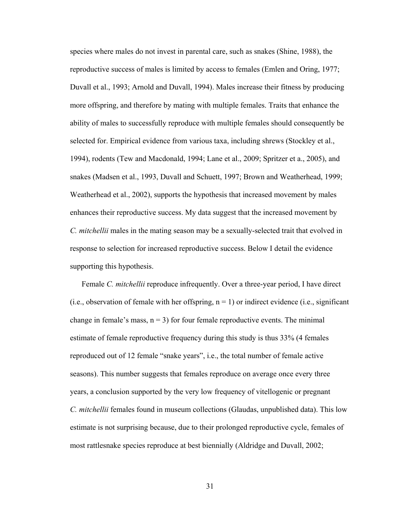species where males do not invest in parental care, such as snakes (Shine, 1988), the reproductive success of males is limited by access to females (Emlen and Oring, 1977; Duvall et al., 1993; Arnold and Duvall, 1994). Males increase their fitness by producing more offspring, and therefore by mating with multiple females. Traits that enhance the ability of males to successfully reproduce with multiple females should consequently be selected for. Empirical evidence from various taxa, including shrews (Stockley et al., 1994), rodents (Tew and Macdonald, 1994; Lane et al., 2009; Spritzer et a., 2005), and snakes (Madsen et al., 1993, Duvall and Schuett, 1997; Brown and Weatherhead, 1999; Weatherhead et al., 2002), supports the hypothesis that increased movement by males enhances their reproductive success. My data suggest that the increased movement by *C. mitchellii* males in the mating season may be a sexually-selected trait that evolved in response to selection for increased reproductive success. Below I detail the evidence supporting this hypothesis.

Female *C. mitchellii* reproduce infrequently. Over a three-year period, I have direct (i.e., observation of female with her offspring,  $n = 1$ ) or indirect evidence (i.e., significant change in female's mass,  $n = 3$ ) for four female reproductive events. The minimal estimate of female reproductive frequency during this study is thus 33% (4 females reproduced out of 12 female "snake years", i.e., the total number of female active seasons). This number suggests that females reproduce on average once every three years, a conclusion supported by the very low frequency of vitellogenic or pregnant *C. mitchellii* females found in museum collections (Glaudas, unpublished data). This low estimate is not surprising because, due to their prolonged reproductive cycle, females of most rattlesnake species reproduce at best biennially (Aldridge and Duvall, 2002;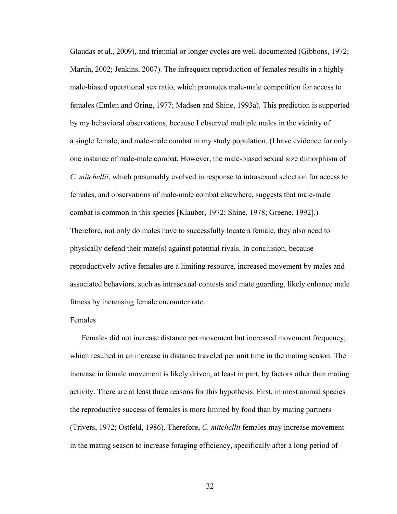Glaudas et al., 2009), and triennial or longer cycles are well-documented (Gibbons, 1972; Martin, 2002; Jenkins, 2007). The infrequent reproduction of females results in a highly male-biased operational sex ratio, which promotes male-male competition for access to females (Emlen and Oring, 1977; Madsen and Shine, 1993a). This prediction is supported by my behavioral observations, because I observed multiple males in the vicinity of a single female, and male-male combat in my study population. (I have evidence for only one instance of male-male combat. However, the male-biased sexual size dimorphism of *C. mitchellii*, which presumably evolved in response to intrasexual selection for access to females, and observations of male-male combat elsewhere, suggests that male-male combat is common in this species [Klauber, 1972; Shine, 1978; Greene, 1992].) Therefore, not only do males have to successfully locate a female, they also need to physically defend their mate(s) against potential rivals. In conclusion, because reproductively active females are a limiting resource, increased movement by males and associated behaviors, such as intrasexual contests and mate guarding, likely enhance male fitness by increasing female encounter rate.

# Females

Females did not increase distance per movement but increased movement frequency, which resulted in an increase in distance traveled per unit time in the mating season. The increase in female movement is likely driven, at least in part, by factors other than mating activity. There are at least three reasons for this hypothesis. First, in most animal species the reproductive success of females is more limited by food than by mating partners (Trivers, 1972; Ostfeld, 1986). Therefore, *C. mitchellii* females may increase movement in the mating season to increase foraging efficiency, specifically after a long period of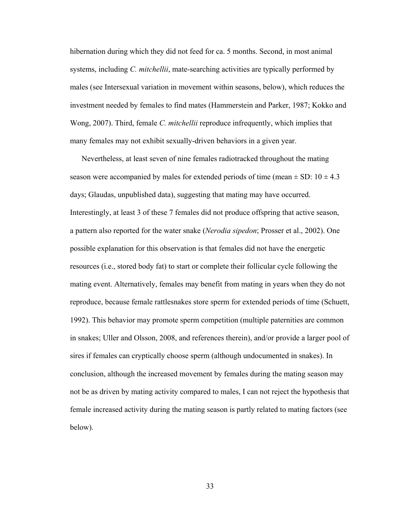hibernation during which they did not feed for ca. 5 months. Second, in most animal systems, including *C. mitchellii*, mate-searching activities are typically performed by males (see Intersexual variation in movement within seasons, below), which reduces the investment needed by females to find mates (Hammerstein and Parker, 1987; Kokko and Wong, 2007). Third, female *C. mitchellii* reproduce infrequently, which implies that many females may not exhibit sexually-driven behaviors in a given year.

Nevertheless, at least seven of nine females radiotracked throughout the mating season were accompanied by males for extended periods of time (mean  $\pm$  SD: 10  $\pm$  4.3 days; Glaudas, unpublished data), suggesting that mating may have occurred. Interestingly, at least 3 of these 7 females did not produce offspring that active season, a pattern also reported for the water snake (*Nerodia sipedon*; Prosser et al., 2002). One possible explanation for this observation is that females did not have the energetic resources (i.e., stored body fat) to start or complete their follicular cycle following the mating event. Alternatively, females may benefit from mating in years when they do not reproduce, because female rattlesnakes store sperm for extended periods of time (Schuett, 1992). This behavior may promote sperm competition (multiple paternities are common in snakes; Uller and Olsson, 2008, and references therein), and/or provide a larger pool of sires if females can cryptically choose sperm (although undocumented in snakes). In conclusion, although the increased movement by females during the mating season may not be as driven by mating activity compared to males, I can not reject the hypothesis that female increased activity during the mating season is partly related to mating factors (see below).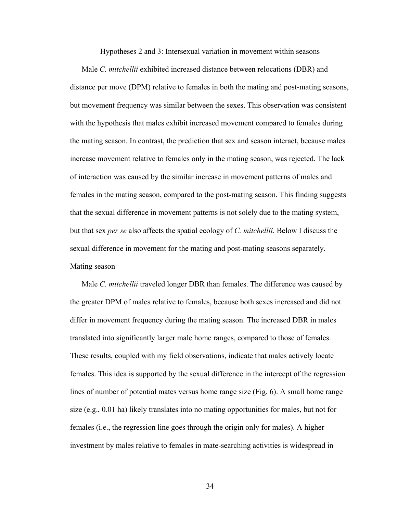#### Hypotheses 2 and 3: Intersexual variation in movement within seasons

Male *C. mitchellii* exhibited increased distance between relocations (DBR) and distance per move (DPM) relative to females in both the mating and post-mating seasons, but movement frequency was similar between the sexes. This observation was consistent with the hypothesis that males exhibit increased movement compared to females during the mating season. In contrast, the prediction that sex and season interact, because males increase movement relative to females only in the mating season, was rejected. The lack of interaction was caused by the similar increase in movement patterns of males and females in the mating season, compared to the post-mating season. This finding suggests that the sexual difference in movement patterns is not solely due to the mating system, but that sex *per se* also affects the spatial ecology of *C. mitchellii.* Below I discuss the sexual difference in movement for the mating and post-mating seasons separately. Mating season

Male *C. mitchellii* traveled longer DBR than females. The difference was caused by the greater DPM of males relative to females, because both sexes increased and did not differ in movement frequency during the mating season. The increased DBR in males translated into significantly larger male home ranges, compared to those of females. These results, coupled with my field observations, indicate that males actively locate females. This idea is supported by the sexual difference in the intercept of the regression lines of number of potential mates versus home range size (Fig. 6). A small home range size (e.g., 0.01 ha) likely translates into no mating opportunities for males, but not for females (i.e., the regression line goes through the origin only for males). A higher investment by males relative to females in mate-searching activities is widespread in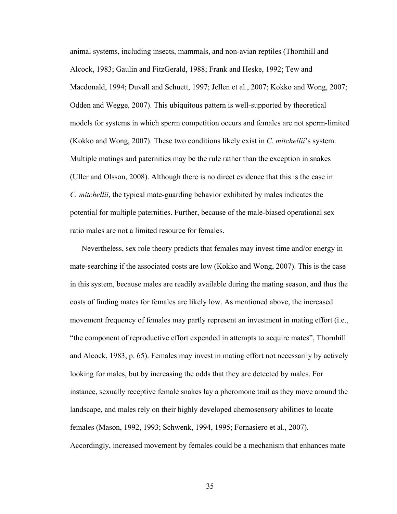animal systems, including insects, mammals, and non-avian reptiles (Thornhill and Alcock, 1983; Gaulin and FitzGerald, 1988; Frank and Heske, 1992; Tew and Macdonald, 1994; Duvall and Schuett, 1997; Jellen et al., 2007; Kokko and Wong, 2007; Odden and Wegge, 2007). This ubiquitous pattern is well-supported by theoretical models for systems in which sperm competition occurs and females are not sperm-limited (Kokko and Wong, 2007). These two conditions likely exist in *C. mitchellii*'s system. Multiple matings and paternities may be the rule rather than the exception in snakes (Uller and Olsson, 2008). Although there is no direct evidence that this is the case in *C. mitchellii*, the typical mate-guarding behavior exhibited by males indicates the potential for multiple paternities. Further, because of the male-biased operational sex ratio males are not a limited resource for females.

Nevertheless, sex role theory predicts that females may invest time and/or energy in mate-searching if the associated costs are low (Kokko and Wong, 2007). This is the case in this system, because males are readily available during the mating season, and thus the costs of finding mates for females are likely low. As mentioned above, the increased movement frequency of females may partly represent an investment in mating effort (i.e., "the component of reproductive effort expended in attempts to acquire mates", Thornhill and Alcock, 1983, p. 65). Females may invest in mating effort not necessarily by actively looking for males, but by increasing the odds that they are detected by males. For instance, sexually receptive female snakes lay a pheromone trail as they move around the landscape, and males rely on their highly developed chemosensory abilities to locate females (Mason, 1992, 1993; Schwenk, 1994, 1995; Fornasiero et al., 2007). Accordingly, increased movement by females could be a mechanism that enhances mate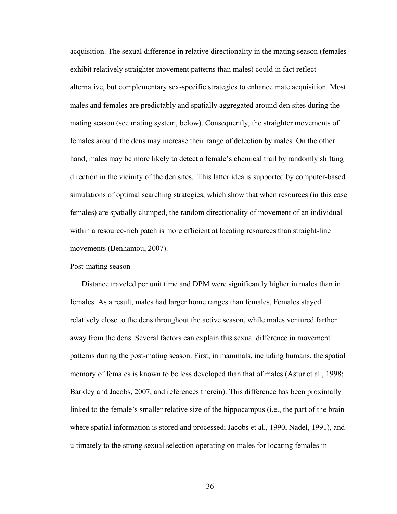acquisition. The sexual difference in relative directionality in the mating season (females exhibit relatively straighter movement patterns than males) could in fact reflect alternative, but complementary sex-specific strategies to enhance mate acquisition. Most males and females are predictably and spatially aggregated around den sites during the mating season (see mating system, below). Consequently, the straighter movements of females around the dens may increase their range of detection by males. On the other hand, males may be more likely to detect a female's chemical trail by randomly shifting direction in the vicinity of the den sites. This latter idea is supported by computer-based simulations of optimal searching strategies, which show that when resources (in this case females) are spatially clumped, the random directionality of movement of an individual within a resource-rich patch is more efficient at locating resources than straight-line movements (Benhamou, 2007).

# Post-mating season

Distance traveled per unit time and DPM were significantly higher in males than in females. As a result, males had larger home ranges than females. Females stayed relatively close to the dens throughout the active season, while males ventured farther away from the dens. Several factors can explain this sexual difference in movement patterns during the post-mating season. First, in mammals, including humans, the spatial memory of females is known to be less developed than that of males (Astur et al., 1998; Barkley and Jacobs, 2007, and references therein). This difference has been proximally linked to the female's smaller relative size of the hippocampus (i.e., the part of the brain where spatial information is stored and processed; Jacobs et al., 1990, Nadel, 1991), and ultimately to the strong sexual selection operating on males for locating females in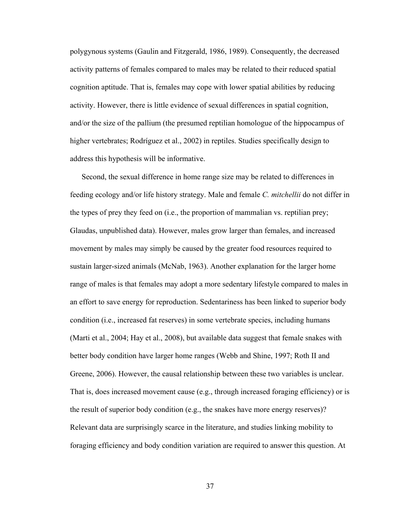polygynous systems (Gaulin and Fitzgerald, 1986, 1989). Consequently, the decreased activity patterns of females compared to males may be related to their reduced spatial cognition aptitude. That is, females may cope with lower spatial abilities by reducing activity. However, there is little evidence of sexual differences in spatial cognition, and/or the size of the pallium (the presumed reptilian homologue of the hippocampus of higher vertebrates; Rodríguez et al., 2002) in reptiles. Studies specifically design to address this hypothesis will be informative.

Second, the sexual difference in home range size may be related to differences in feeding ecology and/or life history strategy. Male and female *C. mitchellii* do not differ in the types of prey they feed on (i.e., the proportion of mammalian vs. reptilian prey; Glaudas, unpublished data). However, males grow larger than females, and increased movement by males may simply be caused by the greater food resources required to sustain larger-sized animals (McNab, 1963). Another explanation for the larger home range of males is that females may adopt a more sedentary lifestyle compared to males in an effort to save energy for reproduction. Sedentariness has been linked to superior body condition (i.e., increased fat reserves) in some vertebrate species, including humans (Marti et al., 2004; Hay et al., 2008), but available data suggest that female snakes with better body condition have larger home ranges (Webb and Shine, 1997; Roth II and Greene, 2006). However, the causal relationship between these two variables is unclear. That is, does increased movement cause (e.g., through increased foraging efficiency) or is the result of superior body condition (e.g., the snakes have more energy reserves)? Relevant data are surprisingly scarce in the literature, and studies linking mobility to foraging efficiency and body condition variation are required to answer this question. At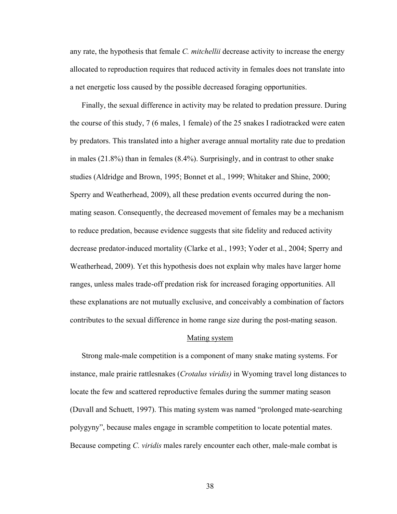any rate, the hypothesis that female *C. mitchellii* decrease activity to increase the energy allocated to reproduction requires that reduced activity in females does not translate into a net energetic loss caused by the possible decreased foraging opportunities.

Finally, the sexual difference in activity may be related to predation pressure. During the course of this study, 7 (6 males, 1 female) of the 25 snakes I radiotracked were eaten by predators. This translated into a higher average annual mortality rate due to predation in males (21.8%) than in females (8.4%). Surprisingly, and in contrast to other snake studies (Aldridge and Brown, 1995; Bonnet et al., 1999; Whitaker and Shine, 2000; Sperry and Weatherhead, 2009), all these predation events occurred during the nonmating season. Consequently, the decreased movement of females may be a mechanism to reduce predation, because evidence suggests that site fidelity and reduced activity decrease predator-induced mortality (Clarke et al., 1993; Yoder et al., 2004; Sperry and Weatherhead, 2009). Yet this hypothesis does not explain why males have larger home ranges, unless males trade-off predation risk for increased foraging opportunities. All these explanations are not mutually exclusive, and conceivably a combination of factors contributes to the sexual difference in home range size during the post-mating season.

#### Mating system

Strong male-male competition is a component of many snake mating systems. For instance, male prairie rattlesnakes (*Crotalus viridis)* in Wyoming travel long distances to locate the few and scattered reproductive females during the summer mating season (Duvall and Schuett, 1997). This mating system was named "prolonged mate-searching polygyny", because males engage in scramble competition to locate potential mates. Because competing *C. viridis* males rarely encounter each other, male-male combat is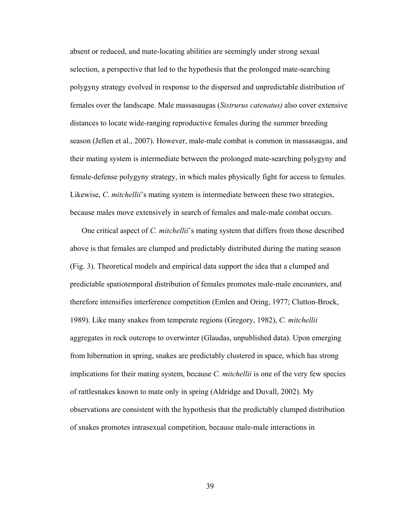absent or reduced, and mate-locating abilities are seemingly under strong sexual selection, a perspective that led to the hypothesis that the prolonged mate-searching polygyny strategy evolved in response to the dispersed and unpredictable distribution of females over the landscape. Male massasaugas (*Sistrurus catenatus)* also cover extensive distances to locate wide-ranging reproductive females during the summer breeding season (Jellen et al., 2007). However, male-male combat is common in massasaugas, and their mating system is intermediate between the prolonged mate-searching polygyny and female-defense polygyny strategy, in which males physically fight for access to females. Likewise, *C. mitchellii*'s mating system is intermediate between these two strategies, because males move extensively in search of females and male-male combat occurs.

One critical aspect of *C. mitchellii*'s mating system that differs from those described above is that females are clumped and predictably distributed during the mating season (Fig. 3). Theoretical models and empirical data support the idea that a clumped and predictable spatiotemporal distribution of females promotes male-male encounters, and therefore intensifies interference competition (Emlen and Oring, 1977; Clutton-Brock, 1989). Like many snakes from temperate regions (Gregory, 1982), *C. mitchellii*  aggregates in rock outcrops to overwinter (Glaudas, unpublished data). Upon emerging from hibernation in spring, snakes are predictably clustered in space, which has strong implications for their mating system, because *C. mitchellii* is one of the very few species of rattlesnakes known to mate only in spring (Aldridge and Duvall, 2002). My observations are consistent with the hypothesis that the predictably clumped distribution of snakes promotes intrasexual competition, because male-male interactions in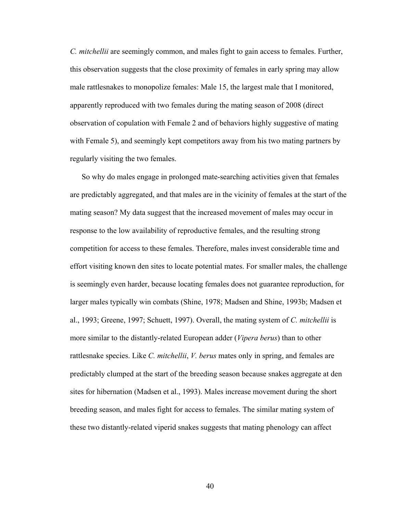*C. mitchellii* are seemingly common, and males fight to gain access to females. Further, this observation suggests that the close proximity of females in early spring may allow male rattlesnakes to monopolize females: Male 15, the largest male that I monitored, apparently reproduced with two females during the mating season of 2008 (direct observation of copulation with Female 2 and of behaviors highly suggestive of mating with Female 5), and seemingly kept competitors away from his two mating partners by regularly visiting the two females.

So why do males engage in prolonged mate-searching activities given that females are predictably aggregated, and that males are in the vicinity of females at the start of the mating season? My data suggest that the increased movement of males may occur in response to the low availability of reproductive females, and the resulting strong competition for access to these females. Therefore, males invest considerable time and effort visiting known den sites to locate potential mates. For smaller males, the challenge is seemingly even harder, because locating females does not guarantee reproduction, for larger males typically win combats (Shine, 1978; Madsen and Shine, 1993b; Madsen et al., 1993; Greene, 1997; Schuett, 1997). Overall, the mating system of *C. mitchellii* is more similar to the distantly-related European adder (*Vipera berus*) than to other rattlesnake species. Like *C. mitchellii*, *V. berus* mates only in spring, and females are predictably clumped at the start of the breeding season because snakes aggregate at den sites for hibernation (Madsen et al., 1993). Males increase movement during the short breeding season, and males fight for access to females. The similar mating system of these two distantly-related viperid snakes suggests that mating phenology can affect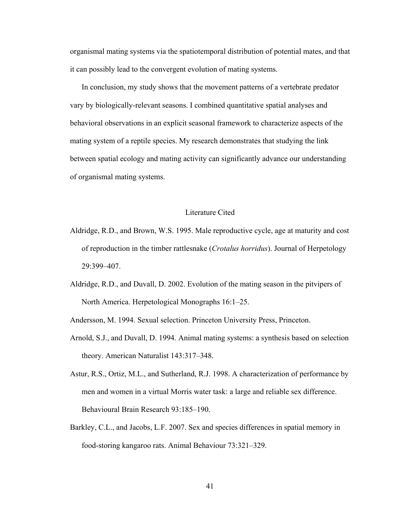organismal mating systems via the spatiotemporal distribution of potential mates, and that it can possibly lead to the convergent evolution of mating systems.

In conclusion, my study shows that the movement patterns of a vertebrate predator vary by biologically-relevant seasons. I combined quantitative spatial analyses and behavioral observations in an explicit seasonal framework to characterize aspects of the mating system of a reptile species. My research demonstrates that studying the link between spatial ecology and mating activity can significantly advance our understanding of organismal mating systems.

# Literature Cited

- Aldridge, R.D., and Brown, W.S. 1995. Male reproductive cycle, age at maturity and cost of reproduction in the timber rattlesnake (*Crotalus horridus*). Journal of Herpetology 29:399–407.
- Aldridge, R.D., and Duvall, D. 2002. Evolution of the mating season in the pitvipers of North America. Herpetological Monographs 16:1–25.

Andersson, M. 1994. Sexual selection. Princeton University Press, Princeton.

- Arnold, S.J., and Duvall, D. 1994. Animal mating systems: a synthesis based on selection theory. American Naturalist 143:317–348.
- Astur, R.S., Ortiz, M.L., and Sutherland, R.J. 1998. A characterization of performance by men and women in a virtual Morris water task: a large and reliable sex difference. Behavioural Brain Research 93:185–190.
- Barkley, C.L., and Jacobs, L.F. 2007. Sex and species differences in spatial memory in food-storing kangaroo rats. Animal Behaviour 73:321–329.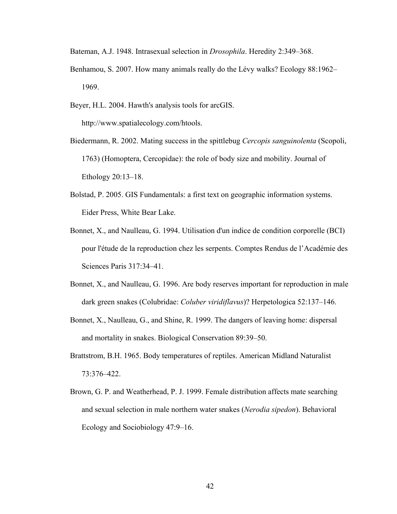Bateman, A.J. 1948. Intrasexual selection in *Drosophila*. Heredity 2:349–368.

- Benhamou, S. 2007. How many animals really do the Lévy walks? Ecology 88:1962– 1969.
- Beyer, H.L. 2004. Hawth's analysis tools for arcGIS. http://www.spatialecology.com/htools.
- Biedermann, R. 2002. Mating success in the spittlebug *Cercopis sanguinolenta* (Scopoli, 1763) (Homoptera, Cercopidae): the role of body size and mobility. Journal of Ethology 20:13–18.
- Bolstad, P. 2005. GIS Fundamentals: a first text on geographic information systems. Eider Press, White Bear Lake.
- Bonnet, X., and Naulleau, G. 1994. Utilisation d'un indice de condition corporelle (BCI) pour l'étude de la reproduction chez les serpents. Comptes Rendus de l'Académie des Sciences Paris 317:34–41.
- Bonnet, X., and Naulleau, G. 1996. Are body reserves important for reproduction in male dark green snakes (Colubridae: *Coluber viridiflavus*)? Herpetologica 52:137–146.
- Bonnet, X., Naulleau, G., and Shine, R. 1999. The dangers of leaving home: dispersal and mortality in snakes. Biological Conservation 89:39–50.
- Brattstrom, B.H. 1965. Body temperatures of reptiles. American Midland Naturalist 73:376–422.
- Brown, G. P. and Weatherhead, P. J. 1999. Female distribution affects mate searching and sexual selection in male northern water snakes (*Nerodia sipedon*). Behavioral Ecology and Sociobiology 47:9–16.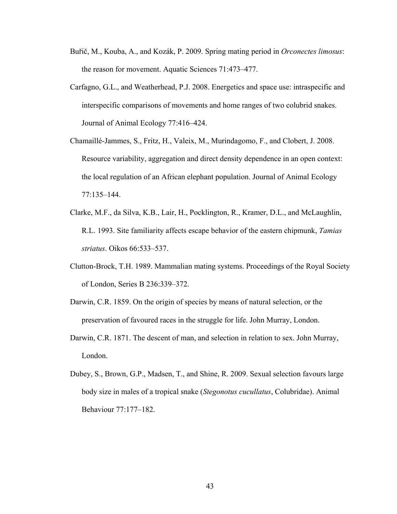- Buřič, M., Kouba, A., and Kozák, P. 2009. Spring mating period in *Orconectes limosus*: the reason for movement. Aquatic Sciences 71:473–477.
- Carfagno, G.L., and Weatherhead, P.J. 2008. Energetics and space use: intraspecific and interspecific comparisons of movements and home ranges of two colubrid snakes. Journal of Animal Ecology 77:416–424.
- Chamaillé-Jammes, S., Fritz, H., Valeix, M., Murindagomo, F., and Clobert, J. 2008. Resource variability, aggregation and direct density dependence in an open context: the local regulation of an African elephant population. Journal of Animal Ecology 77:135–144.
- Clarke, M.F., da Silva, K.B., Lair, H., Pocklington, R., Kramer, D.L., and McLaughlin, R.L. 1993. Site familiarity affects escape behavior of the eastern chipmunk, *Tamias striatus*. Oikos 66:533–537.
- Clutton-Brock, T.H. 1989. Mammalian mating systems. Proceedings of the Royal Society of London, Series B 236:339–372.
- Darwin, C.R. 1859. On the origin of species by means of natural selection, or the preservation of favoured races in the struggle for life. John Murray, London.
- Darwin, C.R. 1871. The descent of man, and selection in relation to sex. John Murray, London.
- Dubey, S., Brown, G.P., Madsen, T., and Shine, R. 2009. Sexual selection favours large body size in males of a tropical snake (*Stegonotus cucullatus*, Colubridae). Animal Behaviour 77:177–182.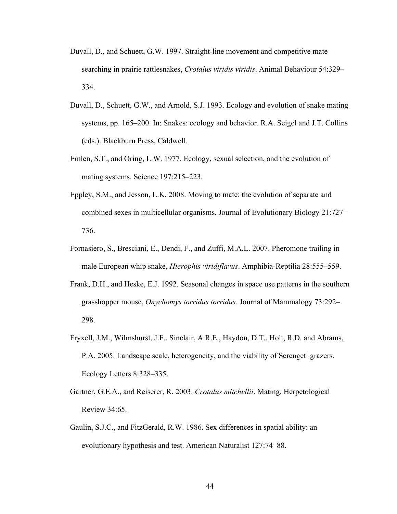- Duvall, D., and Schuett, G.W. 1997. Straight-line movement and competitive mate searching in prairie rattlesnakes, *Crotalus viridis viridis*. Animal Behaviour 54:329– 334.
- Duvall, D., Schuett, G.W., and Arnold, S.J. 1993. Ecology and evolution of snake mating systems, pp. 165–200. In: Snakes: ecology and behavior. R.A. Seigel and J.T. Collins (eds.). Blackburn Press, Caldwell.
- Emlen, S.T., and Oring, L.W. 1977. Ecology, sexual selection, and the evolution of mating systems. Science 197:215–223.
- Eppley, S.M., and Jesson, L.K. 2008. Moving to mate: the evolution of separate and combined sexes in multicellular organisms. Journal of Evolutionary Biology 21:727– 736.
- Fornasiero, S., Bresciani, E., Dendi, F., and Zuffi, M.A.L. 2007. Pheromone trailing in male European whip snake, *Hierophis viridiflavus*. Amphibia-Reptilia 28:555–559.
- Frank, D.H., and Heske, E.J. 1992. Seasonal changes in space use patterns in the southern grasshopper mouse, *Onychomys torridus torridus*. Journal of Mammalogy 73:292– 298.
- Fryxell, J.M., Wilmshurst, J.F., Sinclair, A.R.E., Haydon, D.T., Holt, R.D. and Abrams, P.A. 2005. Landscape scale, heterogeneity, and the viability of Serengeti grazers. Ecology Letters 8:328–335.
- Gartner, G.E.A., and Reiserer, R. 2003. *Crotalus mitchellii*. Mating. Herpetological Review 34:65.
- Gaulin, S.J.C., and FitzGerald, R.W. 1986. Sex differences in spatial ability: an evolutionary hypothesis and test. American Naturalist 127:74–88.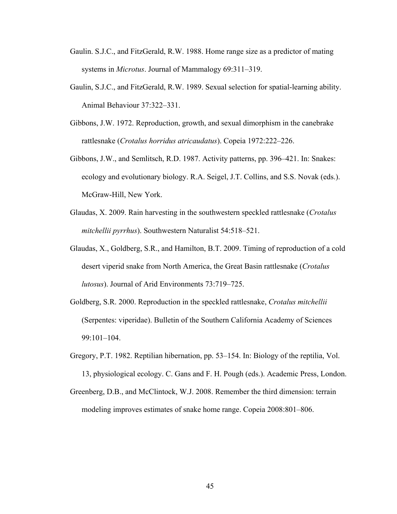- Gaulin. S.J.C., and FitzGerald, R.W. 1988. Home range size as a predictor of mating systems in *Microtus*. Journal of Mammalogy 69:311–319.
- Gaulin, S.J.C., and FitzGerald, R.W. 1989. Sexual selection for spatial-learning ability. Animal Behaviour 37:322–331.
- Gibbons, J.W. 1972. Reproduction, growth, and sexual dimorphism in the canebrake rattlesnake (*Crotalus horridus atricaudatus*). Copeia 1972:222–226.
- Gibbons, J.W., and Semlitsch, R.D. 1987. Activity patterns, pp. 396–421. In: Snakes: ecology and evolutionary biology. R.A. Seigel, J.T. Collins, and S.S. Novak (eds.). McGraw-Hill, New York.
- Glaudas, X. 2009. Rain harvesting in the southwestern speckled rattlesnake (*Crotalus mitchellii pyrrhus*). Southwestern Naturalist 54:518–521.
- Glaudas, X., Goldberg, S.R., and Hamilton, B.T. 2009. Timing of reproduction of a cold desert viperid snake from North America, the Great Basin rattlesnake (*Crotalus lutosus*). Journal of Arid Environments 73:719–725.
- Goldberg, S.R. 2000. Reproduction in the speckled rattlesnake, *Crotalus mitchellii*  (Serpentes: viperidae). Bulletin of the Southern California Academy of Sciences 99:101–104.
- Gregory, P.T. 1982. Reptilian hibernation, pp. 53–154. In: Biology of the reptilia, Vol. 13, physiological ecology. C. Gans and F. H. Pough (eds.). Academic Press, London.
- Greenberg, D.B., and McClintock, W.J. 2008. Remember the third dimension: terrain modeling improves estimates of snake home range. Copeia 2008:801–806.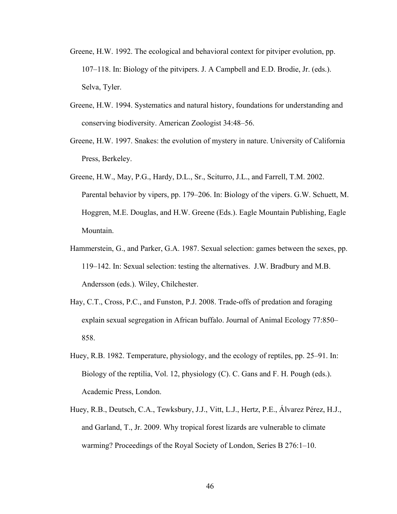- Greene, H.W. 1992. The ecological and behavioral context for pitviper evolution, pp. 107–118. In: Biology of the pitvipers. J. A Campbell and E.D. Brodie, Jr. (eds.). Selva, Tyler.
- Greene, H.W. 1994. Systematics and natural history, foundations for understanding and conserving biodiversity. American Zoologist 34:48–56.
- Greene, H.W. 1997. Snakes: the evolution of mystery in nature. University of California Press, Berkeley.
- Greene, H.W., May, P.G., Hardy, D.L., Sr., Sciturro, J.L., and Farrell, T.M. 2002. Parental behavior by vipers, pp. 179–206. In: Biology of the vipers. G.W. Schuett, M. Hoggren, M.E. Douglas, and H.W. Greene (Eds.). Eagle Mountain Publishing, Eagle Mountain.
- Hammerstein, G., and Parker, G.A. 1987. Sexual selection: games between the sexes, pp. 119–142. In: Sexual selection: testing the alternatives. J.W. Bradbury and M.B. Andersson (eds.). Wiley, Chilchester.
- Hay, C.T., Cross, P.C., and Funston, P.J. 2008. Trade-offs of predation and foraging explain sexual segregation in African buffalo. Journal of Animal Ecology 77:850– 858.
- Huey, R.B. 1982. Temperature, physiology, and the ecology of reptiles, pp. 25–91. In: Biology of the reptilia, Vol. 12, physiology (C). C. Gans and F. H. Pough (eds.). Academic Press, London.
- Huey, R.B., Deutsch, C.A., Tewksbury, J.J., Vitt, L.J., Hertz, P.E., Álvarez Pérez, H.J., and Garland, T., Jr. 2009. Why tropical forest lizards are vulnerable to climate warming? Proceedings of the Royal Society of London, Series B 276:1–10.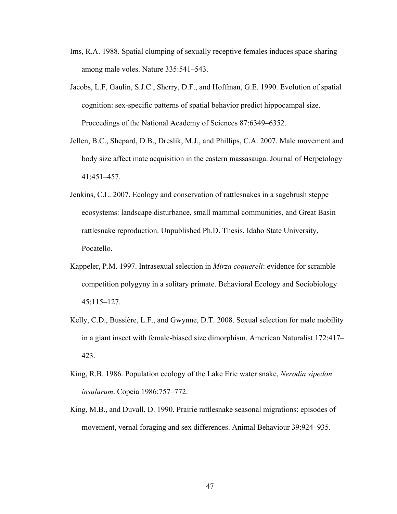- Ims, R.A. 1988. Spatial clumping of sexually receptive females induces space sharing among male voles. Nature 335:541–543.
- Jacobs, L.F, Gaulin, S.J.C., Sherry, D.F., and Hoffman, G.E. 1990. Evolution of spatial cognition: sex-specific patterns of spatial behavior predict hippocampal size. Proceedings of the National Academy of Sciences 87:6349–6352.
- Jellen, B.C., Shepard, D.B., Dreslik, M.J., and Phillips, C.A. 2007. Male movement and body size affect mate acquisition in the eastern massasauga. Journal of Herpetology 41:451–457.
- Jenkins, C.L. 2007. Ecology and conservation of rattlesnakes in a sagebrush steppe ecosystems: landscape disturbance, small mammal communities, and Great Basin rattlesnake reproduction. Unpublished Ph.D. Thesis, Idaho State University, Pocatello.
- Kappeler, P.M. 1997. Intrasexual selection in *Mirza coquereli*: evidence for scramble competition polygyny in a solitary primate. Behavioral Ecology and Sociobiology 45:115–127.
- Kelly, C.D., Bussière, L.F., and Gwynne, D.T. 2008. Sexual selection for male mobility in a giant insect with female-biased size dimorphism. American Naturalist 172:417– 423.
- King, R.B. 1986. Population ecology of the Lake Erie water snake, *Nerodia sipedon insularum*. Copeia 1986:757–772.
- King, M.B., and Duvall, D. 1990. Prairie rattlesnake seasonal migrations: episodes of movement, vernal foraging and sex differences. Animal Behaviour 39:924–935.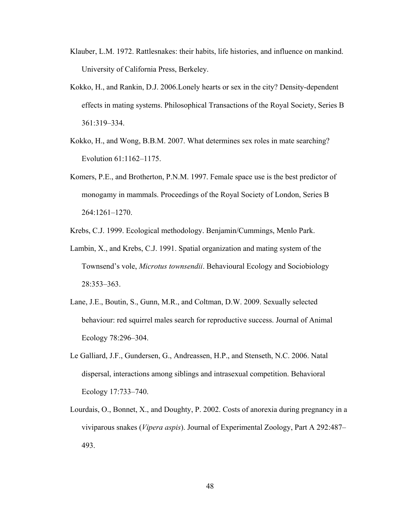- Klauber, L.M. 1972. Rattlesnakes: their habits, life histories, and influence on mankind. University of California Press, Berkeley.
- Kokko, H., and Rankin, D.J. 2006.Lonely hearts or sex in the city? Density-dependent effects in mating systems. Philosophical Transactions of the Royal Society, Series B 361:319–334.
- Kokko, H., and Wong, B.B.M. 2007. What determines sex roles in mate searching? Evolution 61:1162–1175.
- Komers, P.E., and Brotherton, P.N.M. 1997. Female space use is the best predictor of monogamy in mammals. Proceedings of the Royal Society of London, Series B 264:1261–1270.

Krebs, C.J. 1999. Ecological methodology. Benjamin/Cummings, Menlo Park.

- Lambin, X., and Krebs, C.J. 1991. Spatial organization and mating system of the Townsend's vole, *Microtus townsendii*. Behavioural Ecology and Sociobiology 28:353–363.
- Lane, J.E., Boutin, S., Gunn, M.R., and Coltman, D.W. 2009. Sexually selected behaviour: red squirrel males search for reproductive success. Journal of Animal Ecology 78:296–304.
- Le Galliard, J.F., Gundersen, G., Andreassen, H.P., and Stenseth, N.C. 2006. Natal dispersal, interactions among siblings and intrasexual competition. Behavioral Ecology 17:733–740.
- Lourdais, O., Bonnet, X., and Doughty, P. 2002. Costs of anorexia during pregnancy in a viviparous snakes (*Vipera aspis*). Journal of Experimental Zoology, Part A 292:487– 493.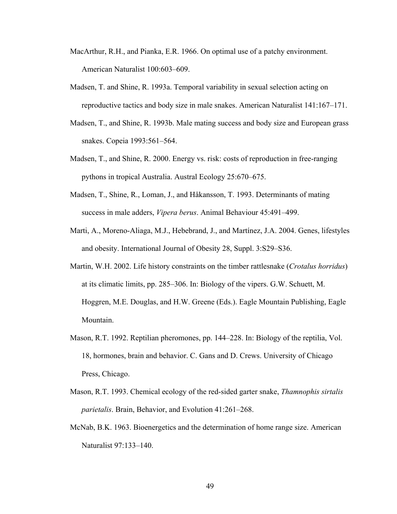- MacArthur, R.H., and Pianka, E.R. 1966. On optimal use of a patchy environment. American Naturalist 100:603–609.
- Madsen, T. and Shine, R. 1993a. Temporal variability in sexual selection acting on reproductive tactics and body size in male snakes. American Naturalist 141:167–171.
- Madsen, T., and Shine, R. 1993b. Male mating success and body size and European grass snakes. Copeia 1993:561–564.
- Madsen, T., and Shine, R. 2000. Energy vs. risk: costs of reproduction in free-ranging pythons in tropical Australia. Austral Ecology 25:670–675.
- Madsen, T., Shine, R., Loman, J., and Håkansson, T. 1993. Determinants of mating success in male adders, *Vipera berus*. Animal Behaviour 45:491–499.
- Marti, A., Moreno-Aliaga, M.J., Hebebrand, J., and Martínez, J.A. 2004. Genes, lifestyles and obesity. International Journal of Obesity 28, Suppl. 3:S29–S36.
- Martin, W.H. 2002. Life history constraints on the timber rattlesnake (*Crotalus horridus*) at its climatic limits, pp. 285–306. In: Biology of the vipers. G.W. Schuett, M. Hoggren, M.E. Douglas, and H.W. Greene (Eds.). Eagle Mountain Publishing, Eagle Mountain.
- Mason, R.T. 1992. Reptilian pheromones, pp. 144–228. In: Biology of the reptilia, Vol. 18, hormones, brain and behavior. C. Gans and D. Crews. University of Chicago Press, Chicago.
- Mason, R.T. 1993. Chemical ecology of the red-sided garter snake, *Thamnophis sirtalis parietalis*. Brain, Behavior, and Evolution 41:261–268.
- McNab, B.K. 1963. Bioenergetics and the determination of home range size. American Naturalist 97:133–140.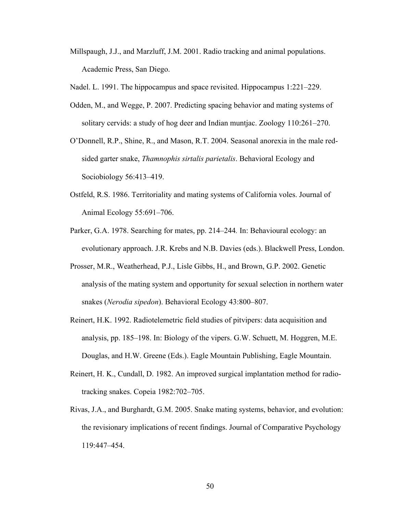- Millspaugh, J.J., and Marzluff, J.M. 2001. Radio tracking and animal populations. Academic Press, San Diego.
- Nadel. L. 1991. The hippocampus and space revisited. Hippocampus 1:221–229.
- Odden, M., and Wegge, P. 2007. Predicting spacing behavior and mating systems of solitary cervids: a study of hog deer and Indian muntjac. Zoology 110:261–270.
- O'Donnell, R.P., Shine, R., and Mason, R.T. 2004. Seasonal anorexia in the male redsided garter snake, *Thamnophis sirtalis parietalis*. Behavioral Ecology and Sociobiology 56:413–419.
- Ostfeld, R.S. 1986. Territoriality and mating systems of California voles. Journal of Animal Ecology 55:691–706.
- Parker, G.A. 1978. Searching for mates, pp. 214–244*.* In: Behavioural ecology: an evolutionary approach. J.R. Krebs and N.B. Davies (eds.). Blackwell Press, London.
- Prosser, M.R., Weatherhead, P.J., Lisle Gibbs, H., and Brown, G.P. 2002. Genetic analysis of the mating system and opportunity for sexual selection in northern water snakes (*Nerodia sipedon*). Behavioral Ecology 43:800–807.
- Reinert, H.K. 1992. Radiotelemetric field studies of pitvipers: data acquisition and analysis, pp. 185–198. In: Biology of the vipers. G.W. Schuett, M. Hoggren, M.E. Douglas, and H.W. Greene (Eds.). Eagle Mountain Publishing, Eagle Mountain.
- Reinert, H. K., Cundall, D. 1982. An improved surgical implantation method for radiotracking snakes. Copeia 1982:702–705.
- Rivas, J.A., and Burghardt, G.M. 2005. Snake mating systems, behavior, and evolution: the revisionary implications of recent findings. Journal of Comparative Psychology 119:447–454.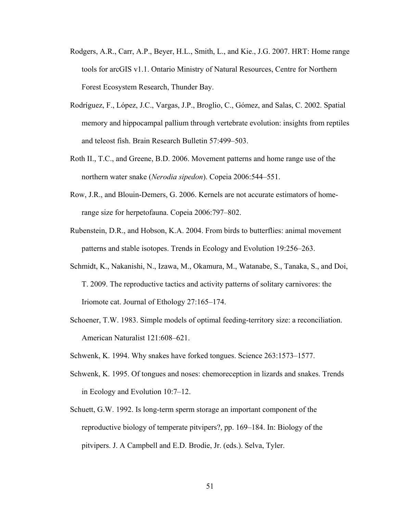- Rodgers, A.R., Carr, A.P., Beyer, H.L., Smith, L., and Kie., J.G. 2007. HRT: Home range tools for arcGIS v1.1. Ontario Ministry of Natural Resources, Centre for Northern Forest Ecosystem Research, Thunder Bay.
- Rodríguez, F., López, J.C., Vargas, J.P., Broglio, C., Gómez, and Salas, C. 2002. Spatial memory and hippocampal pallium through vertebrate evolution: insights from reptiles and teleost fish. Brain Research Bulletin 57:499–503.
- Roth II., T.C., and Greene, B.D. 2006. Movement patterns and home range use of the northern water snake (*Nerodia sipedon*). Copeia 2006:544–551.
- Row, J.R., and Blouin-Demers, G. 2006. Kernels are not accurate estimators of homerange size for herpetofauna. Copeia 2006:797–802.
- Rubenstein, D.R., and Hobson, K.A. 2004. From birds to butterflies: animal movement patterns and stable isotopes. Trends in Ecology and Evolution 19:256–263.
- Schmidt, K., Nakanishi, N., Izawa, M., Okamura, M., Watanabe, S., Tanaka, S., and Doi, T. 2009. The reproductive tactics and activity patterns of solitary carnivores: the Iriomote cat. Journal of Ethology 27:165–174.
- Schoener, T.W. 1983. Simple models of optimal feeding-territory size: a reconciliation. American Naturalist 121:608–621.
- Schwenk, K. 1994. Why snakes have forked tongues. Science 263:1573–1577.
- Schwenk, K. 1995. Of tongues and noses: chemoreception in lizards and snakes. Trends in Ecology and Evolution 10:7–12.
- Schuett, G.W. 1992. Is long-term sperm storage an important component of the reproductive biology of temperate pitvipers?, pp. 169–184. In: Biology of the pitvipers. J. A Campbell and E.D. Brodie, Jr. (eds.). Selva, Tyler.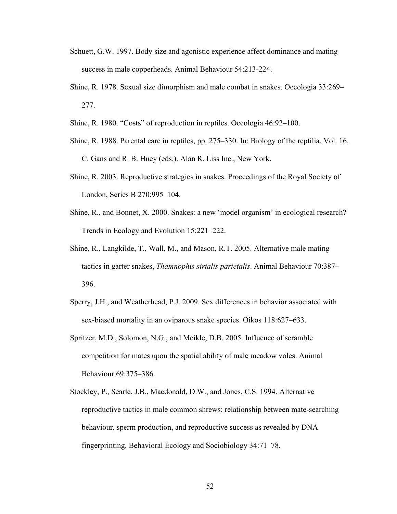- Schuett, G.W. 1997. Body size and agonistic experience affect dominance and mating success in male copperheads. Animal Behaviour 54:213-224.
- Shine, R. 1978. Sexual size dimorphism and male combat in snakes. Oecologia 33:269– 277.
- Shine, R. 1980. "Costs" of reproduction in reptiles. Oecologia 46:92–100.
- Shine, R. 1988. Parental care in reptiles, pp. 275–330. In: Biology of the reptilia, Vol. 16. C. Gans and R. B. Huey (eds.). Alan R. Liss Inc., New York.
- Shine, R. 2003. Reproductive strategies in snakes. Proceedings of the Royal Society of London, Series B 270:995–104.
- Shine, R., and Bonnet, X. 2000. Snakes: a new 'model organism' in ecological research? Trends in Ecology and Evolution 15:221–222.
- Shine, R., Langkilde, T., Wall, M., and Mason, R.T. 2005. Alternative male mating tactics in garter snakes, *Thamnophis sirtalis parietalis*. Animal Behaviour 70:387– 396.
- Sperry, J.H., and Weatherhead, P.J. 2009. Sex differences in behavior associated with sex-biased mortality in an oviparous snake species. Oikos 118:627–633.
- Spritzer, M.D., Solomon, N.G., and Meikle, D.B. 2005. Influence of scramble competition for mates upon the spatial ability of male meadow voles. Animal Behaviour 69:375–386.
- Stockley, P., Searle, J.B., Macdonald, D.W., and Jones, C.S. 1994. Alternative reproductive tactics in male common shrews: relationship between mate-searching behaviour, sperm production, and reproductive success as revealed by DNA fingerprinting. Behavioral Ecology and Sociobiology 34:71–78.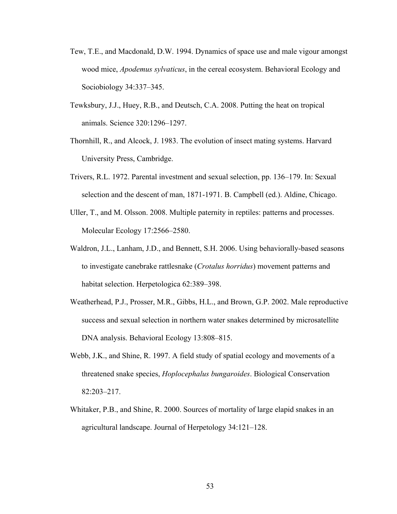- Tew, T.E., and Macdonald, D.W. 1994. Dynamics of space use and male vigour amongst wood mice, *Apodemus sylvaticus*, in the cereal ecosystem. Behavioral Ecology and Sociobiology 34:337–345.
- Tewksbury, J.J., Huey, R.B., and Deutsch, C.A. 2008. Putting the heat on tropical animals. Science 320:1296–1297.
- Thornhill, R., and Alcock, J. 1983. The evolution of insect mating systems. Harvard University Press, Cambridge.
- Trivers, R.L. 1972. Parental investment and sexual selection, pp. 136–179. In: Sexual selection and the descent of man, 1871-1971. B. Campbell (ed.). Aldine, Chicago.
- Uller, T., and M. Olsson. 2008. Multiple paternity in reptiles: patterns and processes. Molecular Ecology 17:2566–2580.
- Waldron, J.L., Lanham, J.D., and Bennett, S.H. 2006. Using behaviorally-based seasons to investigate canebrake rattlesnake (*Crotalus horridus*) movement patterns and habitat selection. Herpetologica 62:389–398.
- Weatherhead, P.J., Prosser, M.R., Gibbs, H.L., and Brown, G.P. 2002. Male reproductive success and sexual selection in northern water snakes determined by microsatellite DNA analysis. Behavioral Ecology 13:808–815.
- Webb, J.K., and Shine, R. 1997. A field study of spatial ecology and movements of a threatened snake species, *Hoplocephalus bungaroides*. Biological Conservation 82:203–217.
- Whitaker, P.B., and Shine, R. 2000. Sources of mortality of large elapid snakes in an agricultural landscape. Journal of Herpetology 34:121–128.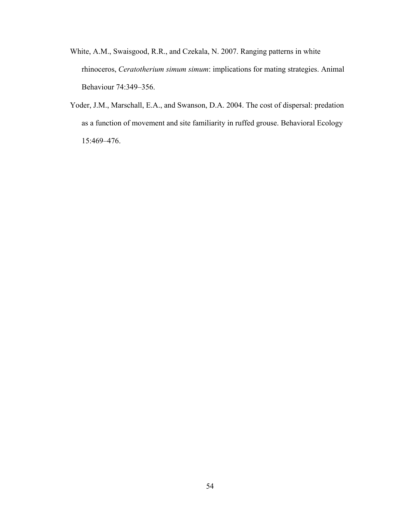- White, A.M., Swaisgood, R.R., and Czekala, N. 2007. Ranging patterns in white rhinoceros, *Ceratotherium simum simum*: implications for mating strategies. Animal Behaviour 74:349–356.
- Yoder, J.M., Marschall, E.A., and Swanson, D.A. 2004. The cost of dispersal: predation as a function of movement and site familiarity in ruffed grouse. Behavioral Ecology 15:469–476.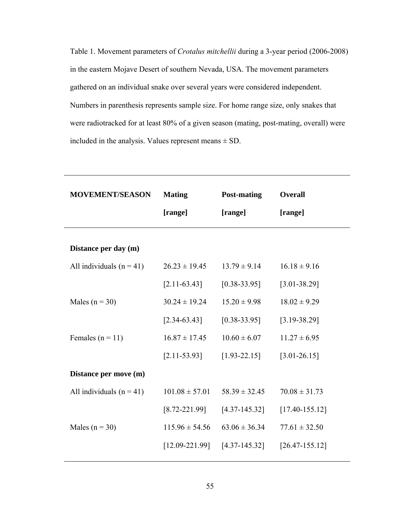Table 1. Movement parameters of *Crotalus mitchellii* during a 3-year period (2006-2008) in the eastern Mojave Desert of southern Nevada, USA. The movement parameters gathered on an individual snake over several years were considered independent. Numbers in parenthesis represents sample size. For home range size, only snakes that were radiotracked for at least 80% of a given season (mating, post-mating, overall) were included in the analysis. Values represent means  $\pm$  SD.

| <b>MOVEMENT/SEASON</b>     | <b>Mating</b>      | <b>Post-mating</b> | <b>Overall</b>     |
|----------------------------|--------------------|--------------------|--------------------|
|                            | [range]            | [range]            | [range]            |
| Distance per day (m)       |                    |                    |                    |
| All individuals $(n = 41)$ | $26.23 \pm 19.45$  | $13.79 \pm 9.14$   | $16.18 \pm 9.16$   |
|                            | $[2.11 - 63.43]$   | $[0.38 - 33.95]$   | $[3.01 - 38.29]$   |
| Males ( $n = 30$ )         | $30.24 \pm 19.24$  | $15.20 \pm 9.98$   | $18.02 \pm 9.29$   |
|                            | $[2.34 - 63.43]$   | $[0.38 - 33.95]$   | $[3.19 - 38.29]$   |
| Females $(n = 11)$         | $16.87 \pm 17.45$  | $10.60 \pm 6.07$   | $11.27 \pm 6.95$   |
|                            | $[2.11 - 53.93]$   | $[1.93 - 22.15]$   | $[3.01 - 26.15]$   |
| Distance per move (m)      |                    |                    |                    |
| All individuals $(n = 41)$ | $101.08 \pm 57.01$ | $58.39 \pm 32.45$  | $70.08 \pm 31.73$  |
|                            | $[8.72 - 221.99]$  | $[4.37 - 145.32]$  | $[17.40 - 155.12]$ |
| Males ( $n = 30$ )         | $115.96 \pm 54.56$ | $63.06 \pm 36.34$  | $77.61 \pm 32.50$  |
|                            | $[12.09 - 221.99]$ | $[4.37 - 145.32]$  | $[26.47 - 155.12]$ |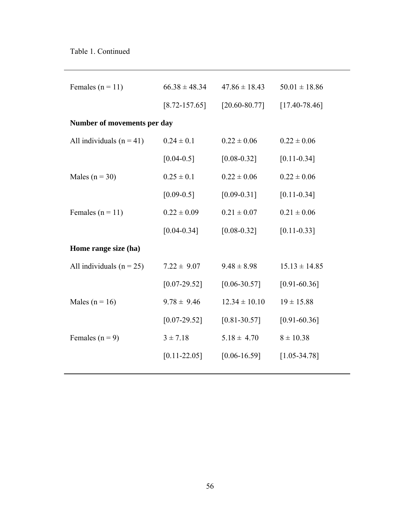| Females ( $n = 11$ )         | $66.38 \pm 48.34$ | $47.86 \pm 18.43$ | $50.01 \pm 18.86$ |
|------------------------------|-------------------|-------------------|-------------------|
|                              | $[8.72 - 157.65]$ | $[20.60 - 80.77]$ | $[17.40 - 78.46]$ |
| Number of movements per day  |                   |                   |                   |
| All individuals $(n = 41)$   | $0.24 \pm 0.1$    | $0.22 \pm 0.06$   | $0.22 \pm 0.06$   |
|                              | $[0.04 - 0.5]$    | $[0.08 - 0.32]$   | $[0.11 - 0.34]$   |
| Males ( $n = 30$ )           | $0.25 \pm 0.1$    | $0.22 \pm 0.06$   | $0.22 \pm 0.06$   |
|                              | $[0.09 - 0.5]$    | $[0.09 - 0.31]$   | $[0.11 - 0.34]$   |
| Females ( $n = 11$ )         | $0.22 \pm 0.09$   | $0.21 \pm 0.07$   | $0.21 \pm 0.06$   |
|                              | $[0.04 - 0.34]$   | $[0.08 - 0.32]$   | $[0.11 - 0.33]$   |
| Home range size (ha)         |                   |                   |                   |
| All individuals ( $n = 25$ ) | $7.22 \pm 9.07$   | $9.48 \pm 8.98$   | $15.13 \pm 14.85$ |
|                              | $[0.07 - 29.52]$  | $[0.06 - 30.57]$  | $[0.91 - 60.36]$  |
| Males ( $n = 16$ )           | $9.78 \pm 9.46$   | $12.34 \pm 10.10$ | $19 \pm 15.88$    |
|                              | $[0.07 - 29.52]$  | $[0.81 - 30.57]$  | $[0.91 - 60.36]$  |
| Females ( $n = 9$ )          | $3 \pm 7.18$      | $5.18 \pm 4.70$   | $8 \pm 10.38$     |
|                              | $[0.11 - 22.05]$  | $[0.06 - 16.59]$  | $[1.05 - 34.78]$  |
|                              |                   |                   |                   |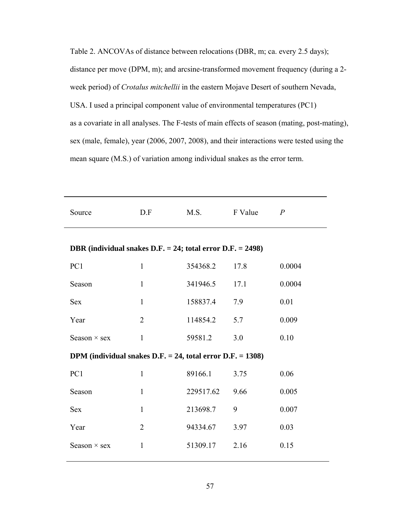Table 2. ANCOVAs of distance between relocations (DBR, m; ca. every 2.5 days); distance per move (DPM, m); and arcsine-transformed movement frequency (during a 2 week period) of *Crotalus mitchellii* in the eastern Mojave Desert of southern Nevada, USA. I used a principal component value of environmental temperatures (PC1) as a covariate in all analyses. The F-tests of main effects of season (mating, post-mating), sex (male, female), year (2006, 2007, 2008), and their interactions were tested using the mean square (M.S.) of variation among individual snakes as the error term.

| Source                                                           | D.F            | M.S.      | F Value | $\overline{P}$ |
|------------------------------------------------------------------|----------------|-----------|---------|----------------|
| DBR (individual snakes D.F. $= 24$ ; total error D.F. $= 2498$ ) |                |           |         |                |
| PC1                                                              | $\mathbf{1}$   | 354368.2  | 17.8    | 0.0004         |
| Season                                                           | $\mathbf{1}$   | 341946.5  | 17.1    | 0.0004         |
| <b>Sex</b>                                                       | $\mathbf{1}$   | 158837.4  | 7.9     | 0.01           |
| Year                                                             | $\overline{2}$ | 114854.2  | 5.7     | 0.009          |
| Season $\times$ sex                                              | $\mathbf{1}$   | 59581.2   | 3.0     | 0.10           |
| DPM (individual snakes $D.F. = 24$ , total error $D.F. = 1308$ ) |                |           |         |                |
| PC1                                                              | $\mathbf{1}$   | 89166.1   | 3.75    | 0.06           |
| Season                                                           | $\mathbf{1}$   | 229517.62 | 9.66    | 0.005          |
| <b>Sex</b>                                                       | $\mathbf{1}$   | 213698.7  | 9       | 0.007          |
| Year                                                             | $\overline{2}$ | 94334.67  | 3.97    | 0.03           |
| Season $\times$ sex                                              | 1              | 51309.17  | 2.16    | 0.15           |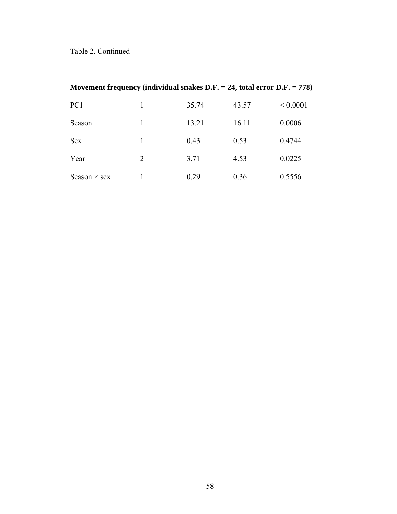| Movement frequency (individual snakes $D.F. = 24$ , total error $D.F. = 778$ ) |   |       |       |               |
|--------------------------------------------------------------------------------|---|-------|-------|---------------|
| PC <sub>1</sub>                                                                | 1 | 35.74 | 43.57 | ${}_{0.0001}$ |
| Season                                                                         | 1 | 13.21 | 16.11 | 0.0006        |
| <b>Sex</b>                                                                     | 1 | 0.43  | 0.53  | 0.4744        |
| Year                                                                           | 2 | 3.71  | 4.53  | 0.0225        |
| Season $\times$ sex                                                            |   | 0.29  | 0.36  | 0.5556        |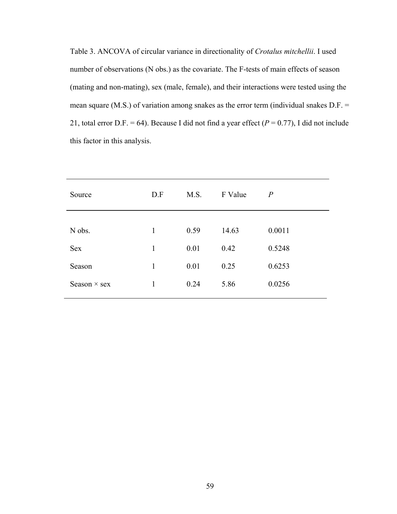Table 3. ANCOVA of circular variance in directionality of *Crotalus mitchellii*. I used number of observations (N obs.) as the covariate. The F-tests of main effects of season (mating and non-mating), sex (male, female), and their interactions were tested using the mean square (M.S.) of variation among snakes as the error term (individual snakes D.F. = 21, total error D.F. = 64). Because I did not find a year effect  $(P = 0.77)$ , I did not include this factor in this analysis.

| Source              | D.F          | M.S. | F Value | $\overline{P}$ |
|---------------------|--------------|------|---------|----------------|
|                     |              |      |         |                |
| N obs.              | $\mathbf{1}$ | 0.59 | 14.63   | 0.0011         |
| <b>Sex</b>          | 1            | 0.01 | 0.42    | 0.5248         |
| Season              | 1            | 0.01 | 0.25    | 0.6253         |
| Season $\times$ sex | 1            | 0.24 | 5.86    | 0.0256         |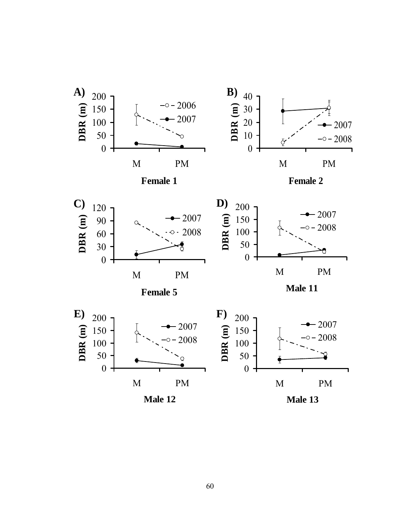

60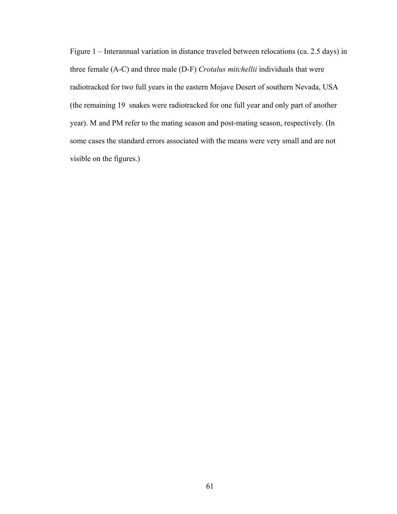Figure 1 – Interannual variation in distance traveled between relocations (ca. 2.5 days) in three female (A-C) and three male (D-F) *Crotalus mitchellii* individuals that were radiotracked for two full years in the eastern Mojave Desert of southern Nevada, USA (the remaining 19 snakes were radiotracked for one full year and only part of another year). M and PM refer to the mating season and post-mating season, respectively. (In some cases the standard errors associated with the means were very small and are not visible on the figures.)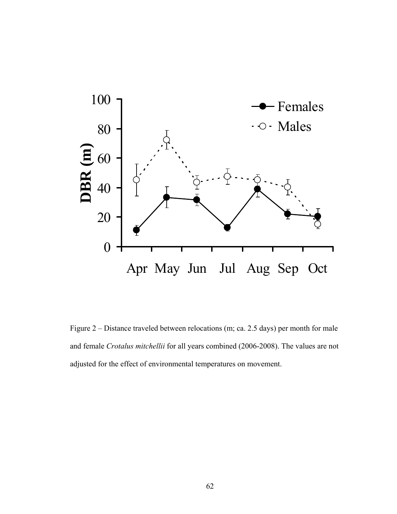

Figure 2 – Distance traveled between relocations (m; ca. 2.5 days) per month for male and female *Crotalus mitchellii* for all years combined (2006-2008). The values are not adjusted for the effect of environmental temperatures on movement.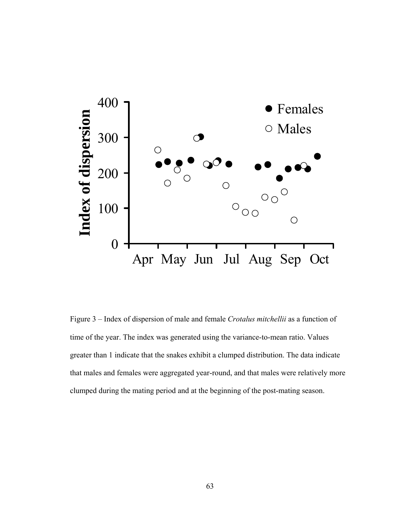

Figure 3 – Index of dispersion of male and female *Crotalus mitchellii* as a function of time of the year. The index was generated using the variance-to-mean ratio. Values greater than 1 indicate that the snakes exhibit a clumped distribution. The data indicate that males and females were aggregated year-round, and that males were relatively more clumped during the mating period and at the beginning of the post-mating season.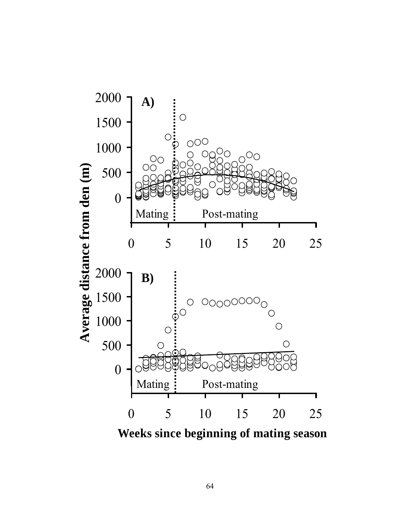

**Weeks since beginning of mating season**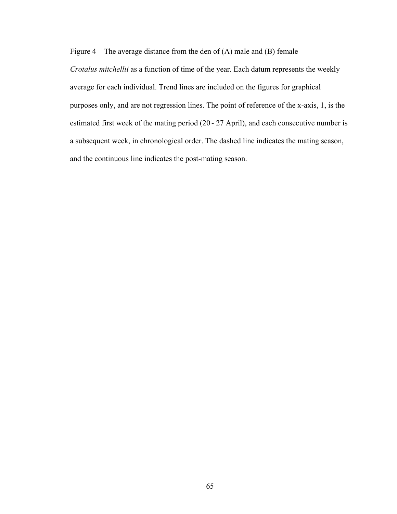Figure  $4$  – The average distance from the den of  $(A)$  male and  $(B)$  female

*Crotalus mitchellii* as a function of time of the year. Each datum represents the weekly average for each individual. Trend lines are included on the figures for graphical purposes only, and are not regression lines. The point of reference of the x-axis, 1, is the estimated first week of the mating period (20 - 27 April), and each consecutive number is a subsequent week, in chronological order. The dashed line indicates the mating season, and the continuous line indicates the post-mating season.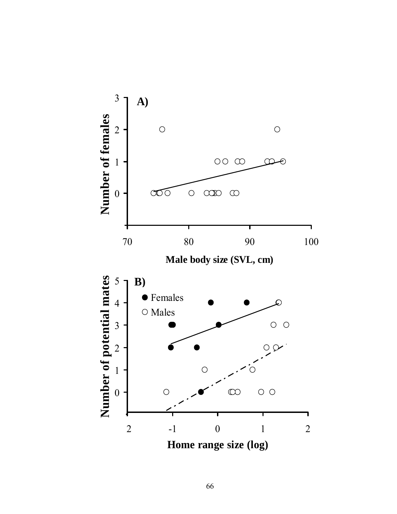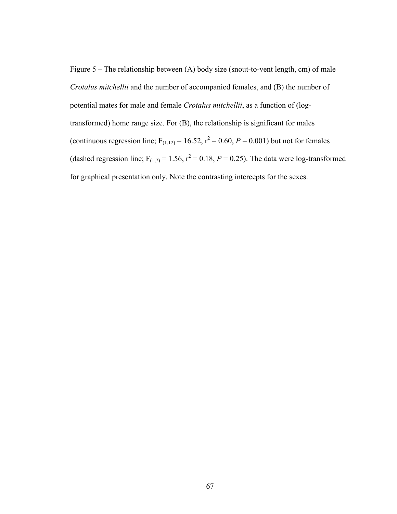Figure 5 – The relationship between (A) body size (snout-to-vent length, cm) of male *Crotalus mitchellii* and the number of accompanied females, and (B) the number of potential mates for male and female *Crotalus mitchellii*, as a function of (logtransformed) home range size. For (B), the relationship is significant for males (continuous regression line;  $F_{(1,12)} = 16.52$ ,  $r^2 = 0.60$ ,  $P = 0.001$ ) but not for females (dashed regression line;  $F_{(1,7)} = 1.56$ ,  $r^2 = 0.18$ ,  $P = 0.25$ ). The data were log-transformed for graphical presentation only. Note the contrasting intercepts for the sexes.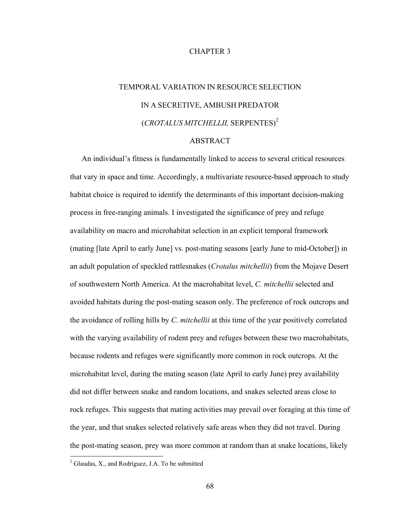# CHAPTER 3

# TEMPORAL VARIATION IN RESOURCE SELECTION IN A SECRETIVE, AMBUSH PREDATOR (*CROTALUS MITCHELLII,* SERPENTES)[2](#page-77-0)

# ABSTRACT

An individual's fitness is fundamentally linked to access to several critical resources that vary in space and time. Accordingly, a multivariate resource-based approach to study habitat choice is required to identify the determinants of this important decision-making process in free-ranging animals. I investigated the significance of prey and refuge availability on macro and microhabitat selection in an explicit temporal framework (mating [late April to early June] vs. post-mating seasons [early June to mid-October]) in an adult population of speckled rattlesnakes (*Crotalus mitchellii*) from the Mojave Desert of southwestern North America. At the macrohabitat level, *C. mitchellii* selected and avoided habitats during the post-mating season only. The preference of rock outcrops and the avoidance of rolling hills by *C. mitchellii* at this time of the year positively correlated with the varying availability of rodent prey and refuges between these two macrohabitats, because rodents and refuges were significantly more common in rock outcrops. At the microhabitat level, during the mating season (late April to early June) prey availability did not differ between snake and random locations, and snakes selected areas close to rock refuges. This suggests that mating activities may prevail over foraging at this time of the year, and that snakes selected relatively safe areas when they did not travel. During the post-mating season, prey was more common at random than at snake locations, likely

 $\overline{a}$ 

<span id="page-77-0"></span> $^{2}$  Glaudas, X., and Rodríguez, J.A. To be submitted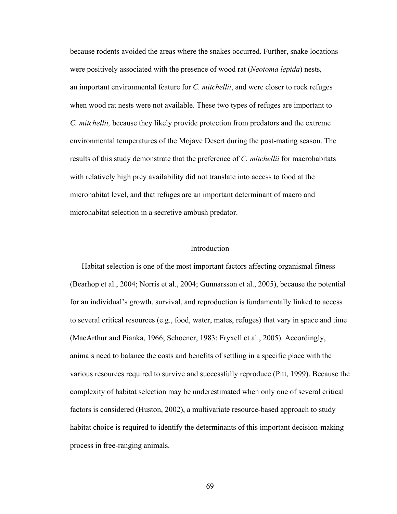because rodents avoided the areas where the snakes occurred. Further, snake locations were positively associated with the presence of wood rat (*Neotoma lepida*) nests, an important environmental feature for *C. mitchellii*, and were closer to rock refuges when wood rat nests were not available. These two types of refuges are important to *C. mitchellii,* because they likely provide protection from predators and the extreme environmental temperatures of the Mojave Desert during the post-mating season. The results of this study demonstrate that the preference of *C. mitchellii* for macrohabitats with relatively high prey availability did not translate into access to food at the microhabitat level, and that refuges are an important determinant of macro and microhabitat selection in a secretive ambush predator.

# **Introduction**

Habitat selection is one of the most important factors affecting organismal fitness (Bearhop et al., 2004; Norris et al., 2004; Gunnarsson et al., 2005), because the potential for an individual's growth, survival, and reproduction is fundamentally linked to access to several critical resources (e.g., food, water, mates, refuges) that vary in space and time (MacArthur and Pianka, 1966; Schoener, 1983; Fryxell et al., 2005). Accordingly, animals need to balance the costs and benefits of settling in a specific place with the various resources required to survive and successfully reproduce (Pitt, 1999). Because the complexity of habitat selection may be underestimated when only one of several critical factors is considered (Huston, 2002), a multivariate resource-based approach to study habitat choice is required to identify the determinants of this important decision-making process in free-ranging animals.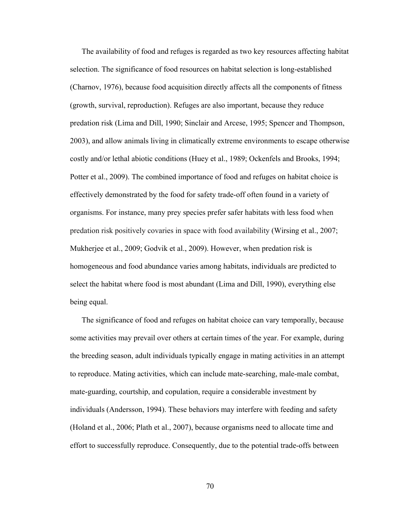The availability of food and refuges is regarded as two key resources affecting habitat selection. The significance of food resources on habitat selection is long-established (Charnov, 1976), because food acquisition directly affects all the components of fitness (growth, survival, reproduction). Refuges are also important, because they reduce predation risk (Lima and Dill, 1990; Sinclair and Arcese, 1995; Spencer and Thompson, 2003), and allow animals living in climatically extreme environments to escape otherwise costly and/or lethal abiotic conditions (Huey et al., 1989; Ockenfels and Brooks, 1994; Potter et al., 2009). The combined importance of food and refuges on habitat choice is effectively demonstrated by the food for safety trade-off often found in a variety of organisms. For instance, many prey species prefer safer habitats with less food when predation risk positively covaries in space with food availability (Wirsing et al., 2007; Mukherjee et al., 2009; Godvik et al., 2009). However, when predation risk is homogeneous and food abundance varies among habitats, individuals are predicted to select the habitat where food is most abundant (Lima and Dill, 1990), everything else being equal.

The significance of food and refuges on habitat choice can vary temporally, because some activities may prevail over others at certain times of the year. For example, during the breeding season, adult individuals typically engage in mating activities in an attempt to reproduce. Mating activities, which can include mate-searching, male-male combat, mate-guarding, courtship, and copulation, require a considerable investment by individuals (Andersson, 1994). These behaviors may interfere with feeding and safety (Holand et al., 2006; Plath et al., 2007), because organisms need to allocate time and effort to successfully reproduce. Consequently, due to the potential trade-offs between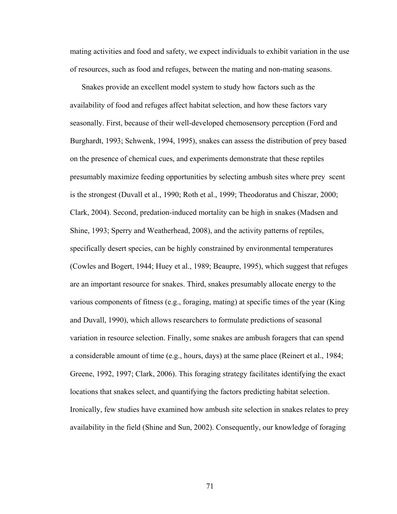mating activities and food and safety, we expect individuals to exhibit variation in the use of resources, such as food and refuges, between the mating and non-mating seasons.

Snakes provide an excellent model system to study how factors such as the availability of food and refuges affect habitat selection, and how these factors vary seasonally. First, because of their well-developed chemosensory perception (Ford and Burghardt, 1993; Schwenk, 1994, 1995), snakes can assess the distribution of prey based on the presence of chemical cues, and experiments demonstrate that these reptiles presumably maximize feeding opportunities by selecting ambush sites where prey scent is the strongest (Duvall et al., 1990; Roth et al., 1999; Theodoratus and Chiszar, 2000; Clark, 2004). Second, predation-induced mortality can be high in snakes (Madsen and Shine, 1993; Sperry and Weatherhead, 2008), and the activity patterns of reptiles, specifically desert species, can be highly constrained by environmental temperatures (Cowles and Bogert, 1944; Huey et al., 1989; Beaupre, 1995), which suggest that refuges are an important resource for snakes. Third, snakes presumably allocate energy to the various components of fitness (e.g., foraging, mating) at specific times of the year (King and Duvall, 1990), which allows researchers to formulate predictions of seasonal variation in resource selection. Finally, some snakes are ambush foragers that can spend a considerable amount of time (e.g., hours, days) at the same place (Reinert et al., 1984; Greene, 1992, 1997; Clark, 2006). This foraging strategy facilitates identifying the exact locations that snakes select, and quantifying the factors predicting habitat selection. Ironically, few studies have examined how ambush site selection in snakes relates to prey availability in the field (Shine and Sun, 2002). Consequently, our knowledge of foraging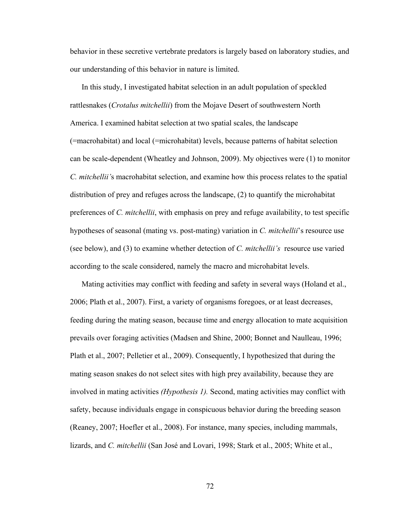behavior in these secretive vertebrate predators is largely based on laboratory studies, and our understanding of this behavior in nature is limited.

In this study, I investigated habitat selection in an adult population of speckled rattlesnakes (*Crotalus mitchellii*) from the Mojave Desert of southwestern North America. I examined habitat selection at two spatial scales, the landscape (=macrohabitat) and local (=microhabitat) levels, because patterns of habitat selection can be scale-dependent (Wheatley and Johnson, 2009). My objectives were (1) to monitor *C. mitchellii'*s macrohabitat selection, and examine how this process relates to the spatial distribution of prey and refuges across the landscape, (2) to quantify the microhabitat preferences of *C. mitchellii*, with emphasis on prey and refuge availability, to test specific hypotheses of seasonal (mating vs. post-mating) variation in *C. mitchellii*'s resource use (see below), and (3) to examine whether detection of *C. mitchellii's* resource use varied according to the scale considered, namely the macro and microhabitat levels.

Mating activities may conflict with feeding and safety in several ways (Holand et al., 2006; Plath et al., 2007). First, a variety of organisms foregoes, or at least decreases, feeding during the mating season, because time and energy allocation to mate acquisition prevails over foraging activities (Madsen and Shine, 2000; Bonnet and Naulleau, 1996; Plath et al., 2007; Pelletier et al., 2009). Consequently, I hypothesized that during the mating season snakes do not select sites with high prey availability, because they are involved in mating activities *(Hypothesis 1).* Second, mating activities may conflict with safety, because individuals engage in conspicuous behavior during the breeding season (Reaney, 2007; Hoefler et al., 2008). For instance, many species, including mammals, lizards, and *C. mitchellii* (San José and Lovari, 1998; Stark et al., 2005; White et al.,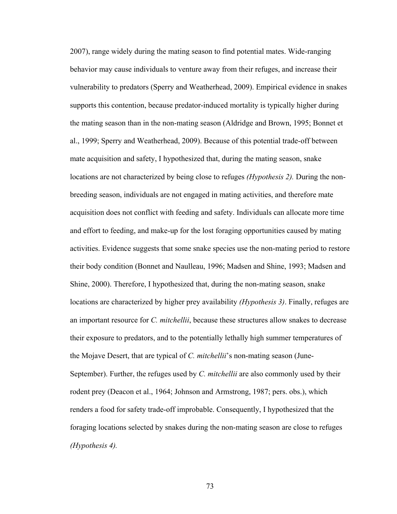2007), range widely during the mating season to find potential mates. Wide-ranging behavior may cause individuals to venture away from their refuges, and increase their vulnerability to predators (Sperry and Weatherhead, 2009). Empirical evidence in snakes supports this contention, because predator-induced mortality is typically higher during the mating season than in the non-mating season (Aldridge and Brown, 1995; Bonnet et al., 1999; Sperry and Weatherhead, 2009). Because of this potential trade-off between mate acquisition and safety, I hypothesized that, during the mating season, snake locations are not characterized by being close to refuges *(Hypothesis 2).* During the nonbreeding season, individuals are not engaged in mating activities, and therefore mate acquisition does not conflict with feeding and safety. Individuals can allocate more time and effort to feeding, and make-up for the lost foraging opportunities caused by mating activities. Evidence suggests that some snake species use the non-mating period to restore their body condition (Bonnet and Naulleau, 1996; Madsen and Shine, 1993; Madsen and Shine, 2000). Therefore, I hypothesized that, during the non-mating season, snake locations are characterized by higher prey availability *(Hypothesis 3)*. Finally, refuges are an important resource for *C. mitchellii*, because these structures allow snakes to decrease their exposure to predators, and to the potentially lethally high summer temperatures of the Mojave Desert, that are typical of *C. mitchellii*'s non-mating season (June-September). Further, the refuges used by *C. mitchellii* are also commonly used by their rodent prey (Deacon et al., 1964; Johnson and Armstrong, 1987; pers. obs.), which renders a food for safety trade-off improbable. Consequently, I hypothesized that the foraging locations selected by snakes during the non-mating season are close to refuges *(Hypothesis 4).*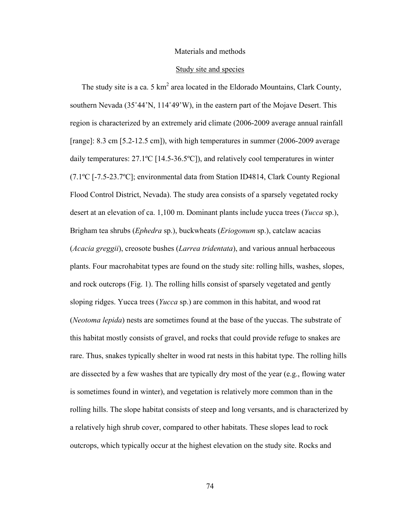#### Materials and methods

#### Study site and species

The study site is a ca. 5  $km^2$  area located in the Eldorado Mountains, Clark County, southern Nevada (35˚44'N, 114˚49'W), in the eastern part of the Mojave Desert. This region is characterized by an extremely arid climate (2006-2009 average annual rainfall [range]: 8.3 cm [5.2-12.5 cm]), with high temperatures in summer (2006-2009 average daily temperatures: 27.1ºC [14.5-36.5ºC]), and relatively cool temperatures in winter (7.1ºC [-7.5-23.7ºC]; environmental data from Station ID4814, Clark County Regional Flood Control District, Nevada). The study area consists of a sparsely vegetated rocky desert at an elevation of ca. 1,100 m. Dominant plants include yucca trees (*Yucca* sp.), Brigham tea shrubs (*Ephedra* sp.), buckwheats (*Eriogonum* sp.), catclaw acacias (*Acacia greggii*), creosote bushes (*Larrea tridentata*), and various annual herbaceous plants. Four macrohabitat types are found on the study site: rolling hills, washes, slopes, and rock outcrops (Fig. 1). The rolling hills consist of sparsely vegetated and gently sloping ridges. Yucca trees (*Yucca* sp.) are common in this habitat, and wood rat (*Neotoma lepida*) nests are sometimes found at the base of the yuccas. The substrate of this habitat mostly consists of gravel, and rocks that could provide refuge to snakes are rare. Thus, snakes typically shelter in wood rat nests in this habitat type. The rolling hills are dissected by a few washes that are typically dry most of the year (e.g., flowing water is sometimes found in winter), and vegetation is relatively more common than in the rolling hills. The slope habitat consists of steep and long versants, and is characterized by a relatively high shrub cover, compared to other habitats. These slopes lead to rock outcrops, which typically occur at the highest elevation on the study site. Rocks and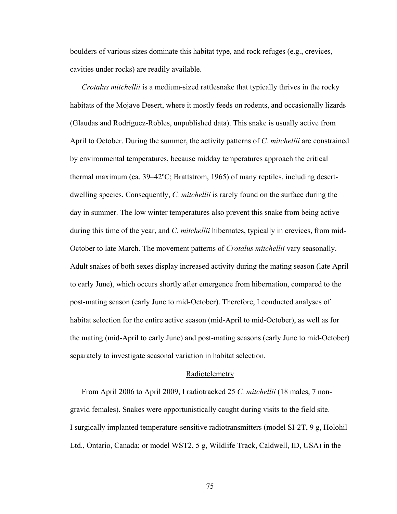boulders of various sizes dominate this habitat type, and rock refuges (e.g., crevices, cavities under rocks) are readily available.

*Crotalus mitchellii* is a medium-sized rattlesnake that typically thrives in the rocky habitats of the Mojave Desert, where it mostly feeds on rodents, and occasionally lizards (Glaudas and Rodríguez-Robles, unpublished data). This snake is usually active from April to October. During the summer, the activity patterns of *C. mitchellii* are constrained by environmental temperatures, because midday temperatures approach the critical thermal maximum (ca. 39–42ºC; Brattstrom, 1965) of many reptiles, including desertdwelling species. Consequently, *C. mitchellii* is rarely found on the surface during the day in summer. The low winter temperatures also prevent this snake from being active during this time of the year, and *C. mitchellii* hibernates, typically in crevices, from mid-October to late March. The movement patterns of *Crotalus mitchellii* vary seasonally. Adult snakes of both sexes display increased activity during the mating season (late April to early June), which occurs shortly after emergence from hibernation, compared to the post-mating season (early June to mid-October). Therefore, I conducted analyses of habitat selection for the entire active season (mid-April to mid-October), as well as for the mating (mid-April to early June) and post-mating seasons (early June to mid-October) separately to investigate seasonal variation in habitat selection.

#### Radiotelemetry

From April 2006 to April 2009, I radiotracked 25 *C. mitchellii* (18 males, 7 nongravid females). Snakes were opportunistically caught during visits to the field site. I surgically implanted temperature-sensitive radiotransmitters (model SI-2T, 9 g, Holohil Ltd., Ontario, Canada; or model WST2, 5 g, Wildlife Track, Caldwell, ID, USA) in the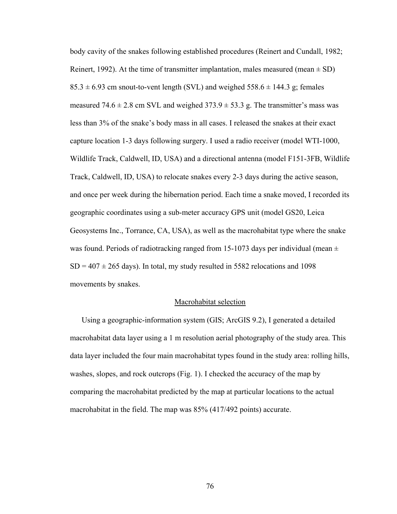body cavity of the snakes following established procedures (Reinert and Cundall, 1982; Reinert, 1992). At the time of transmitter implantation, males measured (mean  $\pm$  SD)  $85.3 \pm 6.93$  cm snout-to-vent length (SVL) and weighed  $558.6 \pm 144.3$  g; females measured  $74.6 \pm 2.8$  cm SVL and weighed  $373.9 \pm 53.3$  g. The transmitter's mass was less than 3% of the snake's body mass in all cases. I released the snakes at their exact capture location 1-3 days following surgery. I used a radio receiver (model WTI-1000, Wildlife Track, Caldwell, ID, USA) and a directional antenna (model F151-3FB, Wildlife Track, Caldwell, ID, USA) to relocate snakes every 2-3 days during the active season, and once per week during the hibernation period. Each time a snake moved, I recorded its geographic coordinates using a sub-meter accuracy GPS unit (model GS20, Leica Geosystems Inc., Torrance, CA, USA), as well as the macrohabitat type where the snake was found. Periods of radiotracking ranged from 15-1073 days per individual (mean  $\pm$  $SD = 407 \pm 265$  days). In total, my study resulted in 5582 relocations and 1098 movements by snakes.

#### Macrohabitat selection

Using a geographic-information system (GIS; ArcGIS 9.2), I generated a detailed macrohabitat data layer using a 1 m resolution aerial photography of the study area. This data layer included the four main macrohabitat types found in the study area: rolling hills, washes, slopes, and rock outcrops (Fig. 1). I checked the accuracy of the map by comparing the macrohabitat predicted by the map at particular locations to the actual macrohabitat in the field. The map was 85% (417/492 points) accurate.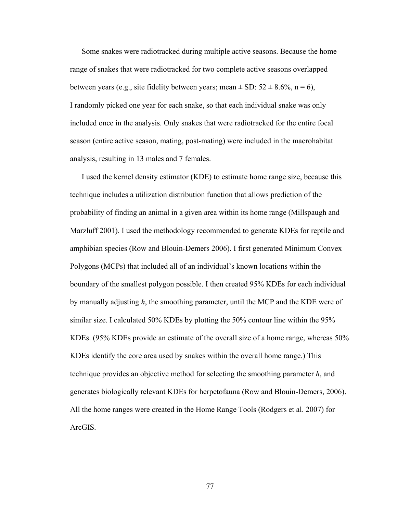Some snakes were radiotracked during multiple active seasons. Because the home range of snakes that were radiotracked for two complete active seasons overlapped between years (e.g., site fidelity between years; mean  $\pm$  SD: 52  $\pm$  8.6%, n = 6), I randomly picked one year for each snake, so that each individual snake was only included once in the analysis. Only snakes that were radiotracked for the entire focal season (entire active season, mating, post-mating) were included in the macrohabitat analysis, resulting in 13 males and 7 females.

I used the kernel density estimator (KDE) to estimate home range size, because this technique includes a utilization distribution function that allows prediction of the probability of finding an animal in a given area within its home range (Millspaugh and Marzluff 2001). I used the methodology recommended to generate KDEs for reptile and amphibian species (Row and Blouin-Demers 2006). I first generated Minimum Convex Polygons (MCPs) that included all of an individual's known locations within the boundary of the smallest polygon possible. I then created 95% KDEs for each individual by manually adjusting *h*, the smoothing parameter, until the MCP and the KDE were of similar size. I calculated 50% KDEs by plotting the 50% contour line within the 95% KDEs. (95% KDEs provide an estimate of the overall size of a home range, whereas 50% KDEs identify the core area used by snakes within the overall home range.) This technique provides an objective method for selecting the smoothing parameter *h*, and generates biologically relevant KDEs for herpetofauna (Row and Blouin-Demers, 2006). All the home ranges were created in the Home Range Tools (Rodgers et al. 2007) for ArcGIS.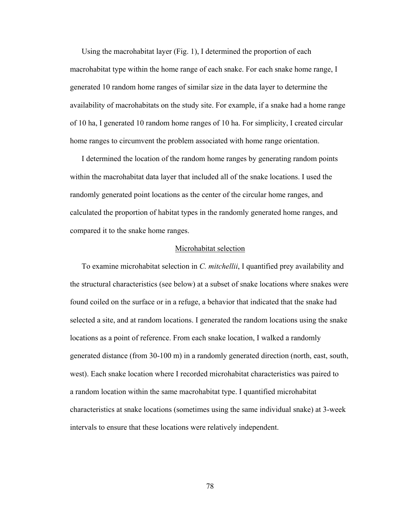Using the macrohabitat layer (Fig. 1), I determined the proportion of each macrohabitat type within the home range of each snake. For each snake home range, I generated 10 random home ranges of similar size in the data layer to determine the availability of macrohabitats on the study site. For example, if a snake had a home range of 10 ha, I generated 10 random home ranges of 10 ha. For simplicity, I created circular home ranges to circumvent the problem associated with home range orientation.

I determined the location of the random home ranges by generating random points within the macrohabitat data layer that included all of the snake locations. I used the randomly generated point locations as the center of the circular home ranges, and calculated the proportion of habitat types in the randomly generated home ranges, and compared it to the snake home ranges.

#### Microhabitat selection

To examine microhabitat selection in *C. mitchellii*, I quantified prey availability and the structural characteristics (see below) at a subset of snake locations where snakes were found coiled on the surface or in a refuge, a behavior that indicated that the snake had selected a site, and at random locations. I generated the random locations using the snake locations as a point of reference. From each snake location, I walked a randomly generated distance (from 30-100 m) in a randomly generated direction (north, east, south, west). Each snake location where I recorded microhabitat characteristics was paired to a random location within the same macrohabitat type. I quantified microhabitat characteristics at snake locations (sometimes using the same individual snake) at 3-week intervals to ensure that these locations were relatively independent.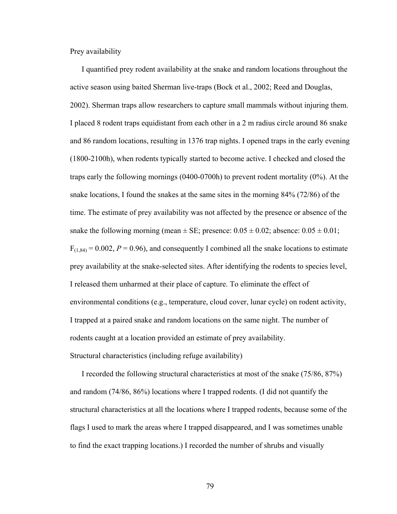Prey availability

I quantified prey rodent availability at the snake and random locations throughout the active season using baited Sherman live-traps (Bock et al., 2002; Reed and Douglas, 2002). Sherman traps allow researchers to capture small mammals without injuring them. I placed 8 rodent traps equidistant from each other in a 2 m radius circle around 86 snake and 86 random locations, resulting in 1376 trap nights. I opened traps in the early evening (1800-2100h), when rodents typically started to become active. I checked and closed the traps early the following mornings (0400-0700h) to prevent rodent mortality (0%). At the snake locations, I found the snakes at the same sites in the morning 84% (72/86) of the time. The estimate of prey availability was not affected by the presence or absence of the snake the following morning (mean  $\pm$  SE; presence:  $0.05 \pm 0.02$ ; absence:  $0.05 \pm 0.01$ ;  $F_{(1,84)} = 0.002$ ,  $P = 0.96$ ), and consequently I combined all the snake locations to estimate prey availability at the snake-selected sites. After identifying the rodents to species level, I released them unharmed at their place of capture. To eliminate the effect of environmental conditions (e.g., temperature, cloud cover, lunar cycle) on rodent activity, I trapped at a paired snake and random locations on the same night. The number of rodents caught at a location provided an estimate of prey availability. Structural characteristics (including refuge availability)

I recorded the following structural characteristics at most of the snake (75/86, 87%) and random (74/86, 86%) locations where I trapped rodents. (I did not quantify the structural characteristics at all the locations where I trapped rodents, because some of the flags I used to mark the areas where I trapped disappeared, and I was sometimes unable to find the exact trapping locations.) I recorded the number of shrubs and visually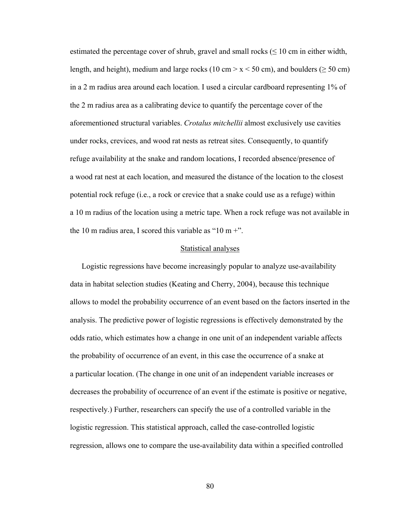estimated the percentage cover of shrub, gravel and small rocks ( $\leq 10$  cm in either width, length, and height), medium and large rocks (10 cm  $> x < 50$  cm), and boulders ( $\geq 50$  cm) in a 2 m radius area around each location. I used a circular cardboard representing 1% of the 2 m radius area as a calibrating device to quantify the percentage cover of the aforementioned structural variables. *Crotalus mitchellii* almost exclusively use cavities under rocks, crevices, and wood rat nests as retreat sites. Consequently, to quantify refuge availability at the snake and random locations, I recorded absence/presence of a wood rat nest at each location, and measured the distance of the location to the closest potential rock refuge (i.e., a rock or crevice that a snake could use as a refuge) within a 10 m radius of the location using a metric tape. When a rock refuge was not available in the 10 m radius area, I scored this variable as "10 m  $+$ ".

#### Statistical analyses

Logistic regressions have become increasingly popular to analyze use-availability data in habitat selection studies (Keating and Cherry, 2004), because this technique allows to model the probability occurrence of an event based on the factors inserted in the analysis. The predictive power of logistic regressions is effectively demonstrated by the odds ratio, which estimates how a change in one unit of an independent variable affects the probability of occurrence of an event, in this case the occurrence of a snake at a particular location. (The change in one unit of an independent variable increases or decreases the probability of occurrence of an event if the estimate is positive or negative, respectively.) Further, researchers can specify the use of a controlled variable in the logistic regression. This statistical approach, called the case-controlled logistic regression, allows one to compare the use-availability data within a specified controlled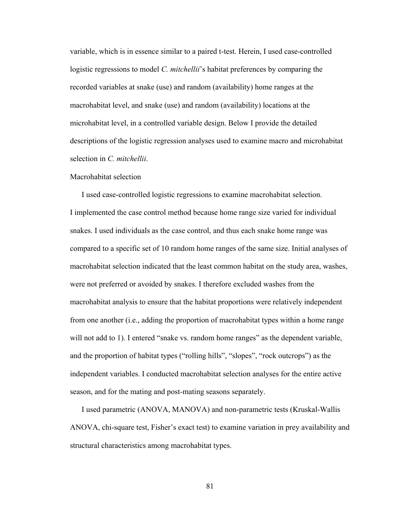variable, which is in essence similar to a paired t-test. Herein, I used case-controlled logistic regressions to model *C. mitchellii*'s habitat preferences by comparing the recorded variables at snake (use) and random (availability) home ranges at the macrohabitat level, and snake (use) and random (availability) locations at the microhabitat level, in a controlled variable design. Below I provide the detailed descriptions of the logistic regression analyses used to examine macro and microhabitat selection in *C. mitchellii*.

#### Macrohabitat selection

I used case-controlled logistic regressions to examine macrohabitat selection. I implemented the case control method because home range size varied for individual snakes. I used individuals as the case control, and thus each snake home range was compared to a specific set of 10 random home ranges of the same size. Initial analyses of macrohabitat selection indicated that the least common habitat on the study area, washes, were not preferred or avoided by snakes. I therefore excluded washes from the macrohabitat analysis to ensure that the habitat proportions were relatively independent from one another (i.e., adding the proportion of macrohabitat types within a home range will not add to 1). I entered "snake vs. random home ranges" as the dependent variable, and the proportion of habitat types ("rolling hills", "slopes", "rock outcrops") as the independent variables. I conducted macrohabitat selection analyses for the entire active season, and for the mating and post-mating seasons separately.

I used parametric (ANOVA, MANOVA) and non-parametric tests (Kruskal-Wallis ANOVA, chi-square test, Fisher's exact test) to examine variation in prey availability and structural characteristics among macrohabitat types.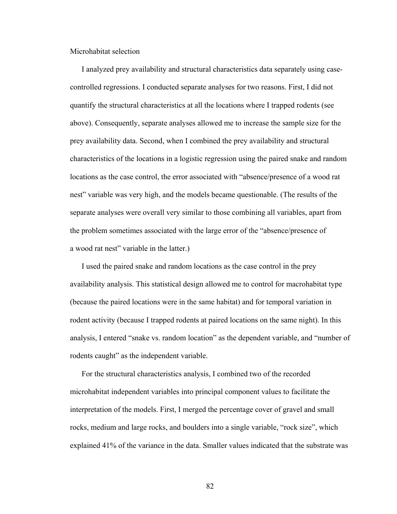Microhabitat selection

I analyzed prey availability and structural characteristics data separately using casecontrolled regressions. I conducted separate analyses for two reasons. First, I did not quantify the structural characteristics at all the locations where I trapped rodents (see above). Consequently, separate analyses allowed me to increase the sample size for the prey availability data. Second, when I combined the prey availability and structural characteristics of the locations in a logistic regression using the paired snake and random locations as the case control, the error associated with "absence/presence of a wood rat nest" variable was very high, and the models became questionable. (The results of the separate analyses were overall very similar to those combining all variables, apart from the problem sometimes associated with the large error of the "absence/presence of a wood rat nest" variable in the latter.)

I used the paired snake and random locations as the case control in the prey availability analysis. This statistical design allowed me to control for macrohabitat type (because the paired locations were in the same habitat) and for temporal variation in rodent activity (because I trapped rodents at paired locations on the same night). In this analysis, I entered "snake vs. random location" as the dependent variable, and "number of rodents caught" as the independent variable.

For the structural characteristics analysis, I combined two of the recorded microhabitat independent variables into principal component values to facilitate the interpretation of the models. First, I merged the percentage cover of gravel and small rocks, medium and large rocks, and boulders into a single variable, "rock size", which explained 41% of the variance in the data. Smaller values indicated that the substrate was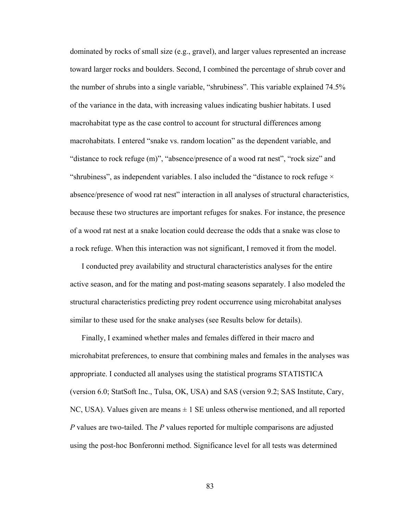dominated by rocks of small size (e.g., gravel), and larger values represented an increase toward larger rocks and boulders. Second, I combined the percentage of shrub cover and the number of shrubs into a single variable, "shrubiness". This variable explained 74.5% of the variance in the data, with increasing values indicating bushier habitats. I used macrohabitat type as the case control to account for structural differences among macrohabitats. I entered "snake vs. random location" as the dependent variable, and "distance to rock refuge (m)", "absence/presence of a wood rat nest", "rock size" and "shrubiness", as independent variables. I also included the "distance to rock refuge  $\times$ absence/presence of wood rat nest" interaction in all analyses of structural characteristics, because these two structures are important refuges for snakes. For instance, the presence of a wood rat nest at a snake location could decrease the odds that a snake was close to a rock refuge. When this interaction was not significant, I removed it from the model.

I conducted prey availability and structural characteristics analyses for the entire active season, and for the mating and post-mating seasons separately. I also modeled the structural characteristics predicting prey rodent occurrence using microhabitat analyses similar to these used for the snake analyses (see Results below for details).

Finally, I examined whether males and females differed in their macro and microhabitat preferences, to ensure that combining males and females in the analyses was appropriate. I conducted all analyses using the statistical programs STATISTICA (version 6.0; StatSoft Inc., Tulsa, OK, USA) and SAS (version 9.2; SAS Institute, Cary, NC, USA). Values given are means  $\pm 1$  SE unless otherwise mentioned, and all reported *P* values are two-tailed. The *P* values reported for multiple comparisons are adjusted using the post-hoc Bonferonni method. Significance level for all tests was determined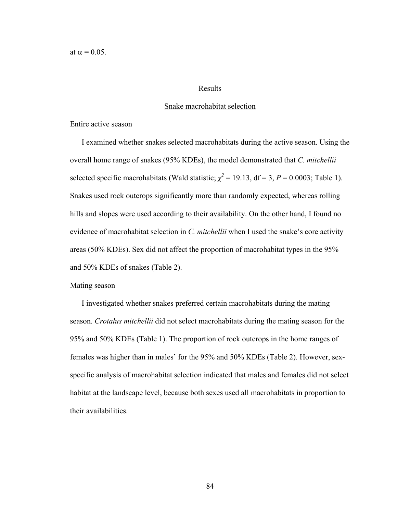at  $\alpha = 0.05$ .

#### Results

## Snake macrohabitat selection

Entire active season

I examined whether snakes selected macrohabitats during the active season. Using the overall home range of snakes (95% KDEs), the model demonstrated that *C. mitchellii* selected specific macrohabitats (Wald statistic;  $\chi^2 = 19.13$ , df = 3, P = 0.0003; Table 1). Snakes used rock outcrops significantly more than randomly expected, whereas rolling hills and slopes were used according to their availability. On the other hand, I found no evidence of macrohabitat selection in *C. mitchellii* when I used the snake's core activity areas (50% KDEs). Sex did not affect the proportion of macrohabitat types in the 95% and 50% KDEs of snakes (Table 2).

# Mating season

I investigated whether snakes preferred certain macrohabitats during the mating season. *Crotalus mitchellii* did not select macrohabitats during the mating season for the 95% and 50% KDEs (Table 1). The proportion of rock outcrops in the home ranges of females was higher than in males' for the 95% and 50% KDEs (Table 2). However, sexspecific analysis of macrohabitat selection indicated that males and females did not select habitat at the landscape level, because both sexes used all macrohabitats in proportion to their availabilities.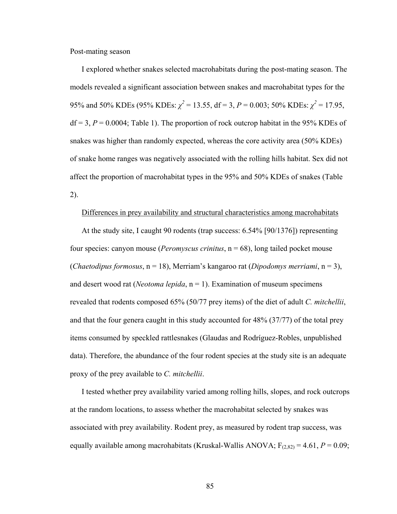Post-mating season

I explored whether snakes selected macrohabitats during the post-mating season. The models revealed a significant association between snakes and macrohabitat types for the 95% and 50% KDEs (95% KDEs:  $\chi^2$  = 13.55, df = 3, P = 0.003; 50% KDEs:  $\chi^2$  = 17.95,  $df = 3$ ,  $P = 0.0004$ ; Table 1). The proportion of rock outcrop habitat in the 95% KDEs of snakes was higher than randomly expected, whereas the core activity area (50% KDEs) of snake home ranges was negatively associated with the rolling hills habitat. Sex did not affect the proportion of macrohabitat types in the 95% and 50% KDEs of snakes (Table 2).

#### Differences in prey availability and structural characteristics among macrohabitats

At the study site, I caught 90 rodents (trap success: 6.54% [90/1376]) representing four species: canyon mouse (*Peromyscus crinitus*, n = 68), long tailed pocket mouse (*Chaetodipus formosus*, n = 18), Merriam's kangaroo rat (*Dipodomys merriami*, n = 3), and desert wood rat (*Neotoma lepida*,  $n = 1$ ). Examination of museum specimens revealed that rodents composed 65% (50/77 prey items) of the diet of adult *C. mitchellii*, and that the four genera caught in this study accounted for 48% (37/77) of the total prey items consumed by speckled rattlesnakes (Glaudas and Rodríguez-Robles, unpublished data). Therefore, the abundance of the four rodent species at the study site is an adequate proxy of the prey available to *C. mitchellii*.

I tested whether prey availability varied among rolling hills, slopes, and rock outcrops at the random locations, to assess whether the macrohabitat selected by snakes was associated with prey availability. Rodent prey, as measured by rodent trap success, was equally available among macrohabitats (Kruskal-Wallis ANOVA;  $F_{(2,82)} = 4.61$ ,  $P = 0.09$ ;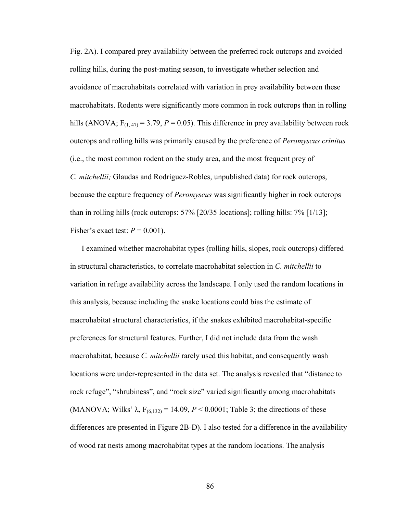Fig. 2A). I compared prey availability between the preferred rock outcrops and avoided rolling hills, during the post-mating season, to investigate whether selection and avoidance of macrohabitats correlated with variation in prey availability between these macrohabitats. Rodents were significantly more common in rock outcrops than in rolling hills (ANOVA;  $F_{(1,47)} = 3.79$ ,  $P = 0.05$ ). This difference in prey availability between rock outcrops and rolling hills was primarily caused by the preference of *Peromyscus crinitus* (i.e., the most common rodent on the study area, and the most frequent prey of *C. mitchellii;* Glaudas and Rodríguez-Robles, unpublished data) for rock outcrops, because the capture frequency of *Peromyscus* was significantly higher in rock outcrops than in rolling hills (rock outcrops: 57% [20/35 locations]; rolling hills: 7% [1/13]; Fisher's exact test:  $P = 0.001$ ).

I examined whether macrohabitat types (rolling hills, slopes, rock outcrops) differed in structural characteristics, to correlate macrohabitat selection in *C. mitchellii* to variation in refuge availability across the landscape. I only used the random locations in this analysis, because including the snake locations could bias the estimate of macrohabitat structural characteristics, if the snakes exhibited macrohabitat-specific preferences for structural features. Further, I did not include data from the wash macrohabitat, because *C. mitchellii* rarely used this habitat, and consequently wash locations were under-represented in the data set. The analysis revealed that "distance to rock refuge", "shrubiness", and "rock size" varied significantly among macrohabitats (MANOVA; Wilks'  $\lambda$ ,  $F_{(6,132)} = 14.09$ ,  $P < 0.0001$ ; Table 3; the directions of these differences are presented in Figure 2B-D). I also tested for a difference in the availability of wood rat nests among macrohabitat types at the random locations. The analysis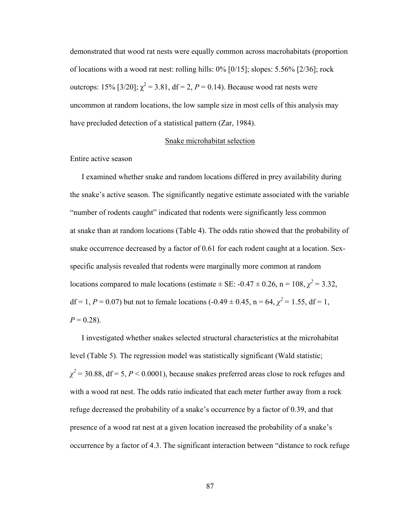demonstrated that wood rat nests were equally common across macrohabitats (proportion of locations with a wood rat nest: rolling hills: 0% [0/15]; slopes: 5.56% [2/36]; rock outcrops: 15% [3/20];  $\chi^2 = 3.81$ , df = 2, P = 0.14). Because wood rat nests were uncommon at random locations, the low sample size in most cells of this analysis may have precluded detection of a statistical pattern (Zar, 1984).

# Snake microhabitat selection

# Entire active season

I examined whether snake and random locations differed in prey availability during the snake's active season. The significantly negative estimate associated with the variable "number of rodents caught" indicated that rodents were significantly less common at snake than at random locations (Table 4). The odds ratio showed that the probability of snake occurrence decreased by a factor of 0.61 for each rodent caught at a location. Sexspecific analysis revealed that rodents were marginally more common at random locations compared to male locations (estimate  $\pm$  SE: -0.47  $\pm$  0.26, n = 108,  $\chi^2$  = 3.32, df = 1,  $P = 0.07$ ) but not to female locations (-0.49  $\pm$  0.45, n = 64,  $\chi^2 = 1.55$ , df = 1,  $P = 0.28$ ).

I investigated whether snakes selected structural characteristics at the microhabitat level (Table 5). The regression model was statistically significant (Wald statistic;  $\chi^2$  = 30.88, df = 5, *P* < 0.0001), because snakes preferred areas close to rock refuges and with a wood rat nest. The odds ratio indicated that each meter further away from a rock refuge decreased the probability of a snake's occurrence by a factor of 0.39, and that presence of a wood rat nest at a given location increased the probability of a snake's occurrence by a factor of 4.3. The significant interaction between "distance to rock refuge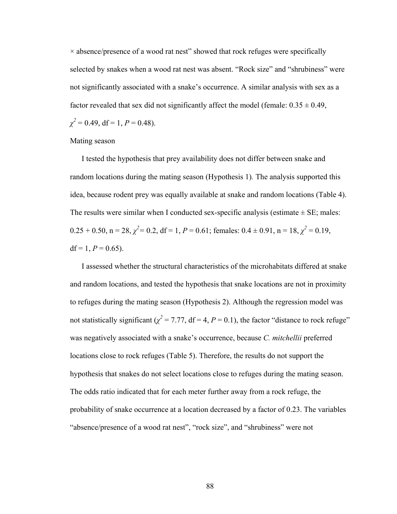$\times$  absence/presence of a wood rat nest" showed that rock refuges were specifically selected by snakes when a wood rat nest was absent. "Rock size" and "shrubiness" were not significantly associated with a snake's occurrence. A similar analysis with sex as a factor revealed that sex did not significantly affect the model (female:  $0.35 \pm 0.49$ ,  $\chi^2 = 0.49$ , df = 1, *P* = 0.48).

Mating season

I tested the hypothesis that prey availability does not differ between snake and random locations during the mating season (Hypothesis 1)*.* The analysis supported this idea, because rodent prey was equally available at snake and random locations (Table 4). The results were similar when I conducted sex-specific analysis (estimate  $\pm$  SE; males:  $0.25 + 0.50$ ,  $n = 28$ ,  $\chi^2 = 0.2$ ,  $df = 1$ ,  $P = 0.61$ ; females:  $0.4 \pm 0.91$ ,  $n = 18$ ,  $\chi^2 = 0.19$ , df = 1,  $P = 0.65$ ).

I assessed whether the structural characteristics of the microhabitats differed at snake and random locations, and tested the hypothesis that snake locations are not in proximity to refuges during the mating season (Hypothesis 2). Although the regression model was not statistically significant ( $\chi^2$  = 7.77, df = 4, *P* = 0.1), the factor "distance to rock refuge" was negatively associated with a snake's occurrence, because *C. mitchellii* preferred locations close to rock refuges (Table 5). Therefore, the results do not support the hypothesis that snakes do not select locations close to refuges during the mating season. The odds ratio indicated that for each meter further away from a rock refuge, the probability of snake occurrence at a location decreased by a factor of 0.23. The variables "absence/presence of a wood rat nest", "rock size", and "shrubiness" were not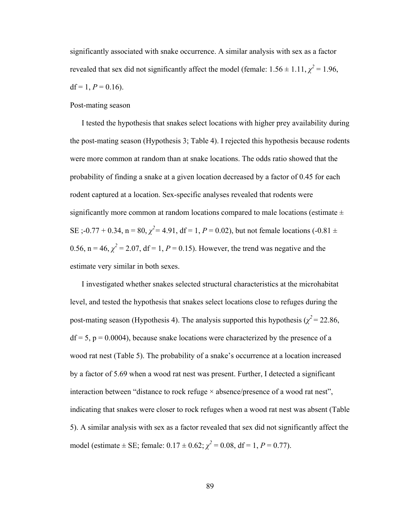significantly associated with snake occurrence. A similar analysis with sex as a factor revealed that sex did not significantly affect the model (female:  $1.56 \pm 1.11$ ,  $\chi^2 = 1.96$ ,  $df = 1, P = 0.16$ .

# Post-mating season

I tested the hypothesis that snakes select locations with higher prey availability during the post-mating season (Hypothesis 3; Table 4). I rejected this hypothesis because rodents were more common at random than at snake locations. The odds ratio showed that the probability of finding a snake at a given location decreased by a factor of 0.45 for each rodent captured at a location. Sex-specific analyses revealed that rodents were significantly more common at random locations compared to male locations (estimate  $\pm$ SE ;-0.77 + 0.34, n = 80,  $\chi^2$  = 4.91, df = 1, P = 0.02), but not female locations (-0.81  $\pm$ 0.56,  $n = 46$ ,  $\chi^2 = 2.07$ , df = 1, P = 0.15). However, the trend was negative and the estimate very similar in both sexes.

I investigated whether snakes selected structural characteristics at the microhabitat level, and tested the hypothesis that snakes select locations close to refuges during the post-mating season (Hypothesis 4). The analysis supported this hypothesis ( $\chi^2$  = 22.86,  $df = 5$ ,  $p = 0.0004$ ), because snake locations were characterized by the presence of a wood rat nest (Table 5). The probability of a snake's occurrence at a location increased by a factor of 5.69 when a wood rat nest was present. Further, I detected a significant interaction between "distance to rock refuge  $\times$  absence/presence of a wood rat nest", indicating that snakes were closer to rock refuges when a wood rat nest was absent (Table 5). A similar analysis with sex as a factor revealed that sex did not significantly affect the model (estimate  $\pm$  SE; female:  $0.17 \pm 0.62$ ;  $\chi^2 = 0.08$ , df = 1, P = 0.77).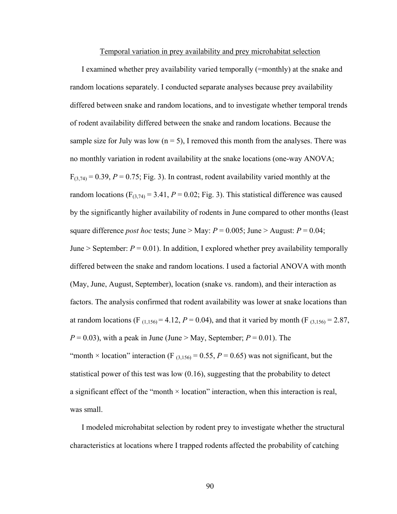#### Temporal variation in prey availability and prey microhabitat selection

I examined whether prey availability varied temporally (=monthly) at the snake and random locations separately. I conducted separate analyses because prey availability differed between snake and random locations, and to investigate whether temporal trends of rodent availability differed between the snake and random locations. Because the sample size for July was low  $(n = 5)$ , I removed this month from the analyses. There was no monthly variation in rodent availability at the snake locations (one-way ANOVA;  $F_{(3,74)} = 0.39$ ,  $P = 0.75$ ; Fig. 3). In contrast, rodent availability varied monthly at the random locations ( $F_{(3,74)} = 3.41$ ,  $P = 0.02$ ; Fig. 3). This statistical difference was caused by the significantly higher availability of rodents in June compared to other months (least square difference *post hoc* tests; June > May:  $P = 0.005$ ; June > August:  $P = 0.04$ ; June > September:  $P = 0.01$ ). In addition, I explored whether prey availability temporally differed between the snake and random locations. I used a factorial ANOVA with month (May, June, August, September), location (snake vs. random), and their interaction as factors. The analysis confirmed that rodent availability was lower at snake locations than at random locations (F<sub>(1,156)</sub> = 4.12,  $P = 0.04$ ), and that it varied by month (F<sub>(3,156)</sub> = 2.87,  $P = 0.03$ , with a peak in June (June > May, September;  $P = 0.01$ ). The "month  $\times$  location" interaction (F<sub>(3,156)</sub> = 0.55, P = 0.65) was not significant, but the statistical power of this test was low (0.16), suggesting that the probability to detect a significant effect of the "month × location" interaction, when this interaction is real, was small.

I modeled microhabitat selection by rodent prey to investigate whether the structural characteristics at locations where I trapped rodents affected the probability of catching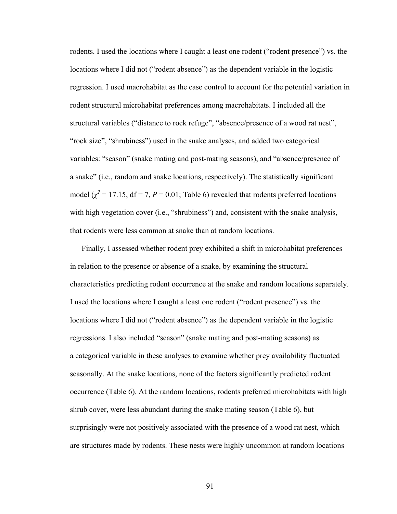rodents. I used the locations where I caught a least one rodent ("rodent presence") vs. the locations where I did not ("rodent absence") as the dependent variable in the logistic regression. I used macrohabitat as the case control to account for the potential variation in rodent structural microhabitat preferences among macrohabitats. I included all the structural variables ("distance to rock refuge", "absence/presence of a wood rat nest", "rock size", "shrubiness") used in the snake analyses, and added two categorical variables: "season" (snake mating and post-mating seasons), and "absence/presence of a snake" (i.e., random and snake locations, respectively). The statistically significant model  $(\chi^2 = 17.15, df = 7, P = 0.01;$  Table 6) revealed that rodents preferred locations with high vegetation cover (i.e., "shrubiness") and, consistent with the snake analysis, that rodents were less common at snake than at random locations.

Finally, I assessed whether rodent prey exhibited a shift in microhabitat preferences in relation to the presence or absence of a snake, by examining the structural characteristics predicting rodent occurrence at the snake and random locations separately. I used the locations where I caught a least one rodent ("rodent presence") vs. the locations where I did not ("rodent absence") as the dependent variable in the logistic regressions. I also included "season" (snake mating and post-mating seasons) as a categorical variable in these analyses to examine whether prey availability fluctuated seasonally. At the snake locations, none of the factors significantly predicted rodent occurrence (Table 6). At the random locations, rodents preferred microhabitats with high shrub cover, were less abundant during the snake mating season (Table 6), but surprisingly were not positively associated with the presence of a wood rat nest, which are structures made by rodents. These nests were highly uncommon at random locations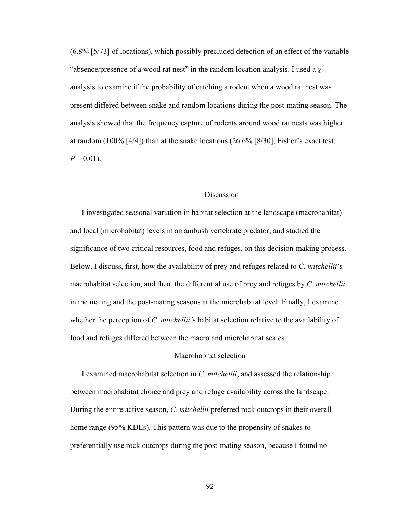(6.8% [5/73] of locations), which possibly precluded detection of an effect of the variable "absence/presence of a wood rat nest" in the random location analysis. I used a  $\chi^2$ analysis to examine if the probability of catching a rodent when a wood rat nest was present differed between snake and random locations during the post-mating season. The analysis showed that the frequency capture of rodents around wood rat nests was higher at random (100% [4/4]) than at the snake locations (26.6% [8/30]; Fisher's exact test:  $P = 0.01$ ).

# Discussion

I investigated seasonal variation in habitat selection at the landscape (macrohabitat) and local (microhabitat) levels in an ambush vertebrate predator, and studied the significance of two critical resources, food and refuges, on this decision-making process. Below, I discuss, first, how the availability of prey and refuges related to *C. mitchellii*'s macrohabitat selection, and then, the differential use of prey and refuges by *C. mitchellii* in the mating and the post-mating seasons at the microhabitat level. Finally, I examine whether the perception of *C. mitchellii'*s habitat selection relative to the availability of food and refuges differed between the macro and microhabitat scales.

#### Macrohabitat selection

I examined macrohabitat selection in *C. mitchellii*, and assessed the relationship between macrohabitat choice and prey and refuge availability across the landscape. During the entire active season, *C. mitchellii* preferred rock outcrops in their overall home range (95% KDEs). This pattern was due to the propensity of snakes to preferentially use rock outcrops during the post-mating season, because I found no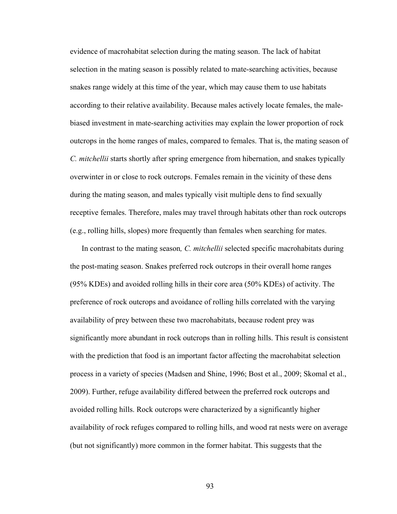evidence of macrohabitat selection during the mating season. The lack of habitat selection in the mating season is possibly related to mate-searching activities, because snakes range widely at this time of the year, which may cause them to use habitats according to their relative availability. Because males actively locate females, the malebiased investment in mate-searching activities may explain the lower proportion of rock outcrops in the home ranges of males, compared to females. That is, the mating season of *C. mitchellii* starts shortly after spring emergence from hibernation, and snakes typically overwinter in or close to rock outcrops. Females remain in the vicinity of these dens during the mating season, and males typically visit multiple dens to find sexually receptive females. Therefore, males may travel through habitats other than rock outcrops (e.g., rolling hills, slopes) more frequently than females when searching for mates.

In contrast to the mating season*, C. mitchellii* selected specific macrohabitats during the post-mating season. Snakes preferred rock outcrops in their overall home ranges (95% KDEs) and avoided rolling hills in their core area (50% KDEs) of activity. The preference of rock outcrops and avoidance of rolling hills correlated with the varying availability of prey between these two macrohabitats, because rodent prey was significantly more abundant in rock outcrops than in rolling hills. This result is consistent with the prediction that food is an important factor affecting the macrohabitat selection process in a variety of species (Madsen and Shine, 1996; Bost et al., 2009; Skomal et al., 2009). Further, refuge availability differed between the preferred rock outcrops and avoided rolling hills. Rock outcrops were characterized by a significantly higher availability of rock refuges compared to rolling hills, and wood rat nests were on average (but not significantly) more common in the former habitat. This suggests that the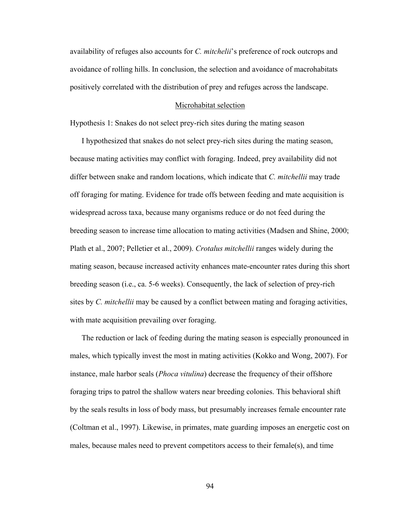availability of refuges also accounts for *C. mitchelii*'s preference of rock outcrops and avoidance of rolling hills. In conclusion, the selection and avoidance of macrohabitats positively correlated with the distribution of prey and refuges across the landscape.

# Microhabitat selection

Hypothesis 1: Snakes do not select prey-rich sites during the mating season

I hypothesized that snakes do not select prey-rich sites during the mating season, because mating activities may conflict with foraging. Indeed, prey availability did not differ between snake and random locations, which indicate that *C. mitchellii* may trade off foraging for mating. Evidence for trade offs between feeding and mate acquisition is widespread across taxa, because many organisms reduce or do not feed during the breeding season to increase time allocation to mating activities (Madsen and Shine, 2000; Plath et al., 2007; Pelletier et al., 2009). *Crotalus mitchellii* ranges widely during the mating season, because increased activity enhances mate-encounter rates during this short breeding season (i.e., ca. 5-6 weeks). Consequently, the lack of selection of prey-rich sites by *C. mitchellii* may be caused by a conflict between mating and foraging activities, with mate acquisition prevailing over foraging.

The reduction or lack of feeding during the mating season is especially pronounced in males, which typically invest the most in mating activities (Kokko and Wong, 2007). For instance, male harbor seals (*Phoca vitulina*) decrease the frequency of their offshore foraging trips to patrol the shallow waters near breeding colonies. This behavioral shift by the seals results in loss of body mass, but presumably increases female encounter rate (Coltman et al., 1997). Likewise, in primates, mate guarding imposes an energetic cost on males, because males need to prevent competitors access to their female(s), and time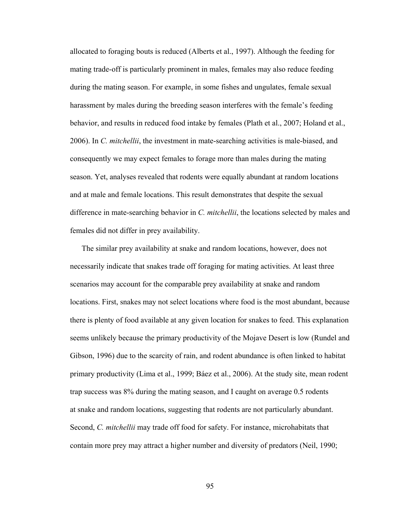allocated to foraging bouts is reduced (Alberts et al., 1997). Although the feeding for mating trade-off is particularly prominent in males, females may also reduce feeding during the mating season. For example, in some fishes and ungulates, female sexual harassment by males during the breeding season interferes with the female's feeding behavior, and results in reduced food intake by females (Plath et al., 2007; Holand et al., 2006). In *C. mitchellii*, the investment in mate-searching activities is male-biased, and consequently we may expect females to forage more than males during the mating season. Yet, analyses revealed that rodents were equally abundant at random locations and at male and female locations. This result demonstrates that despite the sexual difference in mate-searching behavior in *C. mitchellii*, the locations selected by males and females did not differ in prey availability.

The similar prey availability at snake and random locations, however, does not necessarily indicate that snakes trade off foraging for mating activities. At least three scenarios may account for the comparable prey availability at snake and random locations. First, snakes may not select locations where food is the most abundant, because there is plenty of food available at any given location for snakes to feed. This explanation seems unlikely because the primary productivity of the Mojave Desert is low (Rundel and Gibson, 1996) due to the scarcity of rain, and rodent abundance is often linked to habitat primary productivity (Lima et al., 1999; Báez et al., 2006). At the study site, mean rodent trap success was 8% during the mating season, and I caught on average 0.5 rodents at snake and random locations, suggesting that rodents are not particularly abundant. Second, *C. mitchellii* may trade off food for safety. For instance, microhabitats that contain more prey may attract a higher number and diversity of predators (Neil, 1990;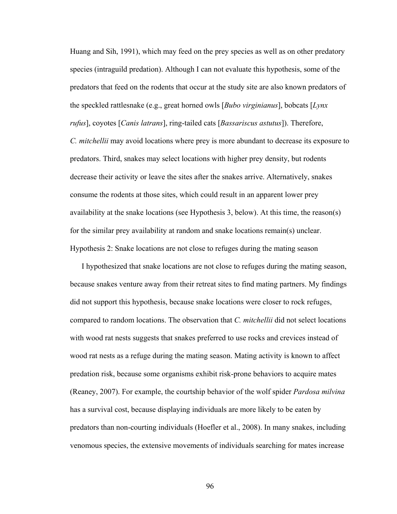Huang and Sih, 1991), which may feed on the prey species as well as on other predatory species (intraguild predation). Although I can not evaluate this hypothesis, some of the predators that feed on the rodents that occur at the study site are also known predators of the speckled rattlesnake (e.g., great horned owls [*Bubo virginianus*], bobcats [*Lynx rufus*], coyotes [*Canis latrans*], ring-tailed cats [*Bassariscus astutus*]). Therefore, *C. mitchellii* may avoid locations where prey is more abundant to decrease its exposure to predators. Third, snakes may select locations with higher prey density, but rodents decrease their activity or leave the sites after the snakes arrive. Alternatively, snakes consume the rodents at those sites, which could result in an apparent lower prey availability at the snake locations (see Hypothesis 3, below). At this time, the reason(s) for the similar prey availability at random and snake locations remain(s) unclear. Hypothesis 2: Snake locations are not close to refuges during the mating season

I hypothesized that snake locations are not close to refuges during the mating season, because snakes venture away from their retreat sites to find mating partners. My findings did not support this hypothesis, because snake locations were closer to rock refuges, compared to random locations. The observation that *C. mitchellii* did not select locations with wood rat nests suggests that snakes preferred to use rocks and crevices instead of wood rat nests as a refuge during the mating season. Mating activity is known to affect predation risk, because some organisms exhibit risk-prone behaviors to acquire mates (Reaney, 2007). For example, the courtship behavior of the wolf spider *Pardosa milvina* has a survival cost, because displaying individuals are more likely to be eaten by predators than non-courting individuals (Hoefler et al., 2008). In many snakes, including venomous species, the extensive movements of individuals searching for mates increase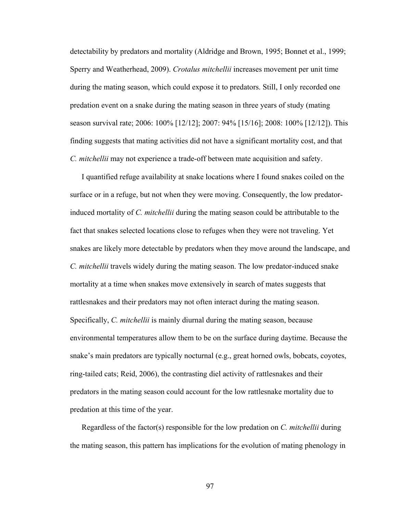detectability by predators and mortality (Aldridge and Brown, 1995; Bonnet et al., 1999; Sperry and Weatherhead, 2009). *Crotalus mitchellii* increases movement per unit time during the mating season, which could expose it to predators. Still, I only recorded one predation event on a snake during the mating season in three years of study (mating season survival rate; 2006: 100% [12/12]; 2007: 94% [15/16]; 2008: 100% [12/12]). This finding suggests that mating activities did not have a significant mortality cost, and that *C. mitchellii* may not experience a trade-off between mate acquisition and safety.

I quantified refuge availability at snake locations where I found snakes coiled on the surface or in a refuge, but not when they were moving. Consequently, the low predatorinduced mortality of *C. mitchellii* during the mating season could be attributable to the fact that snakes selected locations close to refuges when they were not traveling. Yet snakes are likely more detectable by predators when they move around the landscape, and *C. mitchellii* travels widely during the mating season. The low predator-induced snake mortality at a time when snakes move extensively in search of mates suggests that rattlesnakes and their predators may not often interact during the mating season. Specifically, *C. mitchellii* is mainly diurnal during the mating season, because environmental temperatures allow them to be on the surface during daytime. Because the snake's main predators are typically nocturnal (e.g., great horned owls, bobcats, coyotes, ring-tailed cats; Reid, 2006), the contrasting diel activity of rattlesnakes and their predators in the mating season could account for the low rattlesnake mortality due to predation at this time of the year.

Regardless of the factor(s) responsible for the low predation on *C. mitchellii* during the mating season, this pattern has implications for the evolution of mating phenology in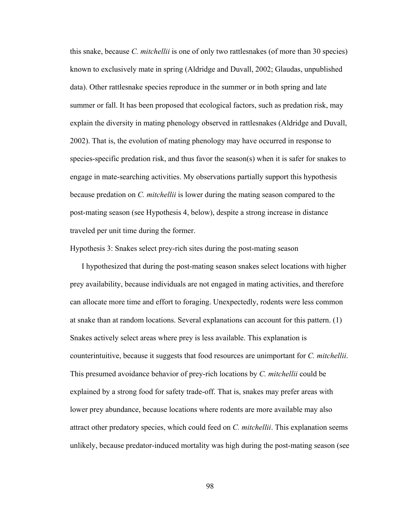this snake, because *C. mitchellii* is one of only two rattlesnakes (of more than 30 species) known to exclusively mate in spring (Aldridge and Duvall, 2002; Glaudas, unpublished data). Other rattlesnake species reproduce in the summer or in both spring and late summer or fall. It has been proposed that ecological factors, such as predation risk, may explain the diversity in mating phenology observed in rattlesnakes (Aldridge and Duvall, 2002). That is, the evolution of mating phenology may have occurred in response to species-specific predation risk, and thus favor the season(s) when it is safer for snakes to engage in mate-searching activities. My observations partially support this hypothesis because predation on *C. mitchellii* is lower during the mating season compared to the post-mating season (see Hypothesis 4, below), despite a strong increase in distance traveled per unit time during the former.

Hypothesis 3: Snakes select prey-rich sites during the post-mating season

I hypothesized that during the post-mating season snakes select locations with higher prey availability, because individuals are not engaged in mating activities, and therefore can allocate more time and effort to foraging. Unexpectedly, rodents were less common at snake than at random locations. Several explanations can account for this pattern. (1) Snakes actively select areas where prey is less available. This explanation is counterintuitive, because it suggests that food resources are unimportant for *C. mitchellii*. This presumed avoidance behavior of prey-rich locations by *C. mitchellii* could be explained by a strong food for safety trade-off. That is, snakes may prefer areas with lower prey abundance, because locations where rodents are more available may also attract other predatory species, which could feed on *C. mitchellii*. This explanation seems unlikely, because predator-induced mortality was high during the post-mating season (see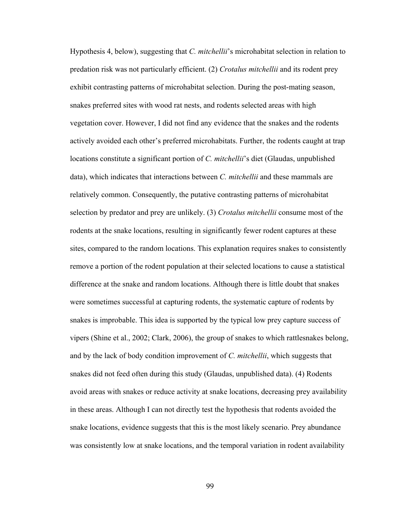Hypothesis 4, below), suggesting that *C. mitchellii*'s microhabitat selection in relation to predation risk was not particularly efficient. (2) *Crotalus mitchellii* and its rodent prey exhibit contrasting patterns of microhabitat selection. During the post-mating season, snakes preferred sites with wood rat nests, and rodents selected areas with high vegetation cover. However, I did not find any evidence that the snakes and the rodents actively avoided each other's preferred microhabitats. Further, the rodents caught at trap locations constitute a significant portion of *C. mitchellii*'s diet (Glaudas, unpublished data), which indicates that interactions between *C. mitchellii* and these mammals are relatively common. Consequently, the putative contrasting patterns of microhabitat selection by predator and prey are unlikely. (3) *Crotalus mitchellii* consume most of the rodents at the snake locations, resulting in significantly fewer rodent captures at these sites, compared to the random locations. This explanation requires snakes to consistently remove a portion of the rodent population at their selected locations to cause a statistical difference at the snake and random locations. Although there is little doubt that snakes were sometimes successful at capturing rodents, the systematic capture of rodents by snakes is improbable. This idea is supported by the typical low prey capture success of vipers (Shine et al., 2002; Clark, 2006), the group of snakes to which rattlesnakes belong, and by the lack of body condition improvement of *C. mitchellii*, which suggests that snakes did not feed often during this study (Glaudas, unpublished data). (4) Rodents avoid areas with snakes or reduce activity at snake locations, decreasing prey availability in these areas. Although I can not directly test the hypothesis that rodents avoided the snake locations, evidence suggests that this is the most likely scenario. Prey abundance was consistently low at snake locations, and the temporal variation in rodent availability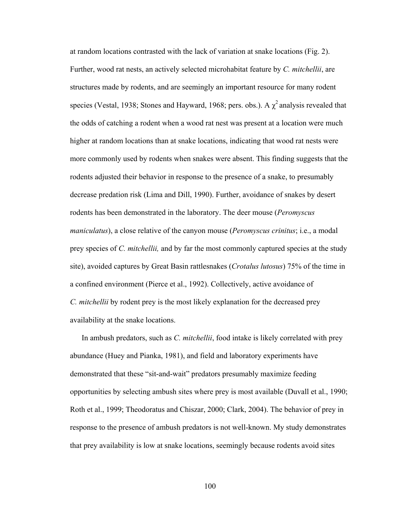at random locations contrasted with the lack of variation at snake locations (Fig. 2). Further, wood rat nests, an actively selected microhabitat feature by *C. mitchellii*, are structures made by rodents, and are seemingly an important resource for many rodent species (Vestal, 1938; Stones and Hayward, 1968; pers. obs.). A  $\chi^2$  analysis revealed that the odds of catching a rodent when a wood rat nest was present at a location were much higher at random locations than at snake locations, indicating that wood rat nests were more commonly used by rodents when snakes were absent. This finding suggests that the rodents adjusted their behavior in response to the presence of a snake, to presumably decrease predation risk (Lima and Dill, 1990). Further, avoidance of snakes by desert rodents has been demonstrated in the laboratory. The deer mouse (*Peromyscus maniculatus*), a close relative of the canyon mouse (*Peromyscus crinitus*; i.e., a modal prey species of *C. mitchellii,* and by far the most commonly captured species at the study site), avoided captures by Great Basin rattlesnakes (*Crotalus lutosus*) 75% of the time in a confined environment (Pierce et al., 1992). Collectively, active avoidance of *C. mitchellii* by rodent prey is the most likely explanation for the decreased prey availability at the snake locations.

In ambush predators, such as *C. mitchellii*, food intake is likely correlated with prey abundance (Huey and Pianka, 1981), and field and laboratory experiments have demonstrated that these "sit-and-wait" predators presumably maximize feeding opportunities by selecting ambush sites where prey is most available (Duvall et al., 1990; Roth et al., 1999; Theodoratus and Chiszar, 2000; Clark, 2004). The behavior of prey in response to the presence of ambush predators is not well-known. My study demonstrates that prey availability is low at snake locations, seemingly because rodents avoid sites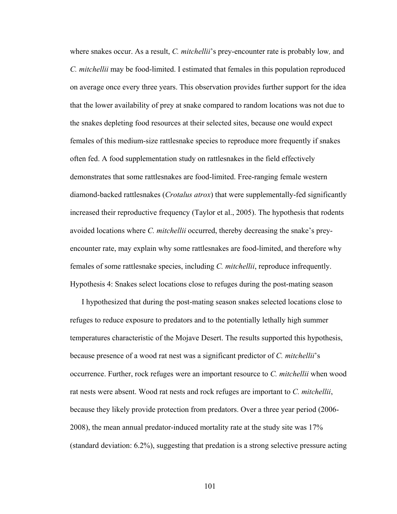where snakes occur. As a result, *C. mitchellii*'s prey-encounter rate is probably low*,* and *C. mitchellii* may be food-limited. I estimated that females in this population reproduced on average once every three years. This observation provides further support for the idea that the lower availability of prey at snake compared to random locations was not due to the snakes depleting food resources at their selected sites, because one would expect females of this medium-size rattlesnake species to reproduce more frequently if snakes often fed. A food supplementation study on rattlesnakes in the field effectively demonstrates that some rattlesnakes are food-limited. Free-ranging female western diamond-backed rattlesnakes (*Crotalus atrox*) that were supplementally-fed significantly increased their reproductive frequency (Taylor et al., 2005). The hypothesis that rodents avoided locations where *C. mitchellii* occurred, thereby decreasing the snake's preyencounter rate, may explain why some rattlesnakes are food-limited, and therefore why females of some rattlesnake species, including *C. mitchellii*, reproduce infrequently. Hypothesis 4: Snakes select locations close to refuges during the post-mating season

I hypothesized that during the post-mating season snakes selected locations close to refuges to reduce exposure to predators and to the potentially lethally high summer temperatures characteristic of the Mojave Desert. The results supported this hypothesis, because presence of a wood rat nest was a significant predictor of *C. mitchellii*'s occurrence. Further, rock refuges were an important resource to *C. mitchellii* when wood rat nests were absent. Wood rat nests and rock refuges are important to *C. mitchellii*, because they likely provide protection from predators. Over a three year period (2006- 2008), the mean annual predator-induced mortality rate at the study site was 17% (standard deviation: 6.2%), suggesting that predation is a strong selective pressure acting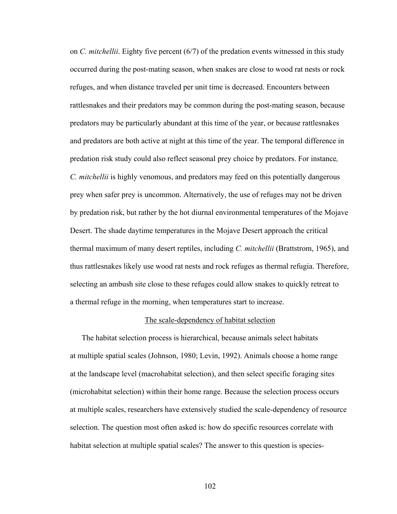on *C. mitchellii*. Eighty five percent (6/7) of the predation events witnessed in this study occurred during the post-mating season, when snakes are close to wood rat nests or rock refuges, and when distance traveled per unit time is decreased. Encounters between rattlesnakes and their predators may be common during the post-mating season, because predators may be particularly abundant at this time of the year, or because rattlesnakes and predators are both active at night at this time of the year. The temporal difference in predation risk study could also reflect seasonal prey choice by predators. For instance*, C. mitchellii* is highly venomous, and predators may feed on this potentially dangerous prey when safer prey is uncommon. Alternatively, the use of refuges may not be driven by predation risk, but rather by the hot diurnal environmental temperatures of the Mojave Desert. The shade daytime temperatures in the Mojave Desert approach the critical thermal maximum of many desert reptiles, including *C. mitchellii* (Brattstrom, 1965), and thus rattlesnakes likely use wood rat nests and rock refuges as thermal refugia. Therefore, selecting an ambush site close to these refuges could allow snakes to quickly retreat to a thermal refuge in the morning, when temperatures start to increase.

### The scale-dependency of habitat selection

The habitat selection process is hierarchical, because animals select habitats at multiple spatial scales (Johnson, 1980; Levin, 1992). Animals choose a home range at the landscape level (macrohabitat selection), and then select specific foraging sites (microhabitat selection) within their home range. Because the selection process occurs at multiple scales, researchers have extensively studied the scale-dependency of resource selection. The question most often asked is: how do specific resources correlate with habitat selection at multiple spatial scales? The answer to this question is species-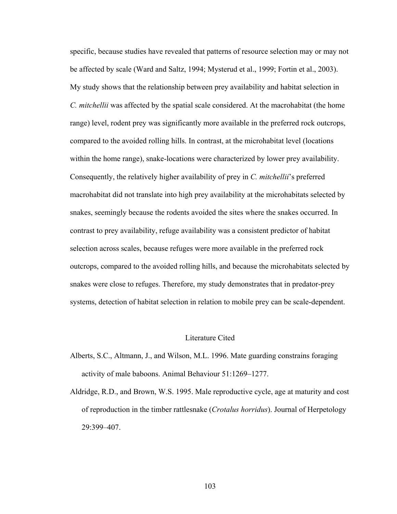specific, because studies have revealed that patterns of resource selection may or may not be affected by scale (Ward and Saltz, 1994; Mysterud et al., 1999; Fortin et al., 2003). My study shows that the relationship between prey availability and habitat selection in *C. mitchellii* was affected by the spatial scale considered. At the macrohabitat (the home range) level, rodent prey was significantly more available in the preferred rock outcrops, compared to the avoided rolling hills. In contrast, at the microhabitat level (locations within the home range), snake-locations were characterized by lower prey availability. Consequently, the relatively higher availability of prey in *C. mitchellii*'s preferred macrohabitat did not translate into high prey availability at the microhabitats selected by snakes, seemingly because the rodents avoided the sites where the snakes occurred. In contrast to prey availability, refuge availability was a consistent predictor of habitat selection across scales, because refuges were more available in the preferred rock outcrops, compared to the avoided rolling hills, and because the microhabitats selected by snakes were close to refuges. Therefore, my study demonstrates that in predator-prey systems, detection of habitat selection in relation to mobile prey can be scale-dependent.

## Literature Cited

- Alberts, S.C., Altmann, J., and Wilson, M.L. 1996. Mate guarding constrains foraging activity of male baboons. Animal Behaviour 51:1269–1277.
- Aldridge, R.D., and Brown, W.S. 1995. Male reproductive cycle, age at maturity and cost of reproduction in the timber rattlesnake (*Crotalus horridus*). Journal of Herpetology 29:399–407.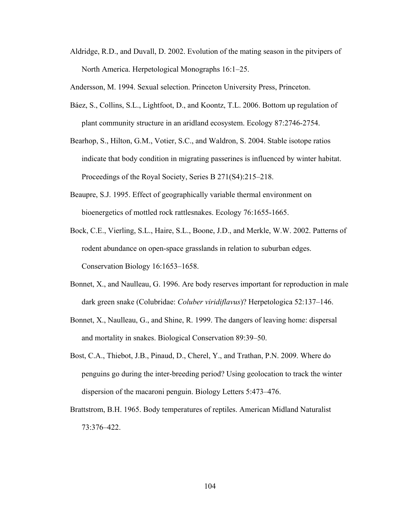Aldridge, R.D., and Duvall, D. 2002. Evolution of the mating season in the pitvipers of North America. Herpetological Monographs 16:1–25.

Andersson, M. 1994. Sexual selection. Princeton University Press, Princeton.

- Báez, S., Collins, S.L., Lightfoot, D., and Koontz, T.L. 2006. Bottom up regulation of plant community structure in an aridland ecosystem. Ecology 87:2746-2754.
- Bearhop, S., Hilton, G.M., Votier, S.C., and Waldron, S. 2004. Stable isotope ratios indicate that body condition in migrating passerines is influenced by winter habitat. Proceedings of the Royal Society, Series B 271(S4):215–218.
- Beaupre, S.J. 1995. Effect of geographically variable thermal environment on bioenergetics of mottled rock rattlesnakes. Ecology 76:1655-1665.
- Bock, C.E., Vierling, S.L., Haire, S.L., Boone, J.D., and Merkle, W.W. 2002. Patterns of rodent abundance on open-space grasslands in relation to suburban edges. Conservation Biology 16:1653–1658.
- Bonnet, X., and Naulleau, G. 1996. Are body reserves important for reproduction in male dark green snake (Colubridae: *Coluber viridiflavus*)? Herpetologica 52:137–146.
- Bonnet, X., Naulleau, G., and Shine, R. 1999. The dangers of leaving home: dispersal and mortality in snakes. Biological Conservation 89:39–50.
- Bost, C.A., Thiebot, J.B., Pinaud, D., Cherel, Y., and Trathan, P.N. 2009. Where do penguins go during the inter-breeding period? Using geolocation to track the winter dispersion of the macaroni penguin. Biology Letters 5:473–476.
- Brattstrom, B.H. 1965. Body temperatures of reptiles. American Midland Naturalist 73:376–422.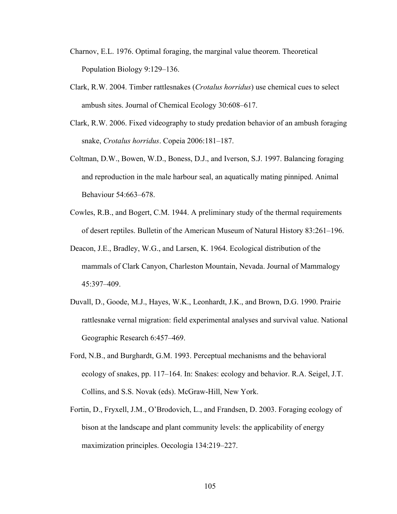- Charnov, E.L. 1976. Optimal foraging, the marginal value theorem. Theoretical Population Biology 9:129–136.
- Clark, R.W. 2004. Timber rattlesnakes (*Crotalus horridus*) use chemical cues to select ambush sites. Journal of Chemical Ecology 30:608–617.
- Clark, R.W. 2006. Fixed videography to study predation behavior of an ambush foraging snake, *Crotalus horridus*. Copeia 2006:181–187.
- Coltman, D.W., Bowen, W.D., Boness, D.J., and Iverson, S.J. 1997. Balancing foraging and reproduction in the male harbour seal, an aquatically mating pinniped. Animal Behaviour 54:663–678.
- Cowles, R.B., and Bogert, C.M. 1944. A preliminary study of the thermal requirements of desert reptiles. Bulletin of the American Museum of Natural History 83:261–196.
- Deacon, J.E., Bradley, W.G., and Larsen, K. 1964. Ecological distribution of the mammals of Clark Canyon, Charleston Mountain, Nevada. Journal of Mammalogy 45:397–409.
- Duvall, D., Goode, M.J., Hayes, W.K., Leonhardt, J.K., and Brown, D.G. 1990. Prairie rattlesnake vernal migration: field experimental analyses and survival value. National Geographic Research 6:457–469.
- Ford, N.B., and Burghardt, G.M. 1993. Perceptual mechanisms and the behavioral ecology of snakes, pp. 117–164. In: Snakes: ecology and behavior. R.A. Seigel, J.T. Collins, and S.S. Novak (eds). McGraw-Hill, New York.
- Fortin, D., Fryxell, J.M., O'Brodovich, L., and Frandsen, D. 2003. Foraging ecology of bison at the landscape and plant community levels: the applicability of energy maximization principles. Oecologia 134:219–227.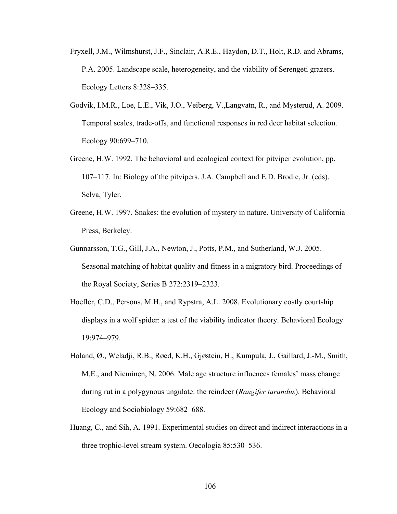- Fryxell, J.M., Wilmshurst, J.F., Sinclair, A.R.E., Haydon, D.T., Holt, R.D. and Abrams, P.A. 2005. Landscape scale, heterogeneity, and the viability of Serengeti grazers. Ecology Letters 8:328–335.
- Godvik, I.M.R., Loe, L.E., Vik, J.O., Veiberg, V.,Langvatn, R., and Mysterud, A. 2009. Temporal scales, trade-offs, and functional responses in red deer habitat selection. Ecology 90:699–710.
- Greene, H.W. 1992. The behavioral and ecological context for pitviper evolution, pp. 107–117. In: Biology of the pitvipers. J.A. Campbell and E.D. Brodie, Jr. (eds). Selva, Tyler.
- Greene, H.W. 1997. Snakes: the evolution of mystery in nature. University of California Press, Berkeley.
- Gunnarsson, T.G., Gill, J.A., Newton, J., Potts, P.M., and Sutherland, W.J. 2005. Seasonal matching of habitat quality and fitness in a migratory bird. Proceedings of the Royal Society, Series B 272:2319–2323.
- Hoefler, C.D., Persons, M.H., and Rypstra, A.L. 2008. Evolutionary costly courtship displays in a wolf spider: a test of the viability indicator theory. Behavioral Ecology 19:974–979.
- Holand, Ø., Weladji, R.B., Røed, K.H., Gjøstein, H., Kumpula, J., Gaillard, J.-M., Smith, M.E., and Nieminen, N. 2006. Male age structure influences females' mass change during rut in a polygynous ungulate: the reindeer (*Rangifer tarandus*). Behavioral Ecology and Sociobiology 59:682–688.
- Huang, C., and Sih, A. 1991. Experimental studies on direct and indirect interactions in a three trophic-level stream system. Oecologia 85:530–536.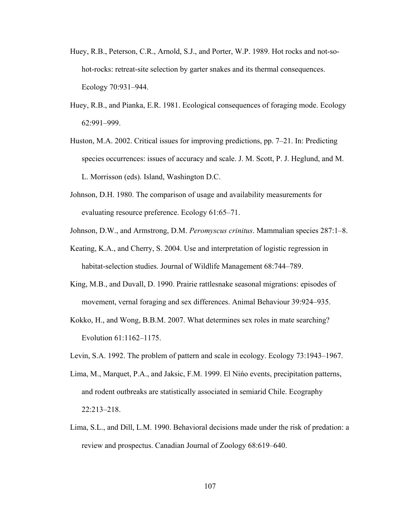- Huey, R.B., Peterson, C.R., Arnold, S.J., and Porter, W.P. 1989. Hot rocks and not-sohot-rocks: retreat-site selection by garter snakes and its thermal consequences. Ecology 70:931–944.
- Huey, R.B., and Pianka, E.R. 1981. Ecological consequences of foraging mode. Ecology 62:991–999.
- Huston, M.A. 2002. Critical issues for improving predictions, pp. 7–21. In: Predicting species occurrences: issues of accuracy and scale. J. M. Scott, P. J. Heglund, and M. L. Morrisson (eds). Island, Washington D.C.
- Johnson, D.H. 1980. The comparison of usage and availability measurements for evaluating resource preference. Ecology 61:65–71.
- Johnson, D.W., and Armstrong, D.M. *Peromyscus crinitus*. Mammalian species 287:1–8.
- Keating, K.A., and Cherry, S. 2004. Use and interpretation of logistic regression in habitat-selection studies. Journal of Wildlife Management 68:744–789.
- King, M.B., and Duvall, D. 1990. Prairie rattlesnake seasonal migrations: episodes of movement, vernal foraging and sex differences. Animal Behaviour 39:924–935.
- Kokko, H., and Wong, B.B.M. 2007. What determines sex roles in mate searching? Evolution 61:1162–1175.
- Levin, S.A. 1992. The problem of pattern and scale in ecology. Ecology 73:1943–1967.
- Lima, M., Marquet, P.A., and Jaksic, F.M. 1999. El Nińo events, precipitation patterns, and rodent outbreaks are statistically associated in semiarid Chile. Ecography 22:213–218.
- Lima, S.L., and Dill, L.M. 1990. Behavioral decisions made under the risk of predation: a review and prospectus. Canadian Journal of Zoology 68:619–640.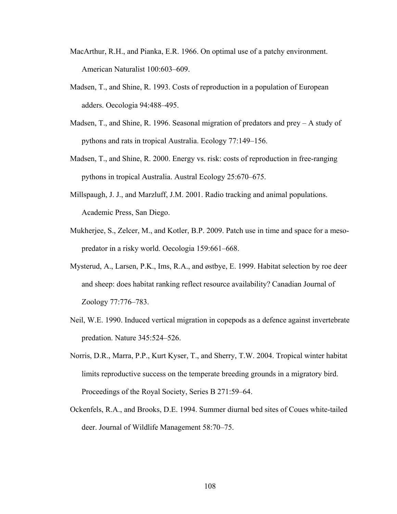- MacArthur, R.H., and Pianka, E.R. 1966. On optimal use of a patchy environment. American Naturalist 100:603–609.
- Madsen, T., and Shine, R. 1993. Costs of reproduction in a population of European adders. Oecologia 94:488–495.
- Madsen, T., and Shine, R. 1996. Seasonal migration of predators and prey A study of pythons and rats in tropical Australia. Ecology 77:149–156.
- Madsen, T., and Shine, R. 2000. Energy vs. risk: costs of reproduction in free-ranging pythons in tropical Australia. Austral Ecology 25:670–675.
- Millspaugh, J. J., and Marzluff, J.M. 2001. Radio tracking and animal populations. Academic Press, San Diego.
- Mukherjee, S., Zelcer, M., and Kotler, B.P. 2009. Patch use in time and space for a mesopredator in a risky world. Oecologia 159:661–668.
- Mysterud, A., Larsen, P.K., Ims, R.A., and østbye, E. 1999. Habitat selection by roe deer and sheep: does habitat ranking reflect resource availability? Canadian Journal of Zoology 77:776–783.
- Neil, W.E. 1990. Induced vertical migration in copepods as a defence against invertebrate predation. Nature 345:524–526.
- Norris, D.R., Marra, P.P., Kurt Kyser, T., and Sherry, T.W. 2004. Tropical winter habitat limits reproductive success on the temperate breeding grounds in a migratory bird. Proceedings of the Royal Society, Series B 271:59–64.
- Ockenfels, R.A., and Brooks, D.E. 1994. Summer diurnal bed sites of Coues white-tailed deer. Journal of Wildlife Management 58:70–75.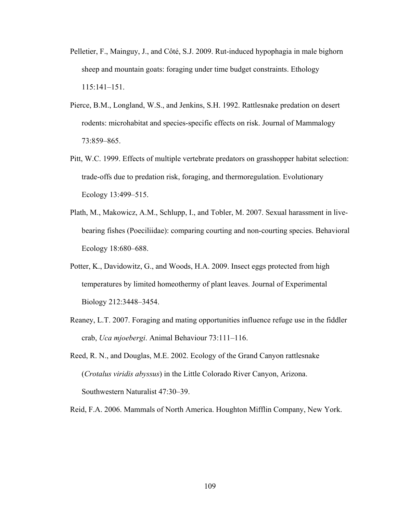- Pelletier, F., Mainguy, J., and Côté, S.J. 2009. Rut-induced hypophagia in male bighorn sheep and mountain goats: foraging under time budget constraints. Ethology 115:141–151.
- Pierce, B.M., Longland, W.S., and Jenkins, S.H. 1992. Rattlesnake predation on desert rodents: microhabitat and species-specific effects on risk. Journal of Mammalogy 73:859–865.
- Pitt, W.C. 1999. Effects of multiple vertebrate predators on grasshopper habitat selection: trade-offs due to predation risk, foraging, and thermoregulation. Evolutionary Ecology 13:499–515.
- Plath, M., Makowicz, A.M., Schlupp, I., and Tobler, M. 2007. Sexual harassment in livebearing fishes (Poeciliidae): comparing courting and non-courting species. Behavioral Ecology 18:680–688.
- Potter, K., Davidowitz, G., and Woods, H.A. 2009. Insect eggs protected from high temperatures by limited homeothermy of plant leaves. Journal of Experimental Biology 212:3448–3454.
- Reaney, L.T. 2007. Foraging and mating opportunities influence refuge use in the fiddler crab, *Uca mjoebergi*. Animal Behaviour 73:111–116.
- Reed, R. N., and Douglas, M.E. 2002. Ecology of the Grand Canyon rattlesnake (*Crotalus viridis abyssus*) in the Little Colorado River Canyon, Arizona. Southwestern Naturalist 47:30–39.

Reid, F.A. 2006. Mammals of North America. Houghton Mifflin Company, New York.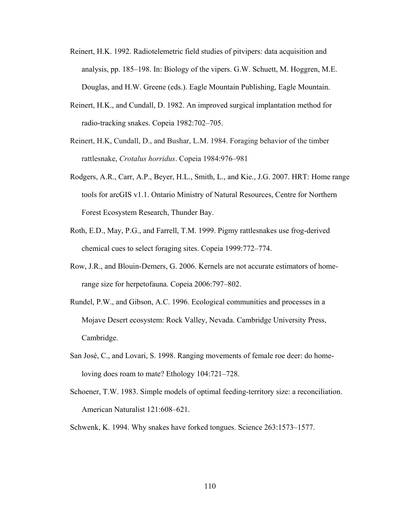- Reinert, H.K. 1992. Radiotelemetric field studies of pitvipers: data acquisition and analysis, pp. 185–198. In: Biology of the vipers. G.W. Schuett, M. Hoggren, M.E. Douglas, and H.W. Greene (eds.). Eagle Mountain Publishing, Eagle Mountain.
- Reinert, H.K., and Cundall, D. 1982. An improved surgical implantation method for radio-tracking snakes. Copeia 1982:702–705.
- Reinert, H.K, Cundall, D., and Bushar, L.M. 1984. Foraging behavior of the timber rattlesnake, *Crotalus horridus*. Copeia 1984:976–981
- Rodgers, A.R., Carr, A.P., Beyer, H.L., Smith, L., and Kie., J.G. 2007. HRT: Home range tools for arcGIS v1.1. Ontario Ministry of Natural Resources, Centre for Northern Forest Ecosystem Research, Thunder Bay.
- Roth, E.D., May, P.G., and Farrell, T.M. 1999. Pigmy rattlesnakes use frog-derived chemical cues to select foraging sites. Copeia 1999:772–774.
- Row, J.R., and Blouin-Demers, G. 2006. Kernels are not accurate estimators of homerange size for herpetofauna. Copeia 2006:797–802.
- Rundel, P.W., and Gibson, A.C. 1996. Ecological communities and processes in a Mojave Desert ecosystem: Rock Valley, Nevada. Cambridge University Press, Cambridge.
- San José, C., and Lovari, S. 1998. Ranging movements of female roe deer: do homeloving does roam to mate? Ethology 104:721–728.
- Schoener, T.W. 1983. Simple models of optimal feeding-territory size: a reconciliation. American Naturalist 121:608–621.
- Schwenk, K. 1994. Why snakes have forked tongues. Science 263:1573–1577.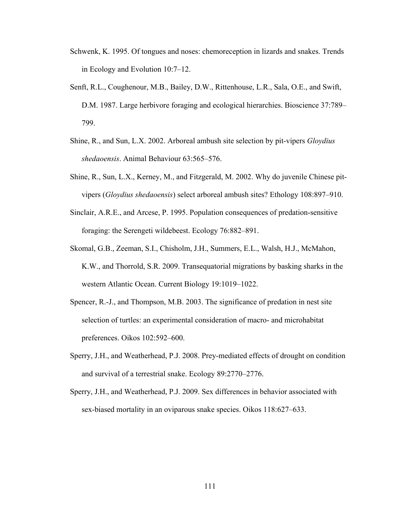- Schwenk, K. 1995. Of tongues and noses: chemoreception in lizards and snakes. Trends in Ecology and Evolution 10:7–12.
- Senft, R.L., Coughenour, M.B., Bailey, D.W., Rittenhouse, L.R., Sala, O.E., and Swift, D.M. 1987. Large herbivore foraging and ecological hierarchies. Bioscience 37:789– 799.
- Shine, R., and Sun, L.X. 2002. Arboreal ambush site selection by pit-vipers *Gloydius shedaoensis*. Animal Behaviour 63:565–576.
- Shine, R., Sun, L.X., Kerney, M., and Fitzgerald, M. 2002. Why do juvenile Chinese pitvipers (*Gloydius shedaoensis*) select arboreal ambush sites? Ethology 108:897–910.
- Sinclair, A.R.E., and Arcese, P. 1995. Population consequences of predation-sensitive foraging: the Serengeti wildebeest. Ecology 76:882–891.
- Skomal, G.B., Zeeman, S.I., Chisholm, J.H., Summers, E.L., Walsh, H.J., McMahon, K.W., and Thorrold, S.R. 2009. Transequatorial migrations by basking sharks in the western Atlantic Ocean. Current Biology 19:1019–1022.
- Spencer, R.-J., and Thompson, M.B. 2003. The significance of predation in nest site selection of turtles: an experimental consideration of macro- and microhabitat preferences. Oikos 102:592–600.
- Sperry, J.H., and Weatherhead, P.J. 2008. Prey-mediated effects of drought on condition and survival of a terrestrial snake. Ecology 89:2770–2776.
- Sperry, J.H., and Weatherhead, P.J. 2009. Sex differences in behavior associated with sex-biased mortality in an oviparous snake species. Oikos 118:627–633.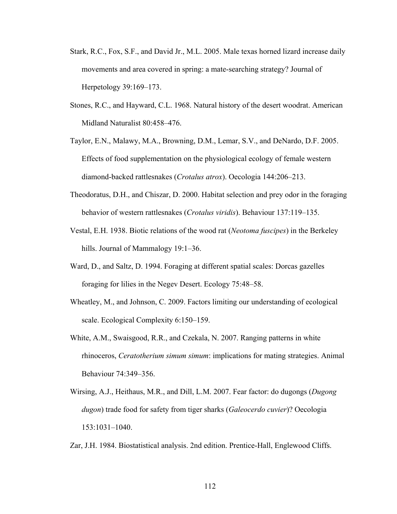- Stark, R.C., Fox, S.F., and David Jr., M.L. 2005. Male texas horned lizard increase daily movements and area covered in spring: a mate-searching strategy? Journal of Herpetology 39:169–173.
- Stones, R.C., and Hayward, C.L. 1968. Natural history of the desert woodrat. American Midland Naturalist 80:458–476.
- Taylor, E.N., Malawy, M.A., Browning, D.M., Lemar, S.V., and DeNardo, D.F. 2005. Effects of food supplementation on the physiological ecology of female western diamond-backed rattlesnakes (*Crotalus atrox*). Oecologia 144:206–213.
- Theodoratus, D.H., and Chiszar, D. 2000. Habitat selection and prey odor in the foraging behavior of western rattlesnakes (*Crotalus viridis*). Behaviour 137:119–135.
- Vestal, E.H. 1938. Biotic relations of the wood rat (*Neotoma fuscipes*) in the Berkeley hills. Journal of Mammalogy 19:1–36.
- Ward, D., and Saltz, D. 1994. Foraging at different spatial scales: Dorcas gazelles foraging for lilies in the Negev Desert. Ecology 75:48–58.
- Wheatley, M., and Johnson, C. 2009. Factors limiting our understanding of ecological scale. Ecological Complexity 6:150–159.
- White, A.M., Swaisgood, R.R., and Czekala, N. 2007. Ranging patterns in white rhinoceros, *Ceratotherium simum simum*: implications for mating strategies. Animal Behaviour 74:349–356.
- Wirsing, A.J., Heithaus, M.R., and Dill, L.M. 2007. Fear factor: do dugongs (*Dugong dugon*) trade food for safety from tiger sharks (*Galeocerdo cuvier*)? Oecologia 153:1031–1040.
- Zar, J.H. 1984. Biostatistical analysis. 2nd edition. Prentice-Hall, Englewood Cliffs.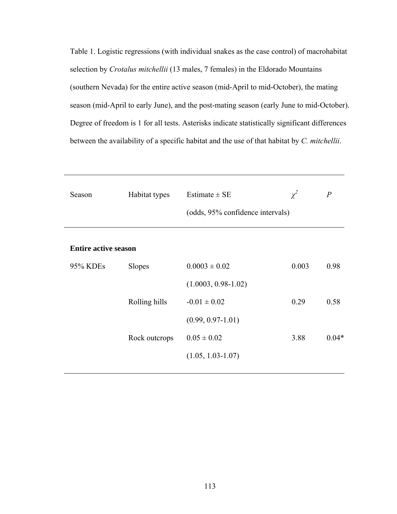Table 1. Logistic regressions (with individual snakes as the case control) of macrohabitat selection by *Crotalus mitchellii* (13 males, 7 females) in the Eldorado Mountains (southern Nevada) for the entire active season (mid-April to mid-October), the mating season (mid-April to early June), and the post-mating season (early June to mid-October). Degree of freedom is 1 for all tests. Asterisks indicate statistically significant differences between the availability of a specific habitat and the use of that habitat by *C. mitchellii*.

| Season                      | Habitat types | Estimate $\pm$ SE<br>(odds, 95% confidence intervals) | $\chi^2$ | $\overline{P}$ |
|-----------------------------|---------------|-------------------------------------------------------|----------|----------------|
| <b>Entire active season</b> |               |                                                       |          |                |
| 95% KDEs                    | <b>Slopes</b> | $0.0003 \pm 0.02$                                     | 0.003    | 0.98           |
|                             |               | $(1.0003, 0.98-1.02)$                                 |          |                |
|                             | Rolling hills | $-0.01 \pm 0.02$                                      | 0.29     | 0.58           |
|                             |               | $(0.99, 0.97 - 1.01)$                                 |          |                |
|                             | Rock outcrops | $0.05 \pm 0.02$                                       | 3.88     | $0.04*$        |
|                             |               | $(1.05, 1.03 - 1.07)$                                 |          |                |
|                             |               |                                                       |          |                |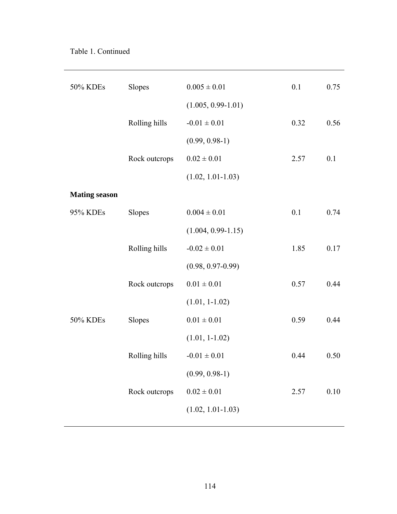| 50% KDEs             | Slopes        | $0.005 \pm 0.01$       | 0.1  | 0.75 |
|----------------------|---------------|------------------------|------|------|
|                      |               | $(1.005, 0.99 - 1.01)$ |      |      |
|                      | Rolling hills | $-0.01 \pm 0.01$       | 0.32 | 0.56 |
|                      |               | $(0.99, 0.98-1)$       |      |      |
|                      | Rock outcrops | $0.02 \pm 0.01$        | 2.57 | 0.1  |
|                      |               | $(1.02, 1.01 - 1.03)$  |      |      |
| <b>Mating season</b> |               |                        |      |      |
| 95% KDEs             | Slopes        | $0.004 \pm 0.01$       | 0.1  | 0.74 |
|                      |               | $(1.004, 0.99 - 1.15)$ |      |      |
|                      | Rolling hills | $-0.02 \pm 0.01$       | 1.85 | 0.17 |
|                      |               | $(0.98, 0.97 - 0.99)$  |      |      |
|                      | Rock outcrops | $0.01 \pm 0.01$        | 0.57 | 0.44 |
|                      |               | $(1.01, 1-1.02)$       |      |      |
| 50% KDEs             | Slopes        | $0.01 \pm 0.01$        | 0.59 | 0.44 |
|                      |               | $(1.01, 1-1.02)$       |      |      |
|                      | Rolling hills | $-0.01 \pm 0.01$       | 0.44 | 0.50 |
|                      |               | $(0.99, 0.98-1)$       |      |      |
|                      | Rock outcrops | $0.02 \pm 0.01$        | 2.57 | 0.10 |
|                      |               | $(1.02, 1.01 - 1.03)$  |      |      |
|                      |               |                        |      |      |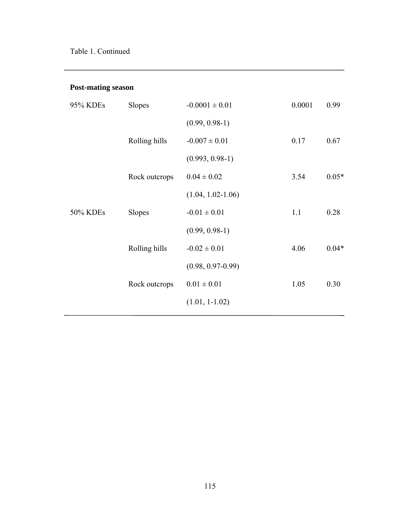# **Post-mating season**

| 95% KDEs | <b>Slopes</b> | $-0.0001 \pm 0.01$    | 0.0001 | 0.99    |
|----------|---------------|-----------------------|--------|---------|
|          |               | $(0.99, 0.98-1)$      |        |         |
|          | Rolling hills | $-0.007 \pm 0.01$     | 0.17   | 0.67    |
|          |               | $(0.993, 0.98-1)$     |        |         |
|          | Rock outcrops | $0.04 \pm 0.02$       | 3.54   | $0.05*$ |
|          |               | $(1.04, 1.02 - 1.06)$ |        |         |
| 50% KDEs | <b>Slopes</b> | $-0.01 \pm 0.01$      | 1.1    | 0.28    |
|          |               | $(0.99, 0.98-1)$      |        |         |
|          | Rolling hills | $-0.02 \pm 0.01$      | 4.06   | $0.04*$ |
|          |               | $(0.98, 0.97 - 0.99)$ |        |         |
|          | Rock outcrops | $0.01 \pm 0.01$       | 1.05   | 0.30    |
|          |               | $(1.01, 1-1.02)$      |        |         |
|          |               |                       |        |         |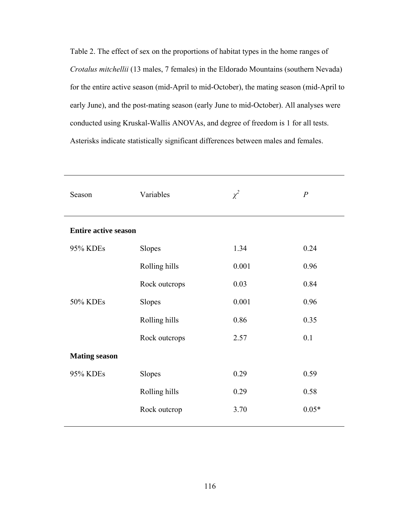Table 2. The effect of sex on the proportions of habitat types in the home ranges of *Crotalus mitchellii* (13 males, 7 females) in the Eldorado Mountains (southern Nevada) for the entire active season (mid-April to mid-October), the mating season (mid-April to early June), and the post-mating season (early June to mid-October). All analyses were conducted using Kruskal-Wallis ANOVAs, and degree of freedom is 1 for all tests. Asterisks indicate statistically significant differences between males and females.

| Season                      | Variables     | $\chi^2$ | $\boldsymbol{P}$ |
|-----------------------------|---------------|----------|------------------|
| <b>Entire active season</b> |               |          |                  |
| 95% KDEs                    | Slopes        | 1.34     | 0.24             |
|                             | Rolling hills | 0.001    | 0.96             |
|                             | Rock outcrops | 0.03     | 0.84             |
| 50% KDEs                    | Slopes        | 0.001    | 0.96             |
|                             | Rolling hills | 0.86     | 0.35             |
|                             | Rock outcrops | 2.57     | 0.1              |
| <b>Mating season</b>        |               |          |                  |
| 95% KDEs                    | Slopes        | 0.29     | 0.59             |
|                             | Rolling hills | 0.29     | 0.58             |
|                             | Rock outcrop  | 3.70     | $0.05*$          |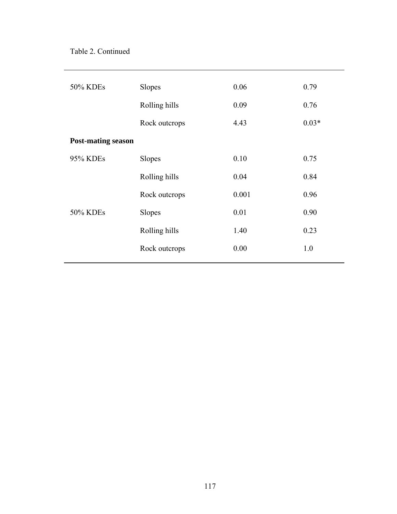| 50% KDEs                  | Slopes        | 0.06  | 0.79    |
|---------------------------|---------------|-------|---------|
|                           | Rolling hills | 0.09  | 0.76    |
|                           | Rock outcrops | 4.43  | $0.03*$ |
| <b>Post-mating season</b> |               |       |         |
| 95% KDEs                  | Slopes        | 0.10  | 0.75    |
|                           | Rolling hills | 0.04  | 0.84    |
|                           | Rock outcrops | 0.001 | 0.96    |
| 50% KDEs                  | Slopes        | 0.01  | 0.90    |
|                           | Rolling hills | 1.40  | 0.23    |
|                           | Rock outcrops | 0.00  | 1.0     |
|                           |               |       |         |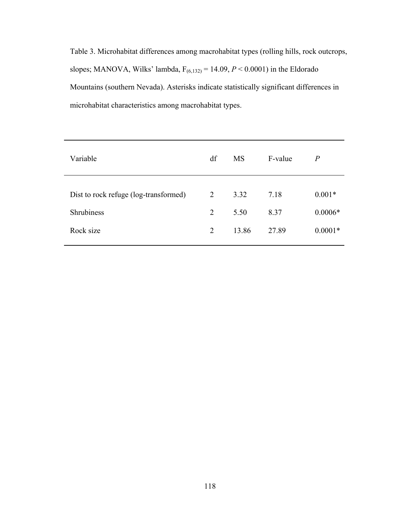Table 3. Microhabitat differences among macrohabitat types (rolling hills, rock outcrops, slopes; MANOVA, Wilks' lambda,  $F_{(6,132)} = 14.09$ ,  $P < 0.0001$ ) in the Eldorado Mountains (southern Nevada). Asterisks indicate statistically significant differences in microhabitat characteristics among macrohabitat types.

| Variable                              | df             | <b>MS</b> | F-value | $\overline{P}$ |
|---------------------------------------|----------------|-----------|---------|----------------|
|                                       |                |           |         |                |
| Dist to rock refuge (log-transformed) | 2              | 3.32      | 7.18    | $0.001*$       |
| <b>Shrubiness</b>                     | 2              | 5.50      | 8.37    | $0.0006*$      |
| Rock size                             | $\overline{2}$ | 13.86     | 27.89   | $0.0001*$      |
|                                       |                |           |         |                |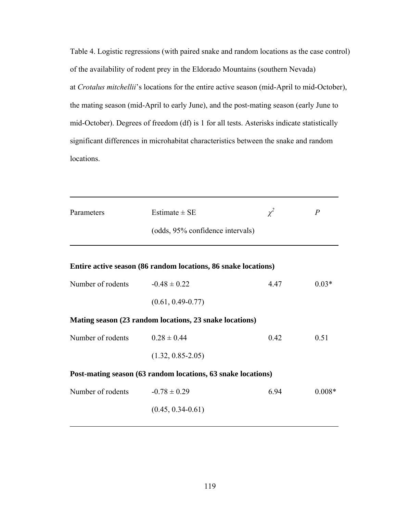Table 4. Logistic regressions (with paired snake and random locations as the case control) of the availability of rodent prey in the Eldorado Mountains (southern Nevada) at *Crotalus mitchellii*'s locations for the entire active season (mid-April to mid-October), the mating season (mid-April to early June), and the post-mating season (early June to mid-October). Degrees of freedom (df) is 1 for all tests. Asterisks indicate statistically significant differences in microhabitat characteristics between the snake and random locations.

| Parameters        | Estimate $\pm$ SE<br>(odds, 95% confidence intervals)          | $\chi^2$ | $\overline{P}$ |
|-------------------|----------------------------------------------------------------|----------|----------------|
|                   | Entire active season (86 random locations, 86 snake locations) |          |                |
| Number of rodents | $-0.48 \pm 0.22$                                               | 4.47     | $0.03*$        |
|                   | $(0.61, 0.49 - 0.77)$                                          |          |                |
|                   | Mating season (23 random locations, 23 snake locations)        |          |                |
| Number of rodents | $0.28 \pm 0.44$                                                | 0.42     | 0.51           |
|                   | $(1.32, 0.85 - 2.05)$                                          |          |                |
|                   | Post-mating season (63 random locations, 63 snake locations)   |          |                |
| Number of rodents | $-0.78 \pm 0.29$                                               | 6.94     | $0.008*$       |
|                   | $(0.45, 0.34 - 0.61)$                                          |          |                |
|                   |                                                                |          |                |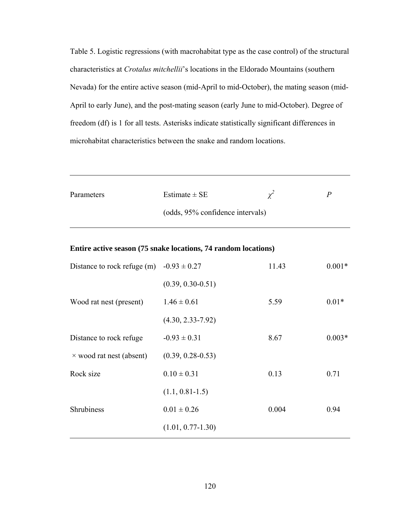Table 5. Logistic regressions (with macrohabitat type as the case control) of the structural characteristics at *Crotalus mitchellii*'s locations in the Eldorado Mountains (southern Nevada) for the entire active season (mid-April to mid-October), the mating season (mid-April to early June), and the post-mating season (early June to mid-October). Degree of freedom (df) is 1 for all tests. Asterisks indicate statistically significant differences in microhabitat characteristics between the snake and random locations.

| Parameters | Estimate $\pm$ SE                | P |
|------------|----------------------------------|---|
|            | (odds, 95% confidence intervals) |   |
|            |                                  |   |

**Entire active season (75 snake locations, 74 random locations)** 

| Distance to rock refuge (m) $-0.93 \pm 0.27$ |                       | 11.43 | $0.001*$ |
|----------------------------------------------|-----------------------|-------|----------|
|                                              | $(0.39, 0.30 - 0.51)$ |       |          |
| Wood rat nest (present)                      | $1.46 \pm 0.61$       | 5.59  | $0.01*$  |
|                                              | $(4.30, 2.33 - 7.92)$ |       |          |
| Distance to rock refuge.                     | $-0.93 \pm 0.31$      | 8.67  | $0.003*$ |
| $\times$ wood rat nest (absent)              | $(0.39, 0.28 - 0.53)$ |       |          |
| Rock size                                    | $0.10 \pm 0.31$       | 0.13  | 0.71     |
|                                              | $(1.1, 0.81 - 1.5)$   |       |          |
| <b>Shrubiness</b>                            | $0.01 \pm 0.26$       | 0.004 | 0.94     |
|                                              | $(1.01, 0.77 - 1.30)$ |       |          |
|                                              |                       |       |          |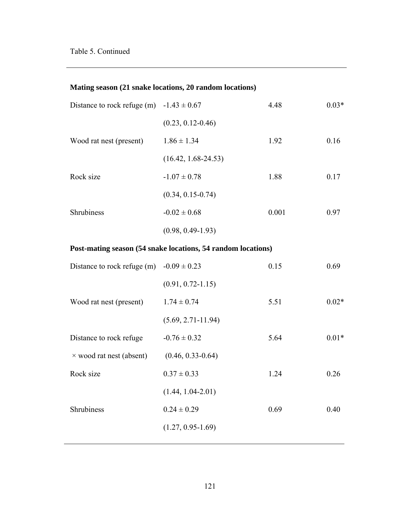# **Mating season (21 snake locations, 20 random locations)**

| Distance to rock refuge (m) $-1.43 \pm 0.67$ |                       | 4.48  | $0.03*$ |
|----------------------------------------------|-----------------------|-------|---------|
|                                              | $(0.23, 0.12 - 0.46)$ |       |         |
| Wood rat nest (present)                      | $1.86 \pm 1.34$       | 1.92  | 0.16    |
|                                              | $(16.42, 1.68-24.53)$ |       |         |
| Rock size                                    | $-1.07 \pm 0.78$      | 1.88  | 0.17    |
|                                              | $(0.34, 0.15 - 0.74)$ |       |         |
| <b>Shrubiness</b>                            | $-0.02 \pm 0.68$      | 0.001 | 0.97    |
|                                              | $(0.98, 0.49 - 1.93)$ |       |         |

# **Post-mating season (54 snake locations, 54 random locations)**

| Distance to rock refuge (m) $-0.09 \pm 0.23$ |                        | 0.15 | 0.69    |
|----------------------------------------------|------------------------|------|---------|
|                                              | $(0.91, 0.72 - 1.15)$  |      |         |
| Wood rat nest (present)                      | $1.74 \pm 0.74$        | 5.51 | $0.02*$ |
|                                              | $(5.69, 2.71 - 11.94)$ |      |         |
| Distance to rock refuge.                     | $-0.76 \pm 0.32$       | 5.64 | $0.01*$ |
| $\times$ wood rat nest (absent)              | $(0.46, 0.33 - 0.64)$  |      |         |
| Rock size                                    | $0.37 \pm 0.33$        | 1.24 | 0.26    |
|                                              | $(1.44, 1.04 - 2.01)$  |      |         |
| <b>Shrubiness</b>                            | $0.24 \pm 0.29$        | 0.69 | 0.40    |
|                                              | $(1.27, 0.95 - 1.69)$  |      |         |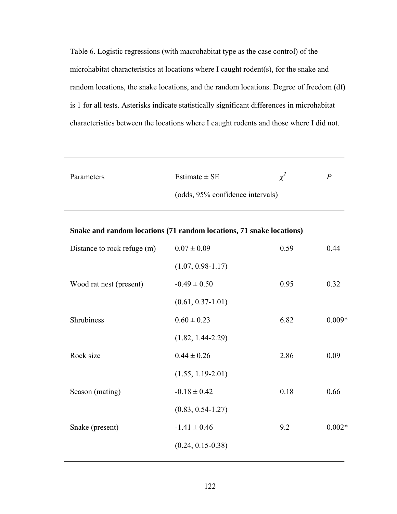Table 6. Logistic regressions (with macrohabitat type as the case control) of the microhabitat characteristics at locations where I caught rodent(s), for the snake and random locations, the snake locations, and the random locations. Degree of freedom (df) is 1 for all tests. Asterisks indicate statistically significant differences in microhabitat characteristics between the locations where I caught rodents and those where I did not.

| Parameters | Estimate $\pm$ SE                | P |
|------------|----------------------------------|---|
|            | (odds, 95% confidence intervals) |   |

| Snake and random locations (71 random locations, 71 snake locations) |
|----------------------------------------------------------------------|
|----------------------------------------------------------------------|

| Distance to rock refuge (m) | $0.07 \pm 0.09$       | 0.59 | 0.44     |
|-----------------------------|-----------------------|------|----------|
|                             | $(1.07, 0.98 - 1.17)$ |      |          |
| Wood rat nest (present)     | $-0.49 \pm 0.50$      | 0.95 | 0.32     |
|                             | $(0.61, 0.37 - 1.01)$ |      |          |
| Shrubiness                  | $0.60 \pm 0.23$       | 6.82 | $0.009*$ |
|                             | $(1.82, 1.44 - 2.29)$ |      |          |
| Rock size                   | $0.44 \pm 0.26$       | 2.86 | 0.09     |
|                             | $(1.55, 1.19 - 2.01)$ |      |          |
| Season (mating)             | $-0.18 \pm 0.42$      | 0.18 | 0.66     |
|                             | $(0.83, 0.54 - 1.27)$ |      |          |
| Snake (present)             | $-1.41 \pm 0.46$      | 9.2  | $0.002*$ |
|                             | $(0.24, 0.15 - 0.38)$ |      |          |
|                             |                       |      |          |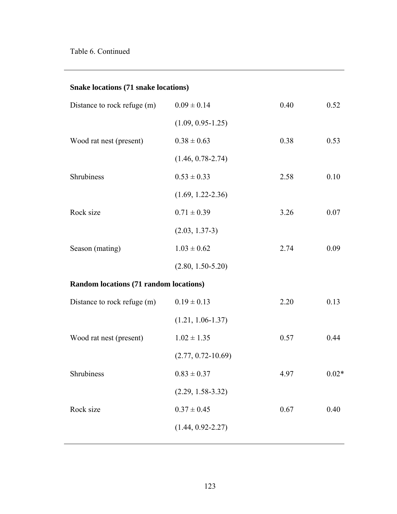|  |  | Snake locations (71 snake locations) |
|--|--|--------------------------------------|
|  |  |                                      |

| Distance to rock refuge (m)            | $0.09 \pm 0.14$        | 0.40 | 0.52    |
|----------------------------------------|------------------------|------|---------|
|                                        | $(1.09, 0.95 - 1.25)$  |      |         |
| Wood rat nest (present)                | $0.38 \pm 0.63$        | 0.38 | 0.53    |
|                                        | $(1.46, 0.78 - 2.74)$  |      |         |
| Shrubiness                             | $0.53 \pm 0.33$        | 2.58 | 0.10    |
|                                        | $(1.69, 1.22 - 2.36)$  |      |         |
| Rock size                              | $0.71 \pm 0.39$        | 3.26 | 0.07    |
|                                        | $(2.03, 1.37-3)$       |      |         |
| Season (mating)                        | $1.03 \pm 0.62$        | 2.74 | 0.09    |
|                                        | $(2.80, 1.50 - 5.20)$  |      |         |
| Random locations (71 random locations) |                        |      |         |
| Distance to rock refuge (m)            | $0.19 \pm 0.13$        | 2.20 | 0.13    |
|                                        | $(1.21, 1.06 - 1.37)$  |      |         |
| Wood rat nest (present)                | $1.02 \pm 1.35$        | 0.57 | 0.44    |
|                                        | $(2.77, 0.72 - 10.69)$ |      |         |
| Shrubiness                             | $0.83 \pm 0.37$        | 4.97 | $0.02*$ |
|                                        | $(2.29, 1.58 - 3.32)$  |      |         |
| Rock size                              | $0.37 \pm 0.45$        | 0.67 | 0.40    |
|                                        | $(1.44, 0.92 - 2.27)$  |      |         |
|                                        |                        |      |         |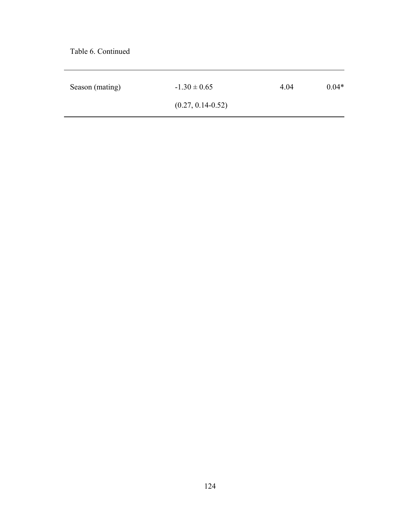Table 6. Continued

| Season (mating) | $-1.30 \pm 0.65$      | 4.04 | $0.04*$ |
|-----------------|-----------------------|------|---------|
|                 | $(0.27, 0.14 - 0.52)$ |      |         |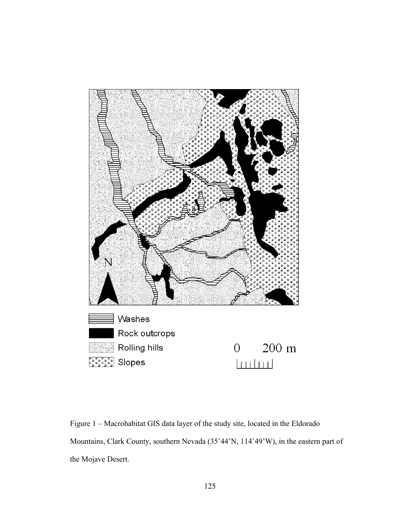

Figure 1 – Macrohabitat GIS data layer of the study site, located in the Eldorado Mountains, Clark County, southern Nevada (35˚44'N, 114˚49'W), in the eastern part of the Mojave Desert.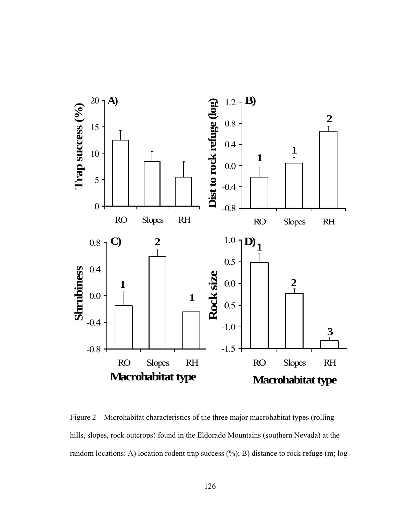

Figure 2 – Microhabitat characteristics of the three major macrohabitat types (rolling hills, slopes, rock outcrops) found in the Eldorado Mountains (southern Nevada) at the random locations: A) location rodent trap success (%); B) distance to rock refuge (m; log-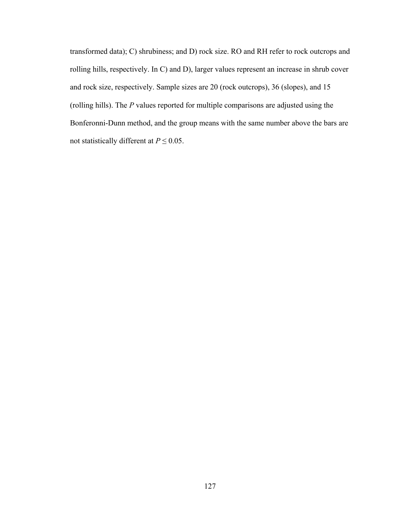transformed data); C) shrubiness; and D) rock size. RO and RH refer to rock outcrops and rolling hills, respectively. In C) and D), larger values represent an increase in shrub cover and rock size, respectively. Sample sizes are 20 (rock outcrops), 36 (slopes), and 15 (rolling hills). The *P* values reported for multiple comparisons are adjusted using the Bonferonni-Dunn method, and the group means with the same number above the bars are not statistically different at  $P \le 0.05$ .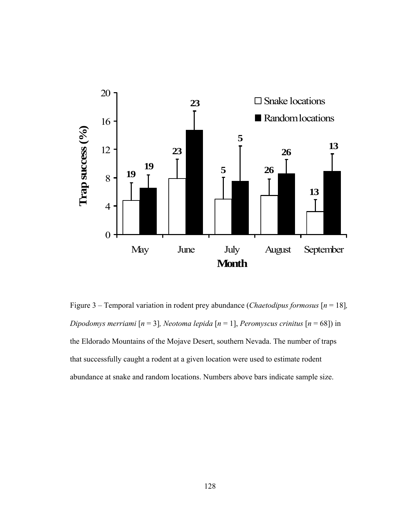

Figure 3 – Temporal variation in rodent prey abundance (*Chaetodipus formosus* [*n* = 18]*, Dipodomys merriami* [*n* = 3]*, Neotoma lepida* [*n* = 1], *Peromyscus crinitus* [*n* = 68]) in the Eldorado Mountains of the Mojave Desert, southern Nevada. The number of traps that successfully caught a rodent at a given location were used to estimate rodent abundance at snake and random locations. Numbers above bars indicate sample size.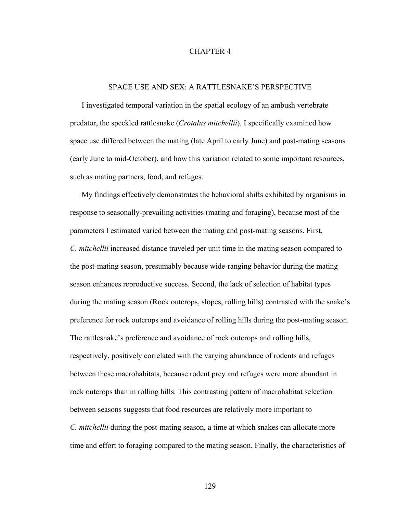### CHAPTER 4

# SPACE USE AND SEX: A RATTLESNAKE'S PERSPECTIVE

I investigated temporal variation in the spatial ecology of an ambush vertebrate predator, the speckled rattlesnake (*Crotalus mitchellii*). I specifically examined how space use differed between the mating (late April to early June) and post-mating seasons (early June to mid-October), and how this variation related to some important resources, such as mating partners, food, and refuges.

My findings effectively demonstrates the behavioral shifts exhibited by organisms in response to seasonally-prevailing activities (mating and foraging), because most of the parameters I estimated varied between the mating and post-mating seasons. First, *C. mitchellii* increased distance traveled per unit time in the mating season compared to the post-mating season, presumably because wide-ranging behavior during the mating season enhances reproductive success. Second, the lack of selection of habitat types during the mating season (Rock outcrops, slopes, rolling hills) contrasted with the snake's preference for rock outcrops and avoidance of rolling hills during the post-mating season. The rattlesnake's preference and avoidance of rock outcrops and rolling hills, respectively, positively correlated with the varying abundance of rodents and refuges between these macrohabitats, because rodent prey and refuges were more abundant in rock outcrops than in rolling hills. This contrasting pattern of macrohabitat selection between seasons suggests that food resources are relatively more important to *C. mitchellii* during the post-mating season, a time at which snakes can allocate more time and effort to foraging compared to the mating season. Finally, the characteristics of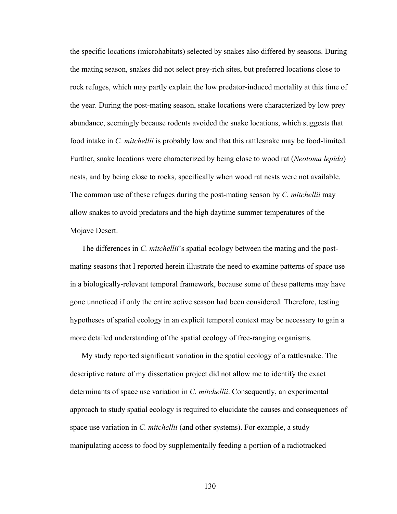the specific locations (microhabitats) selected by snakes also differed by seasons. During the mating season, snakes did not select prey-rich sites, but preferred locations close to rock refuges, which may partly explain the low predator-induced mortality at this time of the year. During the post-mating season, snake locations were characterized by low prey abundance, seemingly because rodents avoided the snake locations, which suggests that food intake in *C. mitchellii* is probably low and that this rattlesnake may be food-limited. Further, snake locations were characterized by being close to wood rat (*Neotoma lepida*) nests, and by being close to rocks, specifically when wood rat nests were not available. The common use of these refuges during the post-mating season by *C. mitchellii* may allow snakes to avoid predators and the high daytime summer temperatures of the Mojave Desert.

The differences in *C. mitchellii*'s spatial ecology between the mating and the postmating seasons that I reported herein illustrate the need to examine patterns of space use in a biologically-relevant temporal framework, because some of these patterns may have gone unnoticed if only the entire active season had been considered. Therefore, testing hypotheses of spatial ecology in an explicit temporal context may be necessary to gain a more detailed understanding of the spatial ecology of free-ranging organisms.

My study reported significant variation in the spatial ecology of a rattlesnake. The descriptive nature of my dissertation project did not allow me to identify the exact determinants of space use variation in *C. mitchellii*. Consequently, an experimental approach to study spatial ecology is required to elucidate the causes and consequences of space use variation in *C. mitchellii* (and other systems). For example, a study manipulating access to food by supplementally feeding a portion of a radiotracked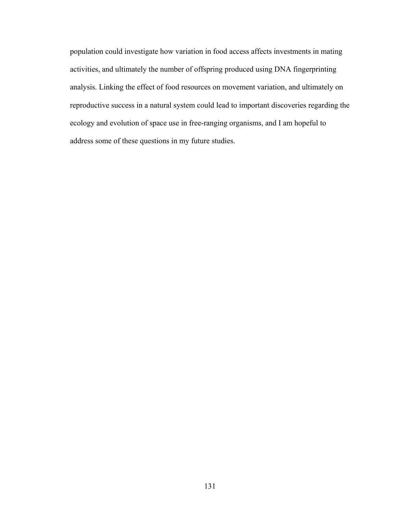population could investigate how variation in food access affects investments in mating activities, and ultimately the number of offspring produced using DNA fingerprinting analysis. Linking the effect of food resources on movement variation, and ultimately on reproductive success in a natural system could lead to important discoveries regarding the ecology and evolution of space use in free-ranging organisms, and I am hopeful to address some of these questions in my future studies.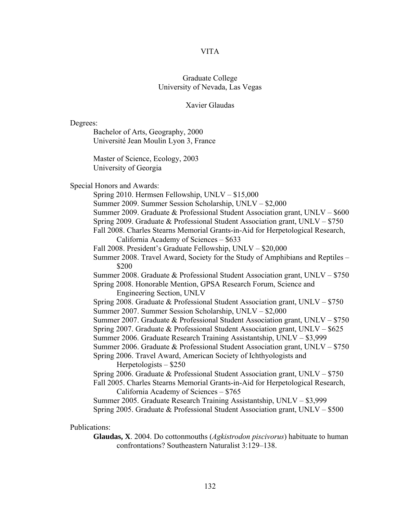# VITA

# Graduate College University of Nevada, Las Vegas

### Xavier Glaudas

Degrees:

Bachelor of Arts, Geography, 2000 Université Jean Moulin Lyon 3, France

Master of Science, Ecology, 2003 University of Georgia

Special Honors and Awards:

Spring 2010. Hermsen Fellowship, UNLV – \$15,000

Summer 2009. Summer Session Scholarship, UNLV – \$2,000

Summer 2009. Graduate & Professional Student Association grant, UNLV – \$600

Spring 2009. Graduate & Professional Student Association grant, UNLV – \$750

Fall 2008. Charles Stearns Memorial Grants-in-Aid for Herpetological Research, California Academy of Sciences – \$633

Fall 2008. President's Graduate Fellowship, UNLV – \$20,000

Summer 2008. Travel Award, Society for the Study of Amphibians and Reptiles – \$200

Summer 2008. Graduate & Professional Student Association grant, UNLV – \$750 Spring 2008. Honorable Mention, GPSA Research Forum, Science and

Engineering Section, UNLV

Spring 2008. Graduate & Professional Student Association grant, UNLV – \$750 Summer 2007. Summer Session Scholarship, UNLV – \$2,000

Summer 2007. Graduate & Professional Student Association grant, UNLV – \$750

Spring 2007. Graduate & Professional Student Association grant, UNLV – \$625

Summer 2006. Graduate Research Training Assistantship, UNLV – \$3,999

Summer 2006. Graduate & Professional Student Association grant, UNLV – \$750

Spring 2006. Travel Award, American Society of Ichthyologists and Herpetologists – \$250

Spring 2006. Graduate & Professional Student Association grant, UNLV – \$750 Fall 2005. Charles Stearns Memorial Grants-in-Aid for Herpetological Research, California Academy of Sciences – \$765

Summer 2005. Graduate Research Training Assistantship, UNLV – \$3,999 Spring 2005. Graduate & Professional Student Association grant, UNLV – \$500

# Publications:

**Glaudas, X**. 2004. Do cottonmouths (*Agkistrodon piscivorus*) habituate to human confrontations? Southeastern Naturalist 3:129–138.